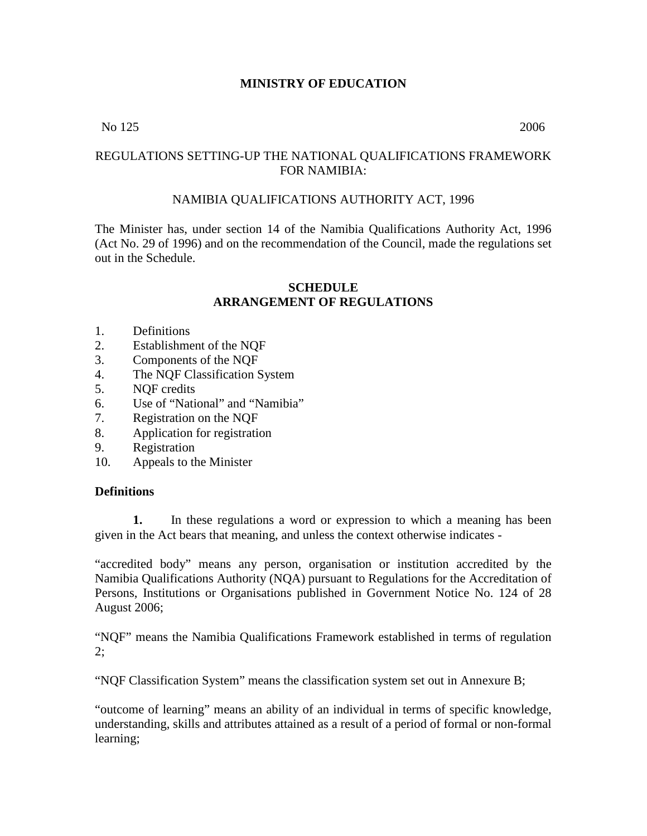## **MINISTRY OF EDUCATION**

### No 125 2006

## REGULATIONS SETTING-UP THE NATIONAL QUALIFICATIONS FRAMEWORK FOR NAMIBIA:

## NAMIBIA QUALIFICATIONS AUTHORITY ACT, 1996

The Minister has, under section 14 of the Namibia Qualifications Authority Act, 1996 (Act No. 29 of 1996) and on the recommendation of the Council, made the regulations set out in the Schedule.

#### **SCHEDULE ARRANGEMENT OF REGULATIONS**

- 1. Definitions
- 2. Establishment of the NQF
- 3. Components of the NQF
- 4. The NQF Classification System
- 5. NQF credits
- 6. Use of "National" and "Namibia"
- 7. Registration on the NQF
- 8. Application for registration
- 9. Registration
- 10. Appeals to the Minister

### **Definitions**

**1.** In these regulations a word or expression to which a meaning has been given in the Act bears that meaning, and unless the context otherwise indicates -

"accredited body" means any person, organisation or institution accredited by the Namibia Qualifications Authority (NQA) pursuant to Regulations for the Accreditation of Persons, Institutions or Organisations published in Government Notice No. 124 of 28 August 2006;

"NQF" means the Namibia Qualifications Framework established in terms of regulation  $2:$ 

"NQF Classification System" means the classification system set out in Annexure B;

"outcome of learning" means an ability of an individual in terms of specific knowledge, understanding, skills and attributes attained as a result of a period of formal or non-formal learning;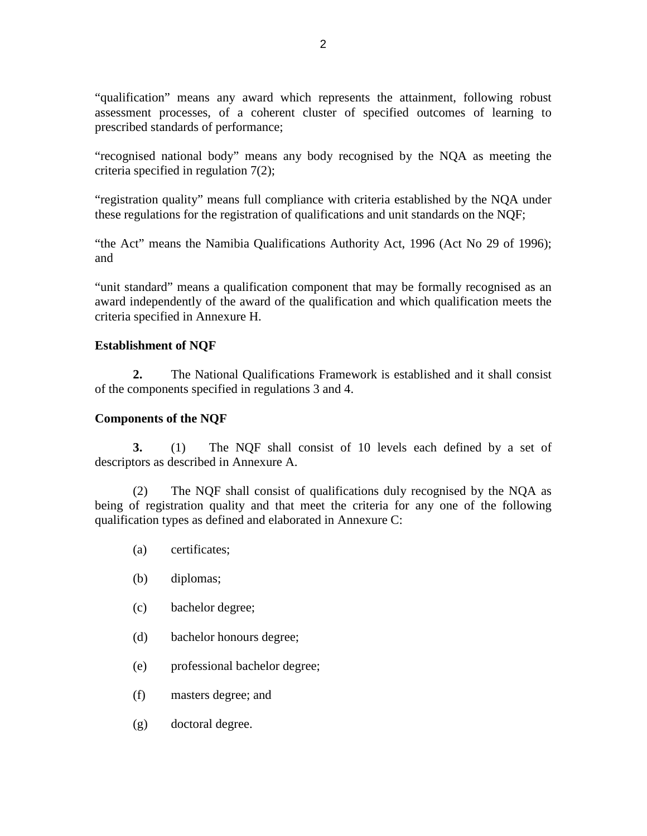"qualification" means any award which represents the attainment, following robust assessment processes, of a coherent cluster of specified outcomes of learning to prescribed standards of performance;

"recognised national body" means any body recognised by the NQA as meeting the criteria specified in regulation 7(2);

"registration quality" means full compliance with criteria established by the NQA under these regulations for the registration of qualifications and unit standards on the NQF;

"the Act" means the Namibia Qualifications Authority Act, 1996 (Act No 29 of 1996); and

"unit standard" means a qualification component that may be formally recognised as an award independently of the award of the qualification and which qualification meets the criteria specified in Annexure H.

## **Establishment of NQF**

**2.** The National Qualifications Framework is established and it shall consist of the components specified in regulations 3 and 4.

## **Components of the NQF**

**3.** (1) The NQF shall consist of 10 levels each defined by a set of descriptors as described in Annexure A.

(2) The NQF shall consist of qualifications duly recognised by the NQA as being of registration quality and that meet the criteria for any one of the following qualification types as defined and elaborated in Annexure C:

- (a) certificates;
- (b) diplomas;
- (c) bachelor degree;
- (d) bachelor honours degree;
- (e) professional bachelor degree;
- (f) masters degree; and
- (g) doctoral degree.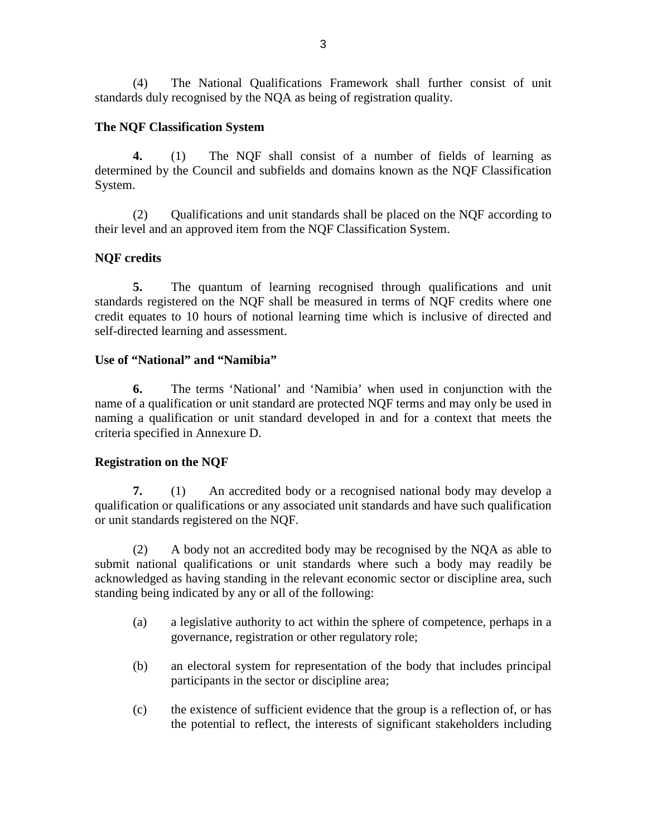(4) The National Qualifications Framework shall further consist of unit standards duly recognised by the NQA as being of registration quality.

## **The NQF Classification System**

**4.** (1) The NQF shall consist of a number of fields of learning as determined by the Council and subfields and domains known as the NQF Classification System.

(2) Qualifications and unit standards shall be placed on the NQF according to their level and an approved item from the NQF Classification System.

## **NQF credits**

**5.** The quantum of learning recognised through qualifications and unit standards registered on the NQF shall be measured in terms of NQF credits where one credit equates to 10 hours of notional learning time which is inclusive of directed and self-directed learning and assessment.

### **Use of "National" and "Namibia"**

**6.** The terms 'National' and 'Namibia' when used in conjunction with the name of a qualification or unit standard are protected NQF terms and may only be used in naming a qualification or unit standard developed in and for a context that meets the criteria specified in Annexure D.

### **Registration on the NQF**

**7.** (1) An accredited body or a recognised national body may develop a qualification or qualifications or any associated unit standards and have such qualification or unit standards registered on the NQF.

(2) A body not an accredited body may be recognised by the NQA as able to submit national qualifications or unit standards where such a body may readily be acknowledged as having standing in the relevant economic sector or discipline area, such standing being indicated by any or all of the following:

- (a) a legislative authority to act within the sphere of competence, perhaps in a governance, registration or other regulatory role;
- (b) an electoral system for representation of the body that includes principal participants in the sector or discipline area;
- (c) the existence of sufficient evidence that the group is a reflection of, or has the potential to reflect, the interests of significant stakeholders including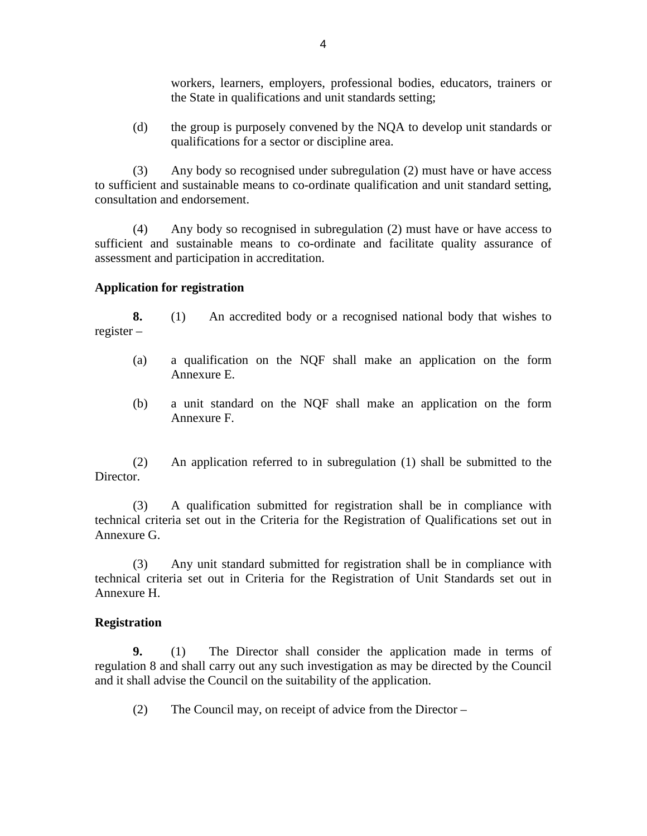workers, learners, employers, professional bodies, educators, trainers or the State in qualifications and unit standards setting;

(d) the group is purposely convened by the NQA to develop unit standards or qualifications for a sector or discipline area.

(3) Any body so recognised under subregulation (2) must have or have access to sufficient and sustainable means to co-ordinate qualification and unit standard setting, consultation and endorsement.

(4) Any body so recognised in subregulation (2) must have or have access to sufficient and sustainable means to co-ordinate and facilitate quality assurance of assessment and participation in accreditation.

### **Application for registration**

**8.** (1) An accredited body or a recognised national body that wishes to register –

- (a) a qualification on the NQF shall make an application on the form Annexure E.
- (b) a unit standard on the NQF shall make an application on the form Annexure F.

(2) An application referred to in subregulation (1) shall be submitted to the Director.

(3) A qualification submitted for registration shall be in compliance with technical criteria set out in the Criteria for the Registration of Qualifications set out in Annexure G.

(3) Any unit standard submitted for registration shall be in compliance with technical criteria set out in Criteria for the Registration of Unit Standards set out in Annexure H.

### **Registration**

**9.** (1) The Director shall consider the application made in terms of regulation 8 and shall carry out any such investigation as may be directed by the Council and it shall advise the Council on the suitability of the application.

(2) The Council may, on receipt of advice from the Director –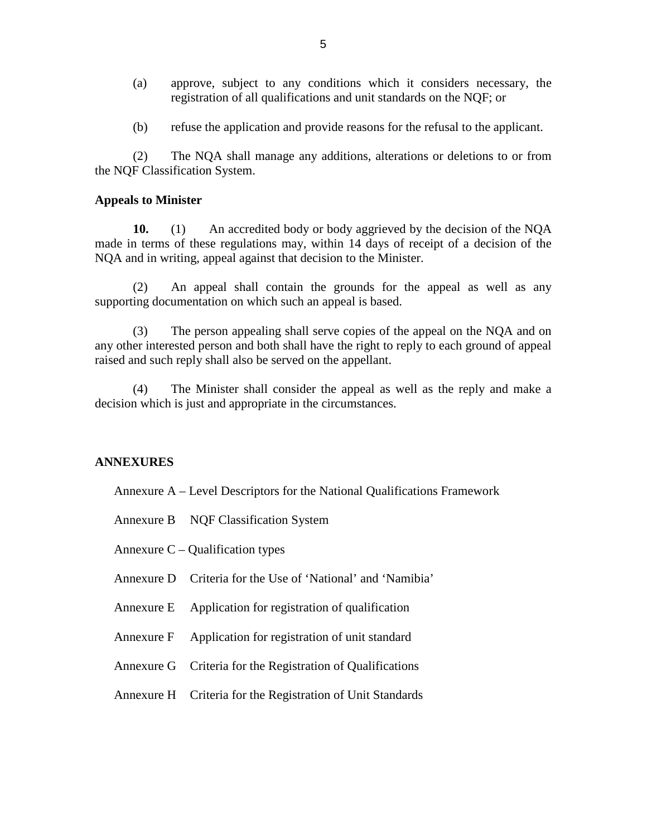- (a) approve, subject to any conditions which it considers necessary, the registration of all qualifications and unit standards on the NQF; or
- (b) refuse the application and provide reasons for the refusal to the applicant.

(2) The NQA shall manage any additions, alterations or deletions to or from the NQF Classification System.

#### **Appeals to Minister**

**10.** (1) An accredited body or body aggrieved by the decision of the NQA made in terms of these regulations may, within 14 days of receipt of a decision of the NQA and in writing, appeal against that decision to the Minister.

(2) An appeal shall contain the grounds for the appeal as well as any supporting documentation on which such an appeal is based.

(3) The person appealing shall serve copies of the appeal on the NQA and on any other interested person and both shall have the right to reply to each ground of appeal raised and such reply shall also be served on the appellant.

(4) The Minister shall consider the appeal as well as the reply and make a decision which is just and appropriate in the circumstances.

### **ANNEXURES**

- Annexure A Level Descriptors for the National Qualifications Framework
- Annexure B NQF Classification System
- Annexure  $C -$ Qualification types
- Annexure D Criteria for the Use of 'National' and 'Namibia'
- Annexure E Application for registration of qualification
- Annexure F Application for registration of unit standard
- Annexure G Criteria for the Registration of Qualifications
- Annexure H Criteria for the Registration of Unit Standards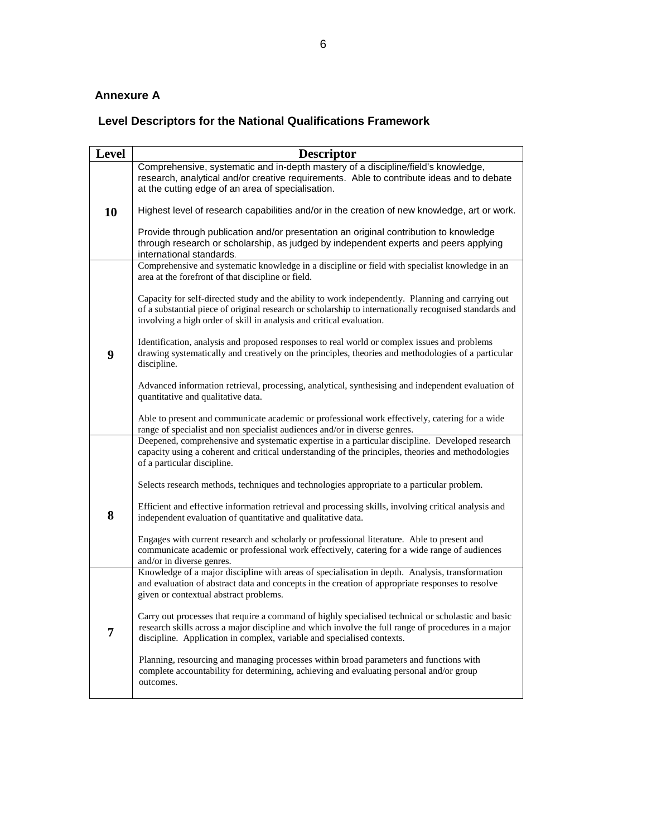## **Annexure A**

## **Level Descriptors for the National Qualifications Framework**

| <b>Level</b> | <b>Descriptor</b>                                                                                                                                                                                                                                                                   |
|--------------|-------------------------------------------------------------------------------------------------------------------------------------------------------------------------------------------------------------------------------------------------------------------------------------|
|              | Comprehensive, systematic and in-depth mastery of a discipline/field's knowledge,<br>research, analytical and/or creative requirements. Able to contribute ideas and to debate<br>at the cutting edge of an area of specialisation.                                                 |
| 10           | Highest level of research capabilities and/or in the creation of new knowledge, art or work.                                                                                                                                                                                        |
|              | Provide through publication and/or presentation an original contribution to knowledge<br>through research or scholarship, as judged by independent experts and peers applying<br>international standards.                                                                           |
|              | Comprehensive and systematic knowledge in a discipline or field with specialist knowledge in an<br>area at the forefront of that discipline or field.                                                                                                                               |
|              | Capacity for self-directed study and the ability to work independently. Planning and carrying out<br>of a substantial piece of original research or scholarship to internationally recognised standards and<br>involving a high order of skill in analysis and critical evaluation. |
| 9            | Identification, analysis and proposed responses to real world or complex issues and problems<br>drawing systematically and creatively on the principles, theories and methodologies of a particular<br>discipline.                                                                  |
|              | Advanced information retrieval, processing, analytical, synthesising and independent evaluation of<br>quantitative and qualitative data.                                                                                                                                            |
|              | Able to present and communicate academic or professional work effectively, catering for a wide<br>range of specialist and non specialist audiences and/or in diverse genres.                                                                                                        |
|              | Deepened, comprehensive and systematic expertise in a particular discipline. Developed research<br>capacity using a coherent and critical understanding of the principles, theories and methodologies<br>of a particular discipline.                                                |
|              | Selects research methods, techniques and technologies appropriate to a particular problem.                                                                                                                                                                                          |
| 8            | Efficient and effective information retrieval and processing skills, involving critical analysis and<br>independent evaluation of quantitative and qualitative data.                                                                                                                |
|              | Engages with current research and scholarly or professional literature. Able to present and<br>communicate academic or professional work effectively, catering for a wide range of audiences<br>and/or in diverse genres.                                                           |
|              | Knowledge of a major discipline with areas of specialisation in depth. Analysis, transformation<br>and evaluation of abstract data and concepts in the creation of appropriate responses to resolve<br>given or contextual abstract problems.                                       |
| 7            | Carry out processes that require a command of highly specialised technical or scholastic and basic<br>research skills across a major discipline and which involve the full range of procedures in a major<br>discipline. Application in complex, variable and specialised contexts. |
|              | Planning, resourcing and managing processes within broad parameters and functions with<br>complete accountability for determining, achieving and evaluating personal and/or group<br>outcomes.                                                                                      |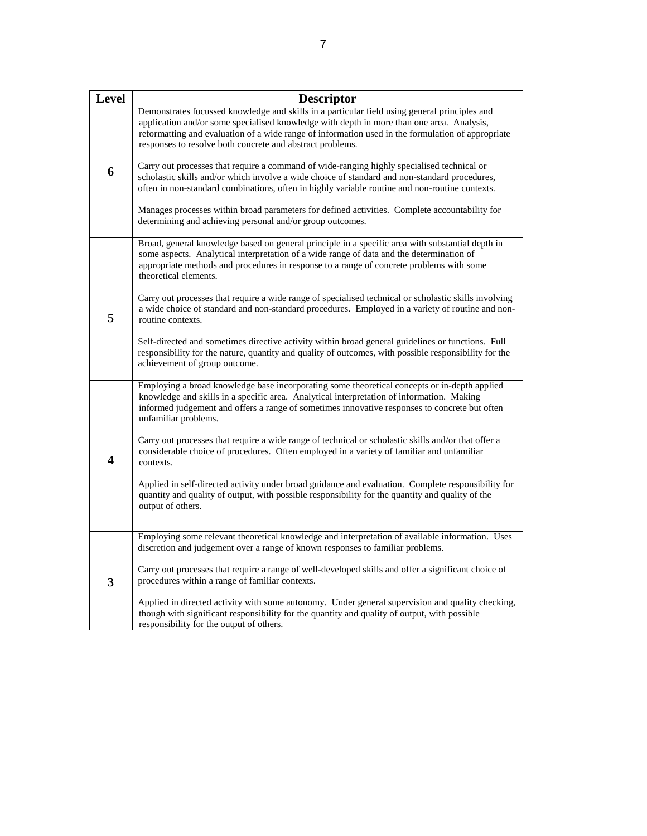| <b>Level</b> | <b>Descriptor</b>                                                                                                                                                                                                                                                                                                                                                                                                                                          |
|--------------|------------------------------------------------------------------------------------------------------------------------------------------------------------------------------------------------------------------------------------------------------------------------------------------------------------------------------------------------------------------------------------------------------------------------------------------------------------|
| 6            | Demonstrates focussed knowledge and skills in a particular field using general principles and<br>application and/or some specialised knowledge with depth in more than one area. Analysis,<br>reformatting and evaluation of a wide range of information used in the formulation of appropriate<br>responses to resolve both concrete and abstract problems.<br>Carry out processes that require a command of wide-ranging highly specialised technical or |
|              | scholastic skills and/or which involve a wide choice of standard and non-standard procedures,<br>often in non-standard combinations, often in highly variable routine and non-routine contexts.<br>Manages processes within broad parameters for defined activities. Complete accountability for<br>determining and achieving personal and/or group outcomes.                                                                                              |
|              | Broad, general knowledge based on general principle in a specific area with substantial depth in<br>some aspects. Analytical interpretation of a wide range of data and the determination of<br>appropriate methods and procedures in response to a range of concrete problems with some<br>theoretical elements.                                                                                                                                          |
| 5            | Carry out processes that require a wide range of specialised technical or scholastic skills involving<br>a wide choice of standard and non-standard procedures. Employed in a variety of routine and non-<br>routine contexts.                                                                                                                                                                                                                             |
|              | Self-directed and sometimes directive activity within broad general guidelines or functions. Full<br>responsibility for the nature, quantity and quality of outcomes, with possible responsibility for the<br>achievement of group outcome.                                                                                                                                                                                                                |
|              | Employing a broad knowledge base incorporating some theoretical concepts or in-depth applied<br>knowledge and skills in a specific area. Analytical interpretation of information. Making<br>informed judgement and offers a range of sometimes innovative responses to concrete but often<br>unfamiliar problems.                                                                                                                                         |
| 4            | Carry out processes that require a wide range of technical or scholastic skills and/or that offer a<br>considerable choice of procedures. Often employed in a variety of familiar and unfamiliar<br>contexts.                                                                                                                                                                                                                                              |
|              | Applied in self-directed activity under broad guidance and evaluation. Complete responsibility for<br>quantity and quality of output, with possible responsibility for the quantity and quality of the<br>output of others.                                                                                                                                                                                                                                |
|              | Employing some relevant theoretical knowledge and interpretation of available information. Uses<br>discretion and judgement over a range of known responses to familiar problems.                                                                                                                                                                                                                                                                          |
| 3            | Carry out processes that require a range of well-developed skills and offer a significant choice of<br>procedures within a range of familiar contexts.                                                                                                                                                                                                                                                                                                     |
|              | Applied in directed activity with some autonomy. Under general supervision and quality checking,<br>though with significant responsibility for the quantity and quality of output, with possible<br>responsibility for the output of others.                                                                                                                                                                                                               |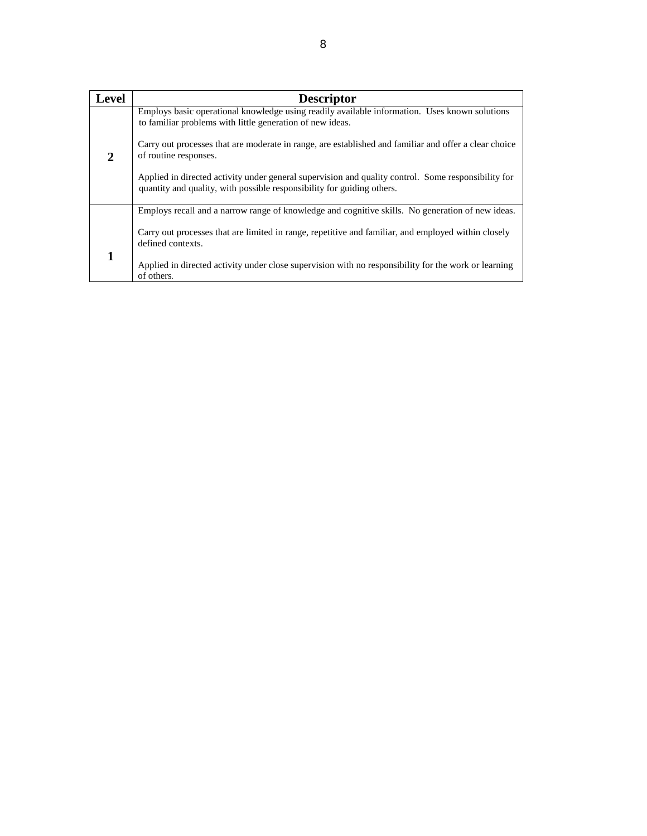| Level | <b>Descriptor</b>                                                                                                                                                             |
|-------|-------------------------------------------------------------------------------------------------------------------------------------------------------------------------------|
|       | Employs basic operational knowledge using readily available information. Uses known solutions<br>to familiar problems with little generation of new ideas.                    |
| 2     | Carry out processes that are moderate in range, are established and familiar and offer a clear choice<br>of routine responses.                                                |
|       | Applied in directed activity under general supervision and quality control. Some responsibility for<br>quantity and quality, with possible responsibility for guiding others. |
|       | Employs recall and a narrow range of knowledge and cognitive skills. No generation of new ideas.                                                                              |
|       | Carry out processes that are limited in range, repetitive and familiar, and employed within closely<br>defined contexts.                                                      |
|       | Applied in directed activity under close supervision with no responsibility for the work or learning<br>of others.                                                            |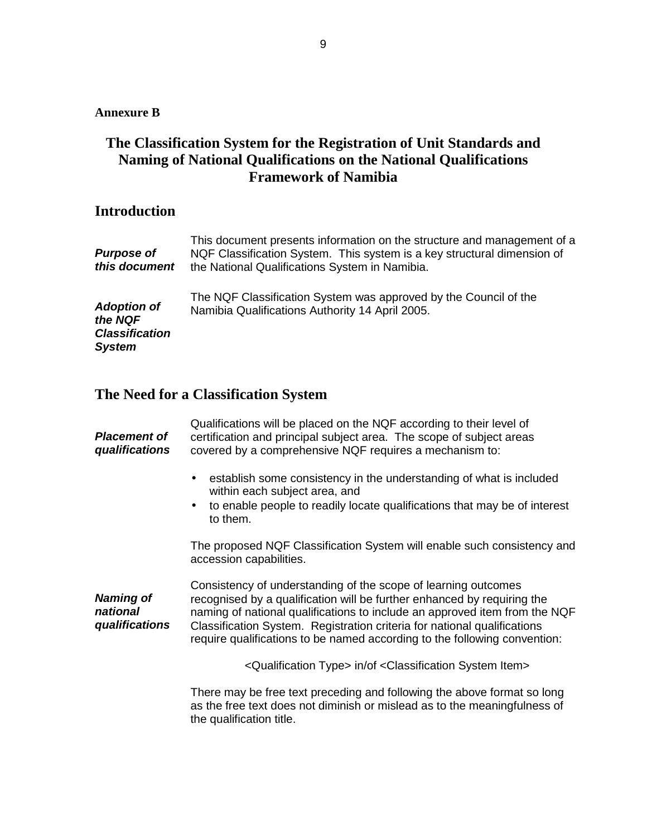## **Annexure B**

## **The Classification System for the Registration of Unit Standards and Naming of National Qualifications on the National Qualifications Framework of Namibia**

## **Introduction**

| <b>Purpose of</b><br>this document                                      | This document presents information on the structure and management of a<br>NQF Classification System. This system is a key structural dimension of<br>the National Qualifications System in Namibia. |
|-------------------------------------------------------------------------|------------------------------------------------------------------------------------------------------------------------------------------------------------------------------------------------------|
| <b>Adoption of</b><br>the NQF<br><b>Classification</b><br><b>System</b> | The NQF Classification System was approved by the Council of the<br>Namibia Qualifications Authority 14 April 2005.                                                                                  |

# **The Need for a Classification System**

| <b>Placement of</b><br>qualifications          | Qualifications will be placed on the NQF according to their level of<br>certification and principal subject area. The scope of subject areas<br>covered by a comprehensive NQF requires a mechanism to:                                                                                                                                                                          |
|------------------------------------------------|----------------------------------------------------------------------------------------------------------------------------------------------------------------------------------------------------------------------------------------------------------------------------------------------------------------------------------------------------------------------------------|
|                                                | establish some consistency in the understanding of what is included<br>within each subject area, and<br>to enable people to readily locate qualifications that may be of interest<br>to them.                                                                                                                                                                                    |
|                                                | The proposed NQF Classification System will enable such consistency and<br>accession capabilities.                                                                                                                                                                                                                                                                               |
| <b>Naming of</b><br>national<br>qualifications | Consistency of understanding of the scope of learning outcomes<br>recognised by a qualification will be further enhanced by requiring the<br>naming of national qualifications to include an approved item from the NQF<br>Classification System. Registration criteria for national qualifications<br>require qualifications to be named according to the following convention: |
|                                                | <qualification type=""> in/of <classification item="" system=""></classification></qualification>                                                                                                                                                                                                                                                                                |
|                                                | There may be free text preceding and following the above format so long<br>as the free text does not diminish or mislead as to the meaningfulness of<br>the qualification title.                                                                                                                                                                                                 |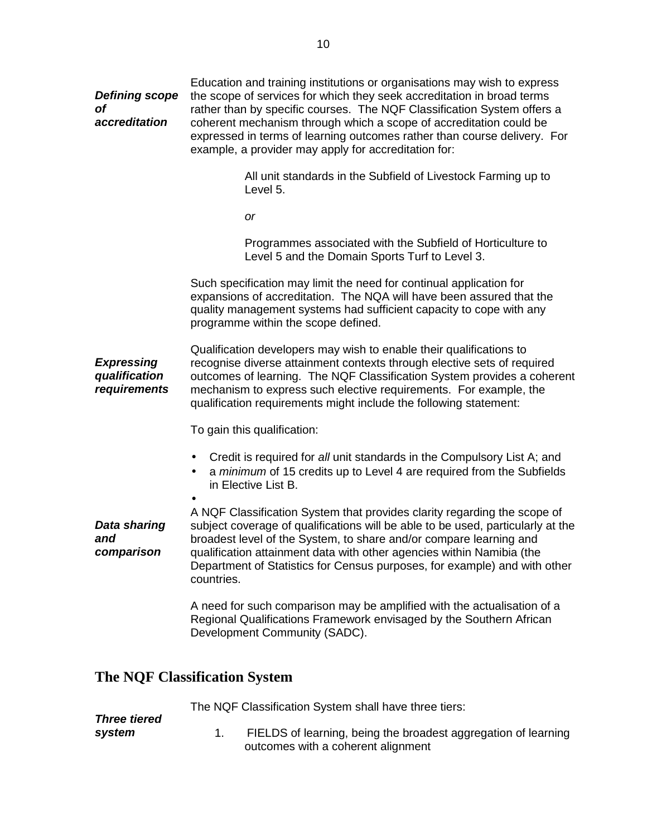| <b>Defining scope</b><br><b>of</b><br>accreditation | Education and training institutions or organisations may wish to express<br>the scope of services for which they seek accreditation in broad terms<br>rather than by specific courses. The NQF Classification System offers a<br>coherent mechanism through which a scope of accreditation could be<br>expressed in terms of learning outcomes rather than course delivery. For<br>example, a provider may apply for accreditation for: |  |
|-----------------------------------------------------|-----------------------------------------------------------------------------------------------------------------------------------------------------------------------------------------------------------------------------------------------------------------------------------------------------------------------------------------------------------------------------------------------------------------------------------------|--|
|                                                     | All unit standards in the Subfield of Livestock Farming up to<br>Level 5.                                                                                                                                                                                                                                                                                                                                                               |  |
|                                                     | <b>or</b>                                                                                                                                                                                                                                                                                                                                                                                                                               |  |
|                                                     | Programmes associated with the Subfield of Horticulture to<br>Level 5 and the Domain Sports Turf to Level 3.                                                                                                                                                                                                                                                                                                                            |  |
|                                                     | Such specification may limit the need for continual application for<br>expansions of accreditation. The NQA will have been assured that the<br>quality management systems had sufficient capacity to cope with any<br>programme within the scope defined.                                                                                                                                                                               |  |
| <b>Expressing</b><br>qualification<br>requirements  | Qualification developers may wish to enable their qualifications to<br>recognise diverse attainment contexts through elective sets of required<br>outcomes of learning. The NQF Classification System provides a coherent<br>mechanism to express such elective requirements. For example, the<br>qualification requirements might include the following statement:                                                                     |  |
|                                                     | To gain this qualification:                                                                                                                                                                                                                                                                                                                                                                                                             |  |
|                                                     | Credit is required for all unit standards in the Compulsory List A; and<br>٠<br>a minimum of 15 credits up to Level 4 are required from the Subfields<br>$\bullet$<br>in Elective List B.                                                                                                                                                                                                                                               |  |
| <b>Data sharing</b><br>and<br>comparison            | A NQF Classification System that provides clarity regarding the scope of<br>subject coverage of qualifications will be able to be used, particularly at the<br>broadest level of the System, to share and/or compare learning and<br>qualification attainment data with other agencies within Namibia (the<br>Department of Statistics for Census purposes, for example) and with other<br>countries.                                   |  |
|                                                     | A need for such comparison may be amplified with the actualisation of a<br>Regional Qualifications Framework envisaged by the Southern African<br>Development Community (SADC).                                                                                                                                                                                                                                                         |  |

# **The NQF Classification System**

|                     | The NQF Classification System shall have three tiers:          |
|---------------------|----------------------------------------------------------------|
| <b>Three tiered</b> |                                                                |
| system              | FIELDS of learning, being the broadest aggregation of learning |
|                     | outcomes with a coherent alignment                             |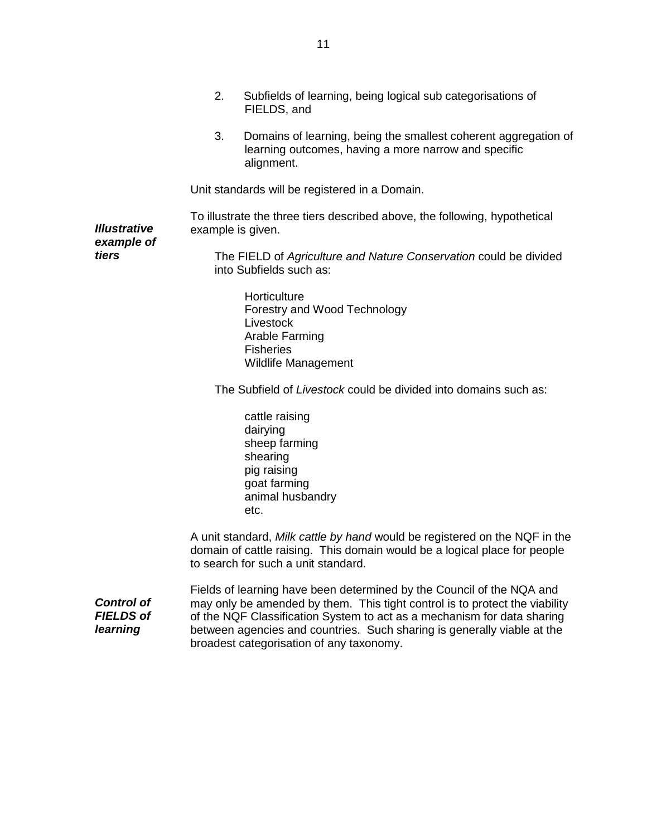|                                                   | 2.                | Subfields of learning, being logical sub categorisations of<br>FIELDS, and                                                                                                                                                                                                                                                                             |
|---------------------------------------------------|-------------------|--------------------------------------------------------------------------------------------------------------------------------------------------------------------------------------------------------------------------------------------------------------------------------------------------------------------------------------------------------|
|                                                   | 3.                | Domains of learning, being the smallest coherent aggregation of<br>learning outcomes, having a more narrow and specific<br>alignment.                                                                                                                                                                                                                  |
|                                                   |                   | Unit standards will be registered in a Domain.                                                                                                                                                                                                                                                                                                         |
| <b>Illustrative</b><br>example of                 | example is given. | To illustrate the three tiers described above, the following, hypothetical                                                                                                                                                                                                                                                                             |
| tiers                                             |                   | The FIELD of Agriculture and Nature Conservation could be divided<br>into Subfields such as:                                                                                                                                                                                                                                                           |
|                                                   |                   | Horticulture<br>Forestry and Wood Technology<br>Livestock<br>Arable Farming<br><b>Fisheries</b><br><b>Wildlife Management</b>                                                                                                                                                                                                                          |
|                                                   |                   | The Subfield of Livestock could be divided into domains such as:                                                                                                                                                                                                                                                                                       |
|                                                   |                   | cattle raising<br>dairying<br>sheep farming<br>shearing<br>pig raising<br>goat farming<br>animal husbandry<br>etc.                                                                                                                                                                                                                                     |
|                                                   |                   | A unit standard, Milk cattle by hand would be registered on the NQF in the<br>domain of cattle raising. This domain would be a logical place for people<br>to search for such a unit standard.                                                                                                                                                         |
| <b>Control of</b><br><b>FIELDS of</b><br>learning |                   | Fields of learning have been determined by the Council of the NQA and<br>may only be amended by them. This tight control is to protect the viability<br>of the NQF Classification System to act as a mechanism for data sharing<br>between agencies and countries. Such sharing is generally viable at the<br>broadest categorisation of any taxonomy. |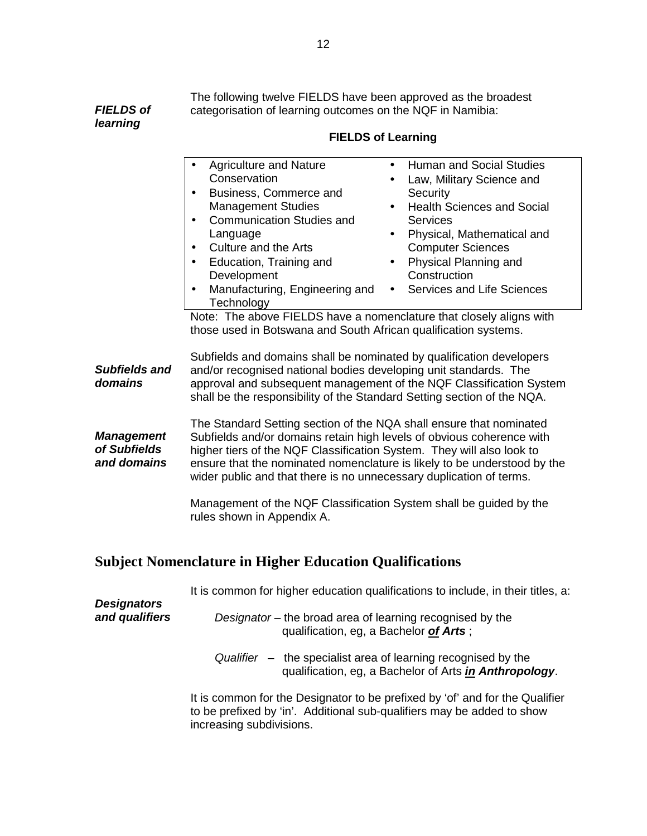**FIELDS of learning**  The following twelve FIELDS have been approved as the broadest categorisation of learning outcomes on the NQF in Namibia:

|                                               | • Human and Social Studies              |
|-----------------------------------------------|-----------------------------------------|
| Conservation                                  | Law, Military Science and<br>$\bullet$  |
| Business, Commerce and<br>$\bullet$           | Security                                |
| <b>Management Studies</b>                     | • Health Sciences and Social            |
| <b>Communication Studies and</b><br>$\bullet$ | <b>Services</b>                         |
| Language                                      | Physical, Mathematical and<br>$\bullet$ |
| Culture and the Arts<br>$\bullet$             | <b>Computer Sciences</b>                |
| Education, Training and<br>$\bullet$          | • Physical Planning and                 |
| Development                                   | Construction                            |
| Manufacturing, Engineering and<br>$\bullet$   | • Services and Life Sciences            |
| Technology                                    |                                         |

#### **FIELDS of Learning**

**Subfields and domains**  Subfields and domains shall be nominated by qualification developers and/or recognised national bodies developing unit standards. The approval and subsequent management of the NQF Classification System shall be the responsibility of the Standard Setting section of the NQA.

**Management of Subfields and domains**  The Standard Setting section of the NQA shall ensure that nominated Subfields and/or domains retain high levels of obvious coherence with higher tiers of the NQF Classification System. They will also look to ensure that the nominated nomenclature is likely to be understood by the wider public and that there is no unnecessary duplication of terms.

> Management of the NQF Classification System shall be guided by the rules shown in Appendix A.

## **Subject Nomenclature in Higher Education Qualifications**

|                                      | It is common for higher education qualifications to include, in their titles, a:                                                                                                   |
|--------------------------------------|------------------------------------------------------------------------------------------------------------------------------------------------------------------------------------|
| <b>Designators</b><br>and qualifiers | Designator – the broad area of learning recognised by the<br>qualification, eg, a Bachelor of Arts;                                                                                |
|                                      | Qualifier $-$ the specialist area of learning recognised by the<br>qualification, eg, a Bachelor of Arts in Anthropology.                                                          |
|                                      | It is common for the Designator to be prefixed by 'of' and for the Qualifier<br>to be prefixed by 'in'. Additional sub-qualifiers may be added to show<br>increasing subdivisions. |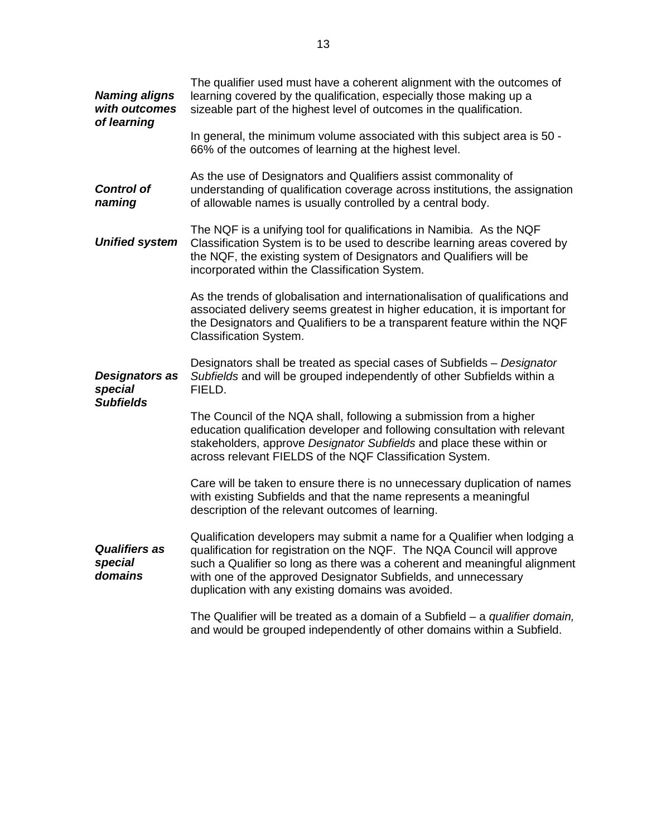| <b>Naming aligns</b><br>with outcomes<br>of learning | The qualifier used must have a coherent alignment with the outcomes of<br>learning covered by the qualification, especially those making up a<br>sizeable part of the highest level of outcomes in the qualification.                                                                                                                                     |
|------------------------------------------------------|-----------------------------------------------------------------------------------------------------------------------------------------------------------------------------------------------------------------------------------------------------------------------------------------------------------------------------------------------------------|
|                                                      | In general, the minimum volume associated with this subject area is 50 -<br>66% of the outcomes of learning at the highest level.                                                                                                                                                                                                                         |
| <b>Control of</b><br>naming                          | As the use of Designators and Qualifiers assist commonality of<br>understanding of qualification coverage across institutions, the assignation<br>of allowable names is usually controlled by a central body.                                                                                                                                             |
| <b>Unified system</b>                                | The NQF is a unifying tool for qualifications in Namibia. As the NQF<br>Classification System is to be used to describe learning areas covered by<br>the NQF, the existing system of Designators and Qualifiers will be<br>incorporated within the Classification System.                                                                                 |
|                                                      | As the trends of globalisation and internationalisation of qualifications and<br>associated delivery seems greatest in higher education, it is important for<br>the Designators and Qualifiers to be a transparent feature within the NQF<br><b>Classification System.</b>                                                                                |
| Designators as<br>special<br><b>Subfields</b>        | Designators shall be treated as special cases of Subfields - Designator<br>Subfields and will be grouped independently of other Subfields within a<br>FIELD.                                                                                                                                                                                              |
|                                                      | The Council of the NQA shall, following a submission from a higher<br>education qualification developer and following consultation with relevant<br>stakeholders, approve Designator Subfields and place these within or<br>across relevant FIELDS of the NQF Classification System.                                                                      |
|                                                      | Care will be taken to ensure there is no unnecessary duplication of names<br>with existing Subfields and that the name represents a meaningful<br>description of the relevant outcomes of learning.                                                                                                                                                       |
| <b>Qualifiers as</b><br>special<br>domains           | Qualification developers may submit a name for a Qualifier when lodging a<br>qualification for registration on the NQF. The NQA Council will approve<br>such a Qualifier so long as there was a coherent and meaningful alignment<br>with one of the approved Designator Subfields, and unnecessary<br>duplication with any existing domains was avoided. |
|                                                      | The Qualifier will be treated as a domain of a Subfield $-$ a <i>qualifier domain</i> ,<br>and would be grouped independently of other domains within a Subfield.                                                                                                                                                                                         |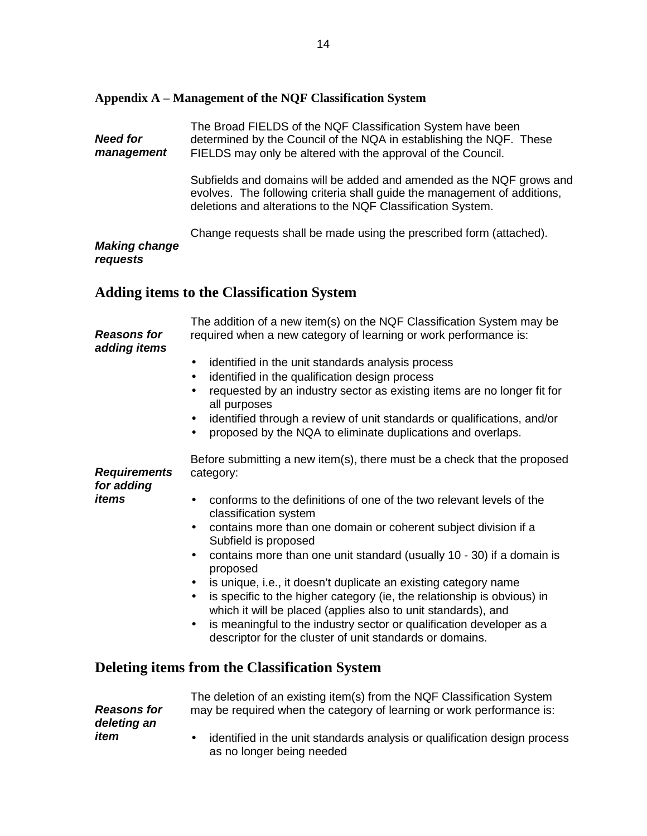#### **Appendix A – Management of the NQF Classification System**

**Need for management**  The Broad FIELDS of the NQF Classification System have been determined by the Council of the NQA in establishing the NQF. These FIELDS may only be altered with the approval of the Council.

> Subfields and domains will be added and amended as the NQF grows and evolves. The following criteria shall guide the management of additions, deletions and alterations to the NQF Classification System.

Change requests shall be made using the prescribed form (attached).

#### **Making change requests**

## **Adding items to the Classification System**

| <b>Reasons for</b><br>adding items | The addition of a new item(s) on the NQF Classification System may be<br>required when a new category of learning or work performance is:                                                                                                                                                                                                                                                                                                                                                                                                                                                                                                                                    |
|------------------------------------|------------------------------------------------------------------------------------------------------------------------------------------------------------------------------------------------------------------------------------------------------------------------------------------------------------------------------------------------------------------------------------------------------------------------------------------------------------------------------------------------------------------------------------------------------------------------------------------------------------------------------------------------------------------------------|
|                                    | identified in the unit standards analysis process<br>٠<br>identified in the qualification design process<br>$\bullet$<br>requested by an industry sector as existing items are no longer fit for<br>all purposes<br>identified through a review of unit standards or qualifications, and/or<br>٠<br>proposed by the NQA to eliminate duplications and overlaps.                                                                                                                                                                                                                                                                                                              |
| <b>Requirements</b><br>for adding  | Before submitting a new item(s), there must be a check that the proposed<br>category:                                                                                                                                                                                                                                                                                                                                                                                                                                                                                                                                                                                        |
| items                              | conforms to the definitions of one of the two relevant levels of the<br>classification system<br>contains more than one domain or coherent subject division if a<br>$\bullet$<br>Subfield is proposed<br>contains more than one unit standard (usually 10 - 30) if a domain is<br>$\bullet$<br>proposed<br>is unique, i.e., it doesn't duplicate an existing category name<br>$\bullet$<br>is specific to the higher category (ie, the relationship is obvious) in<br>which it will be placed (applies also to unit standards), and<br>is meaningful to the industry sector or qualification developer as a<br>٠<br>descriptor for the cluster of unit standards or domains. |
|                                    | <b>Deleting items from the Classification System</b>                                                                                                                                                                                                                                                                                                                                                                                                                                                                                                                                                                                                                         |
| <b>Reasons for</b><br>deleting an  | The deletion of an existing item(s) from the NQF Classification System<br>may be required when the category of learning or work performance is:                                                                                                                                                                                                                                                                                                                                                                                                                                                                                                                              |
| item                               | identified in the unit standards analysis or qualification design process<br>$\bullet$<br>as no longer being needed                                                                                                                                                                                                                                                                                                                                                                                                                                                                                                                                                          |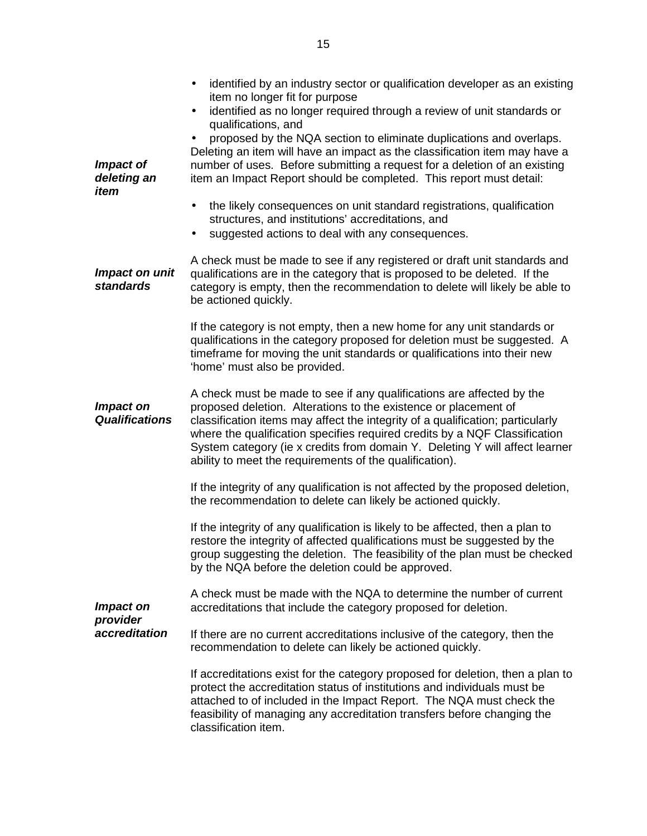| Impact of<br>deleting an<br>item   | identified by an industry sector or qualification developer as an existing<br>$\bullet$<br>item no longer fit for purpose<br>identified as no longer required through a review of unit standards or<br>$\bullet$<br>qualifications, and<br>proposed by the NQA section to eliminate duplications and overlaps.<br>Deleting an item will have an impact as the classification item may have a<br>number of uses. Before submitting a request for a deletion of an existing<br>item an Impact Report should be completed. This report must detail: |
|------------------------------------|--------------------------------------------------------------------------------------------------------------------------------------------------------------------------------------------------------------------------------------------------------------------------------------------------------------------------------------------------------------------------------------------------------------------------------------------------------------------------------------------------------------------------------------------------|
|                                    | the likely consequences on unit standard registrations, qualification<br>$\bullet$<br>structures, and institutions' accreditations, and<br>suggested actions to deal with any consequences.                                                                                                                                                                                                                                                                                                                                                      |
| Impact on unit<br><b>standards</b> | A check must be made to see if any registered or draft unit standards and<br>qualifications are in the category that is proposed to be deleted. If the<br>category is empty, then the recommendation to delete will likely be able to<br>be actioned quickly.                                                                                                                                                                                                                                                                                    |
|                                    | If the category is not empty, then a new home for any unit standards or<br>qualifications in the category proposed for deletion must be suggested. A<br>timeframe for moving the unit standards or qualifications into their new<br>'home' must also be provided.                                                                                                                                                                                                                                                                                |
| Impact on<br><b>Qualifications</b> | A check must be made to see if any qualifications are affected by the<br>proposed deletion. Alterations to the existence or placement of<br>classification items may affect the integrity of a qualification; particularly<br>where the qualification specifies required credits by a NQF Classification<br>System category (ie x credits from domain Y. Deleting Y will affect learner<br>ability to meet the requirements of the qualification).                                                                                               |
|                                    | If the integrity of any qualification is not affected by the proposed deletion,<br>the recommendation to delete can likely be actioned quickly.                                                                                                                                                                                                                                                                                                                                                                                                  |
|                                    | If the integrity of any qualification is likely to be affected, then a plan to<br>restore the integrity of affected qualifications must be suggested by the<br>group suggesting the deletion. The feasibility of the plan must be checked<br>by the NQA before the deletion could be approved.                                                                                                                                                                                                                                                   |
| Impact on                          | A check must be made with the NQA to determine the number of current<br>accreditations that include the category proposed for deletion.                                                                                                                                                                                                                                                                                                                                                                                                          |
| provider<br>accreditation          | If there are no current accreditations inclusive of the category, then the<br>recommendation to delete can likely be actioned quickly.                                                                                                                                                                                                                                                                                                                                                                                                           |
|                                    | If accreditations exist for the category proposed for deletion, then a plan to<br>protect the accreditation status of institutions and individuals must be<br>attached to of included in the Impact Report. The NQA must check the<br>feasibility of managing any accreditation transfers before changing the<br>classification item.                                                                                                                                                                                                            |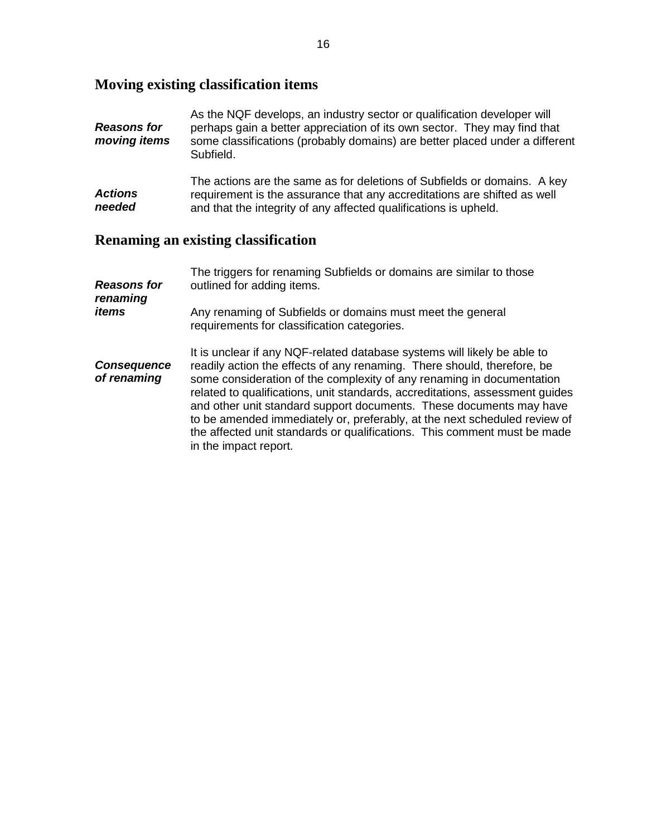# **Moving existing classification items**

| <b>Reasons for</b><br>moving items | As the NQF develops, an industry sector or qualification developer will<br>perhaps gain a better appreciation of its own sector. They may find that<br>some classifications (probably domains) are better placed under a different<br>Subfield.                                                                                                                                                                                                                                                                                                                       |
|------------------------------------|-----------------------------------------------------------------------------------------------------------------------------------------------------------------------------------------------------------------------------------------------------------------------------------------------------------------------------------------------------------------------------------------------------------------------------------------------------------------------------------------------------------------------------------------------------------------------|
| Actions<br>needed                  | The actions are the same as for deletions of Subfields or domains. A key<br>requirement is the assurance that any accreditations are shifted as well<br>and that the integrity of any affected qualifications is upheld.                                                                                                                                                                                                                                                                                                                                              |
|                                    | <b>Renaming an existing classification</b>                                                                                                                                                                                                                                                                                                                                                                                                                                                                                                                            |
| <b>Reasons for</b><br>renaming     | The triggers for renaming Subfields or domains are similar to those<br>outlined for adding items.                                                                                                                                                                                                                                                                                                                                                                                                                                                                     |
| items                              | Any renaming of Subfields or domains must meet the general<br>requirements for classification categories.                                                                                                                                                                                                                                                                                                                                                                                                                                                             |
| <b>Consequence</b><br>of renaming  | It is unclear if any NQF-related database systems will likely be able to<br>readily action the effects of any renaming. There should, therefore, be<br>some consideration of the complexity of any renaming in documentation<br>related to qualifications, unit standards, accreditations, assessment guides<br>and other unit standard support documents. These documents may have<br>to be amended immediately or, preferably, at the next scheduled review of<br>the affected unit standards or qualifications. This comment must be made<br>in the impact report. |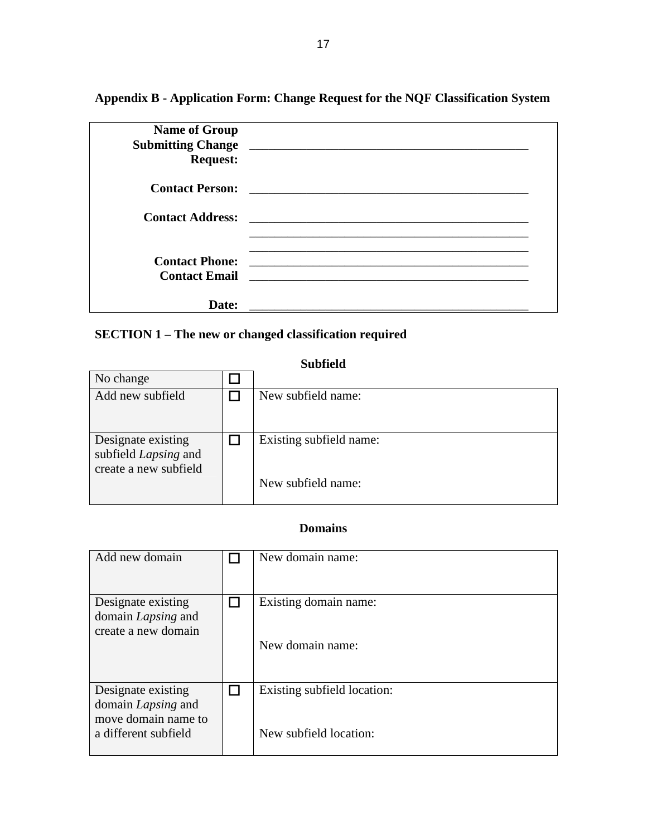**Appendix B - Application Form: Change Request for the NQF Classification System** 

| <b>Name of Group</b><br><b>Request:</b>       |                                                          |  |
|-----------------------------------------------|----------------------------------------------------------|--|
| <b>Contact Person:</b>                        | <u> 1986 - John Stein, Amerikaansk konstantinopler (</u> |  |
|                                               |                                                          |  |
| <b>Contact Phone:</b><br><b>Contact Email</b> |                                                          |  |
| <b>Date:</b>                                  |                                                          |  |

# **SECTION 1 – The new or changed classification required**

no change and change and change and change and change and change and change and change and change and change a

## **Subfield**

| No change                                                           |                         |
|---------------------------------------------------------------------|-------------------------|
| Add new subfield                                                    | New subfield name:      |
| Designate existing<br>subfield Lapsing and<br>create a new subfield | Existing subfield name: |
|                                                                     | New subfield name:      |

## **Domains**

| Add new domain                                                                                 | New domain name:                                      |
|------------------------------------------------------------------------------------------------|-------------------------------------------------------|
| Designate existing<br>domain Lapsing and<br>create a new domain                                | Existing domain name:<br>New domain name:             |
| Designate existing<br>domain <i>Lapsing</i> and<br>move domain name to<br>a different subfield | Existing subfield location:<br>New subfield location: |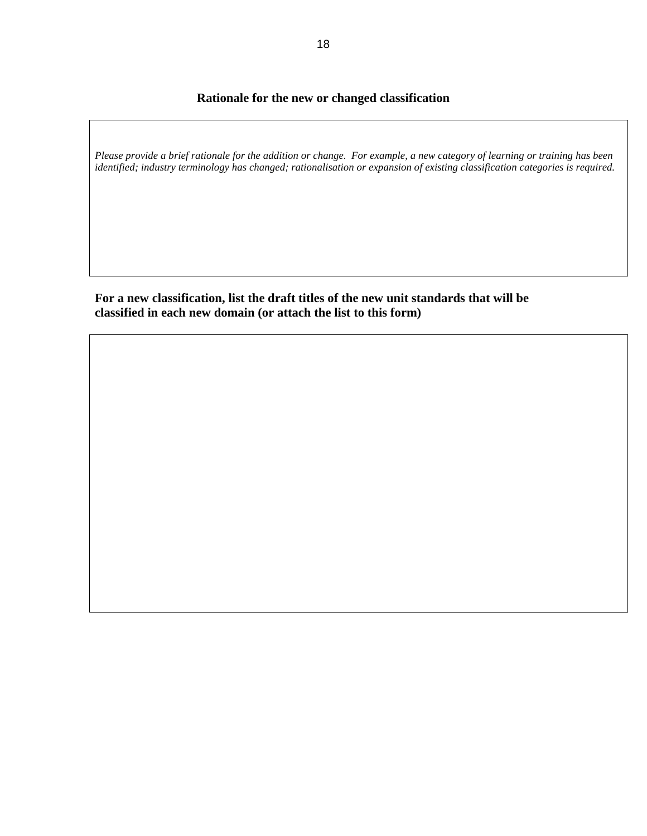## **Rationale for the new or changed classification**

*Please provide a brief rationale for the addition or change. For example, a new category of learning or training has been identified; industry terminology has changed; rationalisation or expansion of existing classification categories is required.*

**For a new classification, list the draft titles of the new unit standards that will be classified in each new domain (or attach the list to this form)**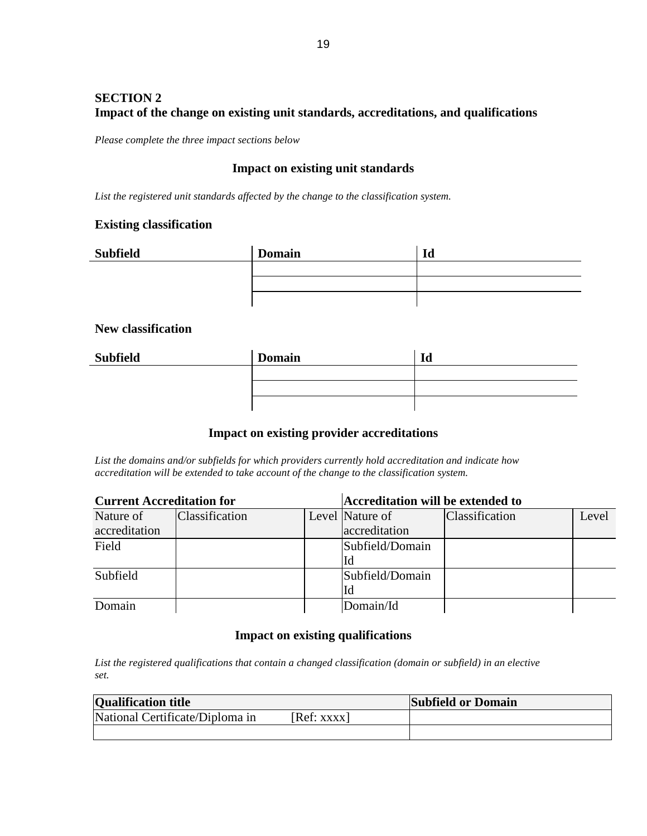## **SECTION 2 Impact of the change on existing unit standards, accreditations, and qualifications**

*Please complete the three impact sections below* 

## **Impact on existing unit standards**

*List the registered unit standards affected by the change to the classification system.* 

#### **Existing classification**

| <b>Subfield</b> | <b>Domain</b> | Id |
|-----------------|---------------|----|
|                 |               |    |
|                 |               |    |
|                 |               |    |

#### **New classification**

| <b>Subfield</b> | <b>Domain</b> | Id |
|-----------------|---------------|----|
|                 |               |    |
|                 |               |    |
|                 |               |    |

### **Impact on existing provider accreditations**

*List the domains and/or subfields for which providers currently hold accreditation and indicate how accreditation will be extended to take account of the change to the classification system.*

| <b>Current Accreditation for</b> |                       | <b>Accreditation will be extended to</b> |                 |                       |       |
|----------------------------------|-----------------------|------------------------------------------|-----------------|-----------------------|-------|
| Nature of                        | <b>Classification</b> |                                          | Level Nature of | <b>Classification</b> | Level |
| accreditation                    |                       |                                          | accreditation   |                       |       |
| Field                            |                       |                                          | Subfield/Domain |                       |       |
|                                  |                       |                                          | Id              |                       |       |
| Subfield                         |                       |                                          | Subfield/Domain |                       |       |
|                                  |                       |                                          | Id              |                       |       |
| Domain                           |                       |                                          | Domain/Id       |                       |       |

### **Impact on existing qualifications**

*List the registered qualifications that contain a changed classification (domain or subfield) in an elective set.*

| <b>Qualification title</b>      |            | <b>Subfield or Domain</b> |
|---------------------------------|------------|---------------------------|
| National Certificate/Diploma in | [Ref: XXX] |                           |
|                                 |            |                           |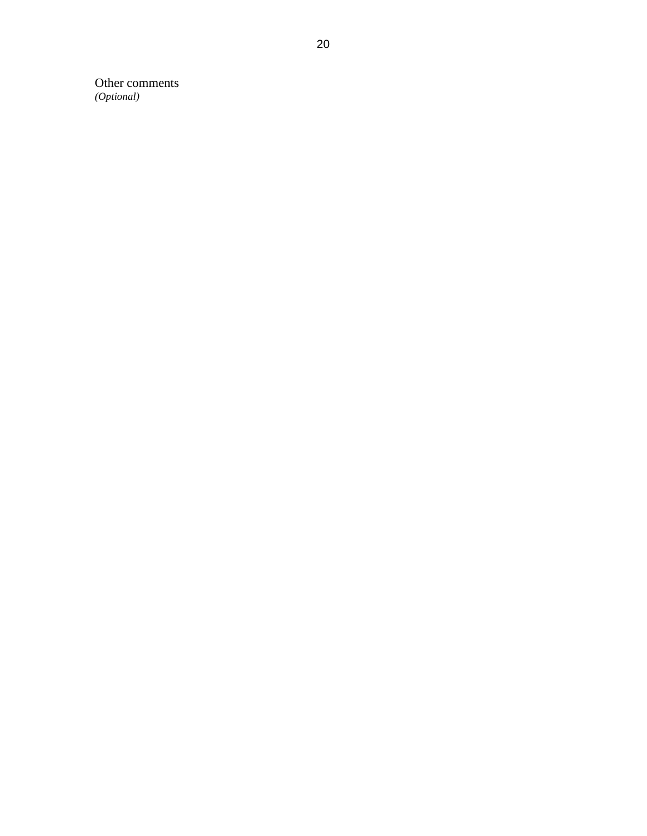Other comments *(Optional)*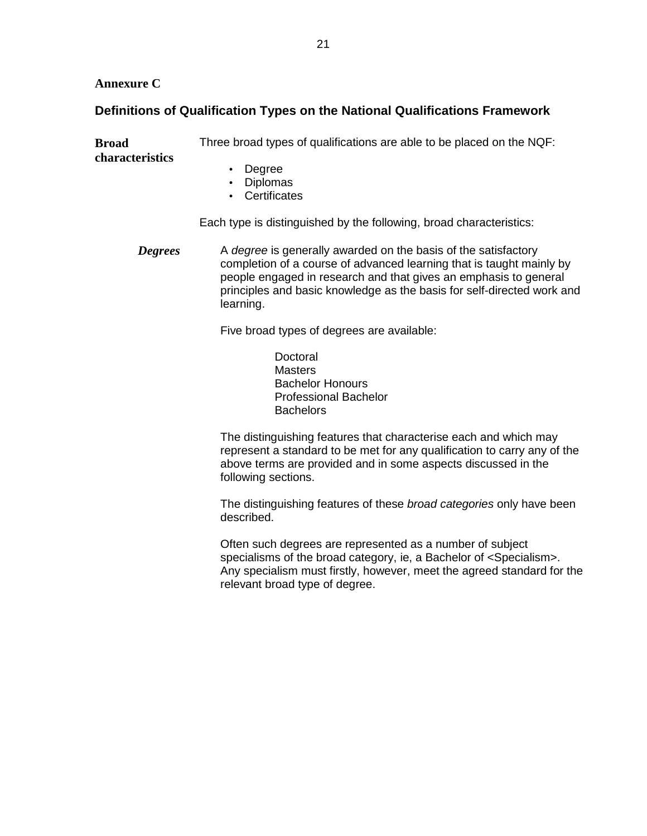### **Annexure C**

## **Definitions of Qualification Types on the National Qualifications Framework**

**Broad characteristics**  Three broad types of qualifications are able to be placed on the NQF:

- Degree
- Diplomas
- Certificates

Each type is distinguished by the following, broad characteristics:

**Degrees** A degree is generally awarded on the basis of the satisfactory completion of a course of advanced learning that is taught mainly by people engaged in research and that gives an emphasis to general principles and basic knowledge as the basis for self-directed work and learning.

Five broad types of degrees are available:

Doctoral **Masters** Bachelor Honours Professional Bachelor **Bachelors** 

The distinguishing features that characterise each and which may represent a standard to be met for any qualification to carry any of the above terms are provided and in some aspects discussed in the following sections.

The distinguishing features of these broad categories only have been described.

Often such degrees are represented as a number of subject specialisms of the broad category, ie, a Bachelor of <Specialism>. Any specialism must firstly, however, meet the agreed standard for the relevant broad type of degree.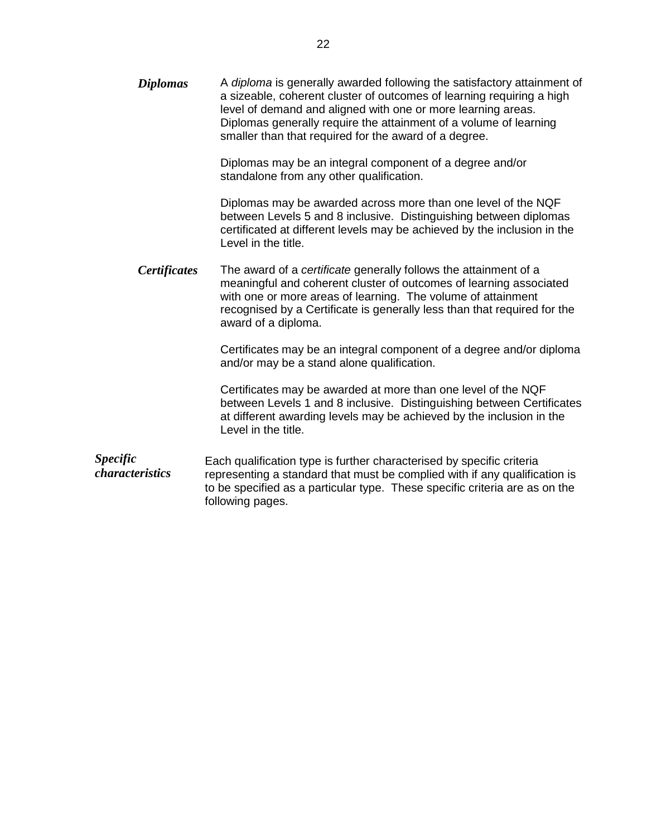| <b>Diplomas</b>                    | A diploma is generally awarded following the satisfactory attainment of<br>a sizeable, coherent cluster of outcomes of learning requiring a high<br>level of demand and aligned with one or more learning areas.<br>Diplomas generally require the attainment of a volume of learning<br>smaller than that required for the award of a degree. |
|------------------------------------|------------------------------------------------------------------------------------------------------------------------------------------------------------------------------------------------------------------------------------------------------------------------------------------------------------------------------------------------|
|                                    | Diplomas may be an integral component of a degree and/or<br>standalone from any other qualification.                                                                                                                                                                                                                                           |
|                                    | Diplomas may be awarded across more than one level of the NQF<br>between Levels 5 and 8 inclusive. Distinguishing between diplomas<br>certificated at different levels may be achieved by the inclusion in the<br>Level in the title.                                                                                                          |
| <b>Certificates</b>                | The award of a certificate generally follows the attainment of a<br>meaningful and coherent cluster of outcomes of learning associated<br>with one or more areas of learning. The volume of attainment<br>recognised by a Certificate is generally less than that required for the<br>award of a diploma.                                      |
|                                    | Certificates may be an integral component of a degree and/or diploma<br>and/or may be a stand alone qualification.                                                                                                                                                                                                                             |
|                                    | Certificates may be awarded at more than one level of the NQF<br>between Levels 1 and 8 inclusive. Distinguishing between Certificates<br>at different awarding levels may be achieved by the inclusion in the<br>Level in the title.                                                                                                          |
| <b>Specific</b><br>characteristics | Each qualification type is further characterised by specific criteria<br>representing a standard that must be complied with if any qualification is<br>to be specified as a particular type. These specific criteria are as on the<br>following pages.                                                                                         |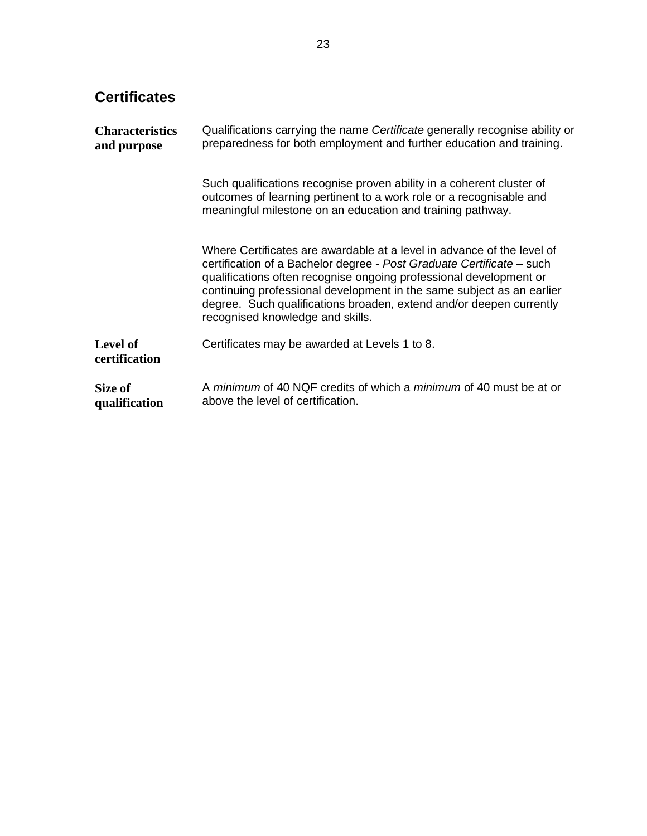# **Certificates**

| <b>Characteristics</b><br>and purpose | Qualifications carrying the name <i>Certificate</i> generally recognise ability or<br>preparedness for both employment and further education and training.                                                                                                                                                                                                                                                |  |  |
|---------------------------------------|-----------------------------------------------------------------------------------------------------------------------------------------------------------------------------------------------------------------------------------------------------------------------------------------------------------------------------------------------------------------------------------------------------------|--|--|
|                                       | Such qualifications recognise proven ability in a coherent cluster of<br>outcomes of learning pertinent to a work role or a recognisable and<br>meaningful milestone on an education and training pathway.                                                                                                                                                                                                |  |  |
|                                       | Where Certificates are awardable at a level in advance of the level of<br>certification of a Bachelor degree - Post Graduate Certificate – such<br>qualifications often recognise ongoing professional development or<br>continuing professional development in the same subject as an earlier<br>degree. Such qualifications broaden, extend and/or deepen currently<br>recognised knowledge and skills. |  |  |
| <b>Level of</b><br>certification      | Certificates may be awarded at Levels 1 to 8.                                                                                                                                                                                                                                                                                                                                                             |  |  |
| Size of<br>qualification              | A minimum of 40 NQF credits of which a minimum of 40 must be at or<br>above the level of certification.                                                                                                                                                                                                                                                                                                   |  |  |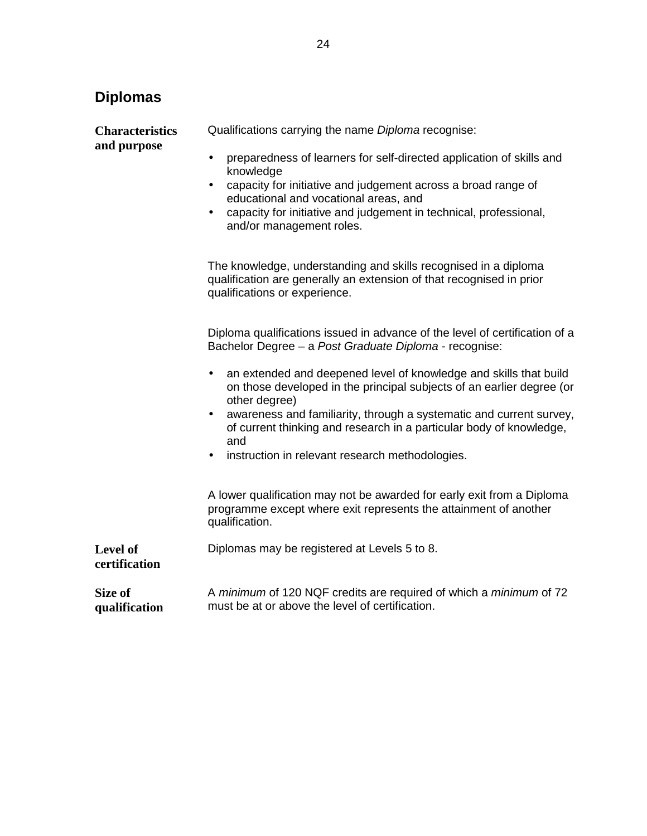# **Diplomas**

**Characteristics** 

**and purpose**  • preparedness of learners for self-directed application of skills and knowledge • capacity for initiative and judgement across a broad range of educational and vocational areas, and • capacity for initiative and judgement in technical, professional, and/or management roles. The knowledge, understanding and skills recognised in a diploma qualification are generally an extension of that recognised in prior qualifications or experience. Diploma qualifications issued in advance of the level of certification of a Bachelor Degree – a Post Graduate Diploma - recognise: • an extended and deepened level of knowledge and skills that build on those developed in the principal subjects of an earlier degree (or other degree) • awareness and familiarity, through a systematic and current survey, of current thinking and research in a particular body of knowledge, and instruction in relevant research methodologies. A lower qualification may not be awarded for early exit from a Diploma programme except where exit represents the attainment of another qualification. **Level of certification**  Diplomas may be registered at Levels 5 to 8. **Size of qualification**  A minimum of 120 NQF credits are required of which a minimum of 72 must be at or above the level of certification.

Qualifications carrying the name Diploma recognise: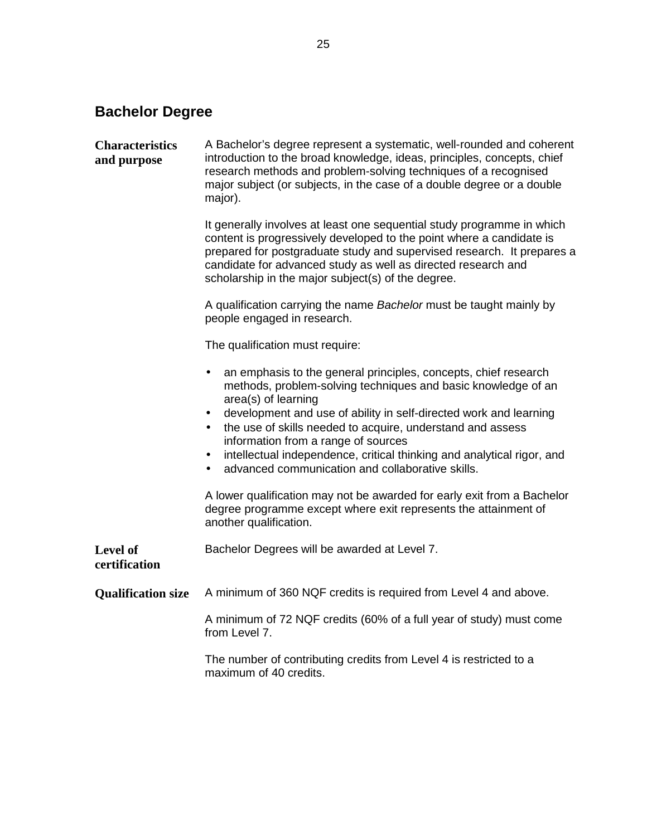# **Bachelor Degree**

| <b>Characteristics</b><br>and purpose | A Bachelor's degree represent a systematic, well-rounded and coherent<br>introduction to the broad knowledge, ideas, principles, concepts, chief<br>research methods and problem-solving techniques of a recognised<br>major subject (or subjects, in the case of a double degree or a double<br>major).                                                                                                                                                                                                            |
|---------------------------------------|---------------------------------------------------------------------------------------------------------------------------------------------------------------------------------------------------------------------------------------------------------------------------------------------------------------------------------------------------------------------------------------------------------------------------------------------------------------------------------------------------------------------|
|                                       | It generally involves at least one sequential study programme in which<br>content is progressively developed to the point where a candidate is<br>prepared for postgraduate study and supervised research. It prepares a<br>candidate for advanced study as well as directed research and<br>scholarship in the major subject(s) of the degree.                                                                                                                                                                     |
|                                       | A qualification carrying the name Bachelor must be taught mainly by<br>people engaged in research.                                                                                                                                                                                                                                                                                                                                                                                                                  |
|                                       | The qualification must require:                                                                                                                                                                                                                                                                                                                                                                                                                                                                                     |
|                                       | an emphasis to the general principles, concepts, chief research<br>$\bullet$<br>methods, problem-solving techniques and basic knowledge of an<br>area(s) of learning<br>development and use of ability in self-directed work and learning<br>$\bullet$<br>the use of skills needed to acquire, understand and assess<br>information from a range of sources<br>intellectual independence, critical thinking and analytical rigor, and<br>$\bullet$<br>advanced communication and collaborative skills.<br>$\bullet$ |
|                                       | A lower qualification may not be awarded for early exit from a Bachelor<br>degree programme except where exit represents the attainment of<br>another qualification.                                                                                                                                                                                                                                                                                                                                                |
| Level of<br>certification             | Bachelor Degrees will be awarded at Level 7.                                                                                                                                                                                                                                                                                                                                                                                                                                                                        |
| <b>Qualification size</b>             | A minimum of 360 NQF credits is required from Level 4 and above.                                                                                                                                                                                                                                                                                                                                                                                                                                                    |
|                                       | A minimum of 72 NQF credits (60% of a full year of study) must come<br>from Level 7.                                                                                                                                                                                                                                                                                                                                                                                                                                |
|                                       | The number of contributing credits from Level 4 is restricted to a<br>maximum of 40 credits.                                                                                                                                                                                                                                                                                                                                                                                                                        |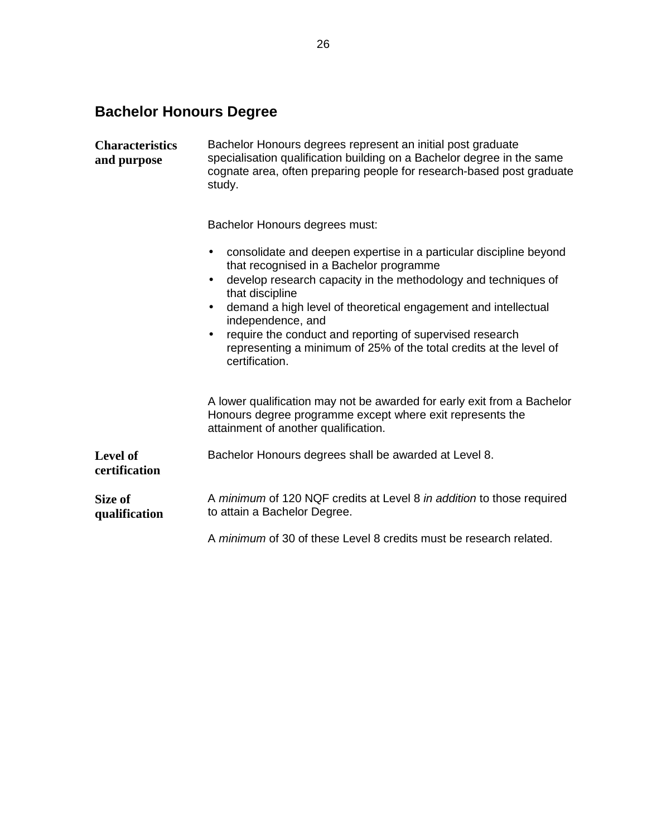# **Bachelor Honours Degree**

| <b>Characteristics</b><br>and purpose | Bachelor Honours degrees represent an initial post graduate<br>specialisation qualification building on a Bachelor degree in the same<br>cognate area, often preparing people for research-based post graduate<br>study.                                                                                                                                                                                                                                                                          |  |  |  |  |
|---------------------------------------|---------------------------------------------------------------------------------------------------------------------------------------------------------------------------------------------------------------------------------------------------------------------------------------------------------------------------------------------------------------------------------------------------------------------------------------------------------------------------------------------------|--|--|--|--|
|                                       | Bachelor Honours degrees must:                                                                                                                                                                                                                                                                                                                                                                                                                                                                    |  |  |  |  |
|                                       | consolidate and deepen expertise in a particular discipline beyond<br>$\bullet$<br>that recognised in a Bachelor programme<br>develop research capacity in the methodology and techniques of<br>$\bullet$<br>that discipline<br>demand a high level of theoretical engagement and intellectual<br>$\bullet$<br>independence, and<br>require the conduct and reporting of supervised research<br>$\bullet$<br>representing a minimum of 25% of the total credits at the level of<br>certification. |  |  |  |  |
|                                       | A lower qualification may not be awarded for early exit from a Bachelor<br>Honours degree programme except where exit represents the<br>attainment of another qualification.                                                                                                                                                                                                                                                                                                                      |  |  |  |  |
| Level of<br>certification             | Bachelor Honours degrees shall be awarded at Level 8.                                                                                                                                                                                                                                                                                                                                                                                                                                             |  |  |  |  |
| Size of<br>qualification              | A minimum of 120 NQF credits at Level 8 in addition to those required<br>to attain a Bachelor Degree.                                                                                                                                                                                                                                                                                                                                                                                             |  |  |  |  |
|                                       | A minimum of 30 of these Level 8 credits must be research related.                                                                                                                                                                                                                                                                                                                                                                                                                                |  |  |  |  |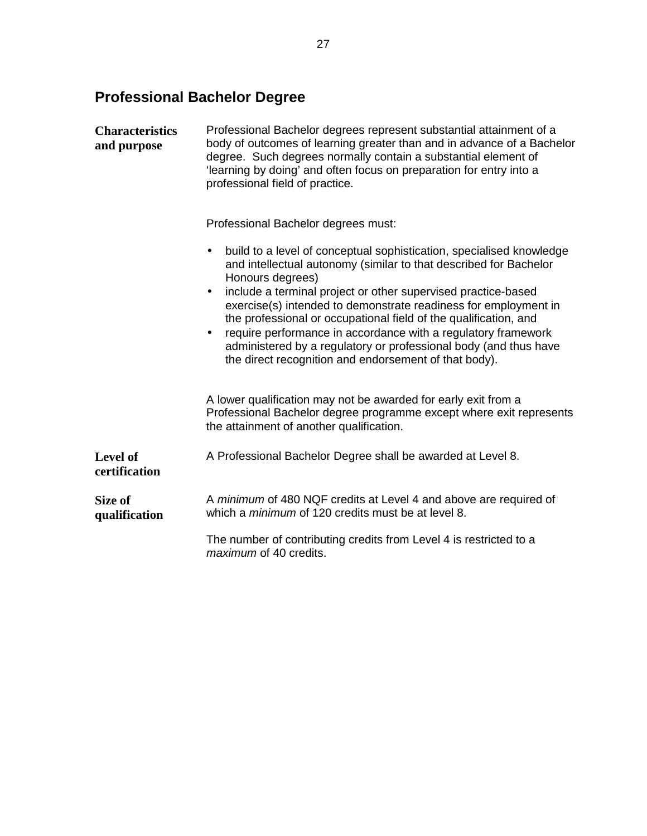# **Professional Bachelor Degree**

| <b>Characteristics</b><br>and purpose | Professional Bachelor degrees represent substantial attainment of a<br>body of outcomes of learning greater than and in advance of a Bachelor<br>degree. Such degrees normally contain a substantial element of<br>'learning by doing' and often focus on preparation for entry into a<br>professional field of practice. |  |  |  |  |
|---------------------------------------|---------------------------------------------------------------------------------------------------------------------------------------------------------------------------------------------------------------------------------------------------------------------------------------------------------------------------|--|--|--|--|
|                                       | Professional Bachelor degrees must:                                                                                                                                                                                                                                                                                       |  |  |  |  |
|                                       | build to a level of conceptual sophistication, specialised knowledge<br>$\bullet$<br>and intellectual autonomy (similar to that described for Bachelor<br>Honours degrees)                                                                                                                                                |  |  |  |  |
|                                       | include a terminal project or other supervised practice-based<br>$\bullet$<br>exercise(s) intended to demonstrate readiness for employment in<br>the professional or occupational field of the qualification, and                                                                                                         |  |  |  |  |
|                                       | require performance in accordance with a regulatory framework<br>$\bullet$<br>administered by a regulatory or professional body (and thus have<br>the direct recognition and endorsement of that body).                                                                                                                   |  |  |  |  |
|                                       | A lower qualification may not be awarded for early exit from a<br>Professional Bachelor degree programme except where exit represents<br>the attainment of another qualification.                                                                                                                                         |  |  |  |  |
| Level of<br>certification             | A Professional Bachelor Degree shall be awarded at Level 8.                                                                                                                                                                                                                                                               |  |  |  |  |
| Size of<br>qualification              | A minimum of 480 NQF credits at Level 4 and above are required of<br>which a <i>minimum</i> of 120 credits must be at level 8.                                                                                                                                                                                            |  |  |  |  |
|                                       | The number of contributing credits from Level 4 is restricted to a<br><i>maximum</i> of 40 credits.                                                                                                                                                                                                                       |  |  |  |  |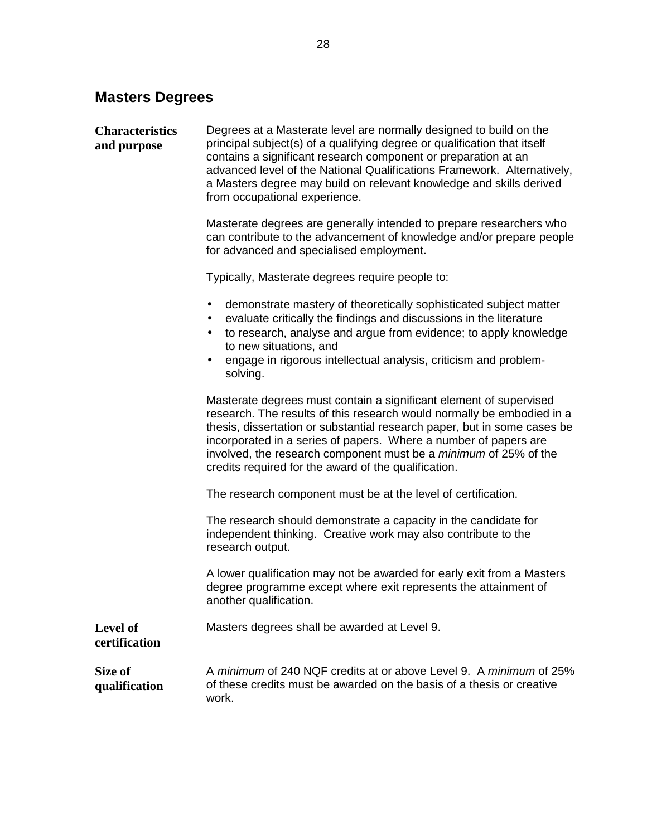# **Masters Degrees**

| <b>Characteristics</b><br>and purpose | Degrees at a Masterate level are normally designed to build on the<br>principal subject(s) of a qualifying degree or qualification that itself<br>contains a significant research component or preparation at an<br>advanced level of the National Qualifications Framework. Alternatively,<br>a Masters degree may build on relevant knowledge and skills derived<br>from occupational experience.                             |
|---------------------------------------|---------------------------------------------------------------------------------------------------------------------------------------------------------------------------------------------------------------------------------------------------------------------------------------------------------------------------------------------------------------------------------------------------------------------------------|
|                                       | Masterate degrees are generally intended to prepare researchers who<br>can contribute to the advancement of knowledge and/or prepare people<br>for advanced and specialised employment.                                                                                                                                                                                                                                         |
|                                       | Typically, Masterate degrees require people to:                                                                                                                                                                                                                                                                                                                                                                                 |
|                                       | demonstrate mastery of theoretically sophisticated subject matter<br>$\bullet$<br>evaluate critically the findings and discussions in the literature<br>$\bullet$<br>to research, analyse and argue from evidence; to apply knowledge<br>$\bullet$<br>to new situations, and<br>engage in rigorous intellectual analysis, criticism and problem-<br>solving.                                                                    |
|                                       | Masterate degrees must contain a significant element of supervised<br>research. The results of this research would normally be embodied in a<br>thesis, dissertation or substantial research paper, but in some cases be<br>incorporated in a series of papers. Where a number of papers are<br>involved, the research component must be a <i>minimum</i> of 25% of the<br>credits required for the award of the qualification. |
|                                       | The research component must be at the level of certification.                                                                                                                                                                                                                                                                                                                                                                   |
|                                       | The research should demonstrate a capacity in the candidate for<br>independent thinking. Creative work may also contribute to the<br>research output.                                                                                                                                                                                                                                                                           |
|                                       | A lower qualification may not be awarded for early exit from a Masters<br>degree programme except where exit represents the attainment of<br>another qualification.                                                                                                                                                                                                                                                             |
| Level of<br>certification             | Masters degrees shall be awarded at Level 9.                                                                                                                                                                                                                                                                                                                                                                                    |
| Size of<br>qualification              | A minimum of 240 NQF credits at or above Level 9. A minimum of 25%<br>of these credits must be awarded on the basis of a thesis or creative<br>work.                                                                                                                                                                                                                                                                            |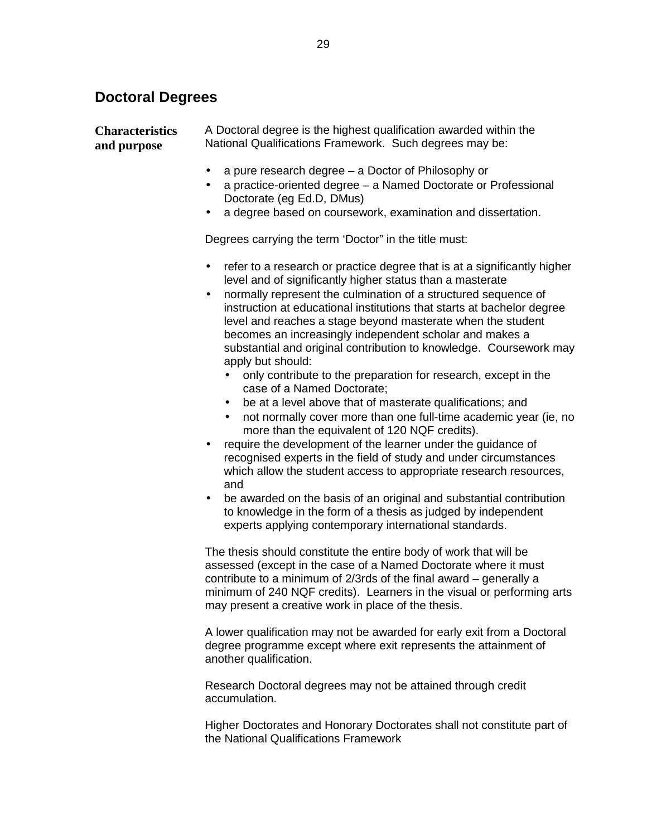# **Doctoral Degrees**

| <b>Characteristics</b><br>and purpose | A Doctoral degree is the highest qualification awarded within the<br>National Qualifications Framework. Such degrees may be:                                                                                                                                                                                                                                                                                                                                                                                                                                                                                                                                                                                                                                                                                                                                                                                                                                                                                                                                                                                                                                                                                                                                        |  |  |  |  |  |
|---------------------------------------|---------------------------------------------------------------------------------------------------------------------------------------------------------------------------------------------------------------------------------------------------------------------------------------------------------------------------------------------------------------------------------------------------------------------------------------------------------------------------------------------------------------------------------------------------------------------------------------------------------------------------------------------------------------------------------------------------------------------------------------------------------------------------------------------------------------------------------------------------------------------------------------------------------------------------------------------------------------------------------------------------------------------------------------------------------------------------------------------------------------------------------------------------------------------------------------------------------------------------------------------------------------------|--|--|--|--|--|
|                                       | a pure research degree – a Doctor of Philosophy or<br>$\bullet$<br>a practice-oriented degree - a Named Doctorate or Professional<br>Doctorate (eg Ed.D, DMus)<br>a degree based on coursework, examination and dissertation.<br>٠                                                                                                                                                                                                                                                                                                                                                                                                                                                                                                                                                                                                                                                                                                                                                                                                                                                                                                                                                                                                                                  |  |  |  |  |  |
|                                       | Degrees carrying the term 'Doctor" in the title must:                                                                                                                                                                                                                                                                                                                                                                                                                                                                                                                                                                                                                                                                                                                                                                                                                                                                                                                                                                                                                                                                                                                                                                                                               |  |  |  |  |  |
|                                       | refer to a research or practice degree that is at a significantly higher<br>$\bullet$<br>level and of significantly higher status than a masterate<br>normally represent the culmination of a structured sequence of<br>$\bullet$<br>instruction at educational institutions that starts at bachelor degree<br>level and reaches a stage beyond masterate when the student<br>becomes an increasingly independent scholar and makes a<br>substantial and original contribution to knowledge. Coursework may<br>apply but should:<br>only contribute to the preparation for research, except in the<br>case of a Named Doctorate;<br>be at a level above that of masterate qualifications; and<br>$\bullet$<br>not normally cover more than one full-time academic year (ie, no<br>more than the equivalent of 120 NQF credits).<br>require the development of the learner under the guidance of<br>٠<br>recognised experts in the field of study and under circumstances<br>which allow the student access to appropriate research resources,<br>and<br>be awarded on the basis of an original and substantial contribution<br>$\bullet$<br>to knowledge in the form of a thesis as judged by independent<br>experts applying contemporary international standards. |  |  |  |  |  |
|                                       | The thesis should constitute the entire body of work that will be<br>assessed (except in the case of a Named Doctorate where it must<br>contribute to a minimum of $2/3$ rds of the final award – generally a<br>minimum of 240 NQF credits). Learners in the visual or performing arts<br>may present a creative work in place of the thesis.                                                                                                                                                                                                                                                                                                                                                                                                                                                                                                                                                                                                                                                                                                                                                                                                                                                                                                                      |  |  |  |  |  |
|                                       | A lower qualification may not be awarded for early exit from a Doctoral<br>degree programme except where exit represents the attainment of<br>another qualification.                                                                                                                                                                                                                                                                                                                                                                                                                                                                                                                                                                                                                                                                                                                                                                                                                                                                                                                                                                                                                                                                                                |  |  |  |  |  |

Research Doctoral degrees may not be attained through credit accumulation.

Higher Doctorates and Honorary Doctorates shall not constitute part of the National Qualifications Framework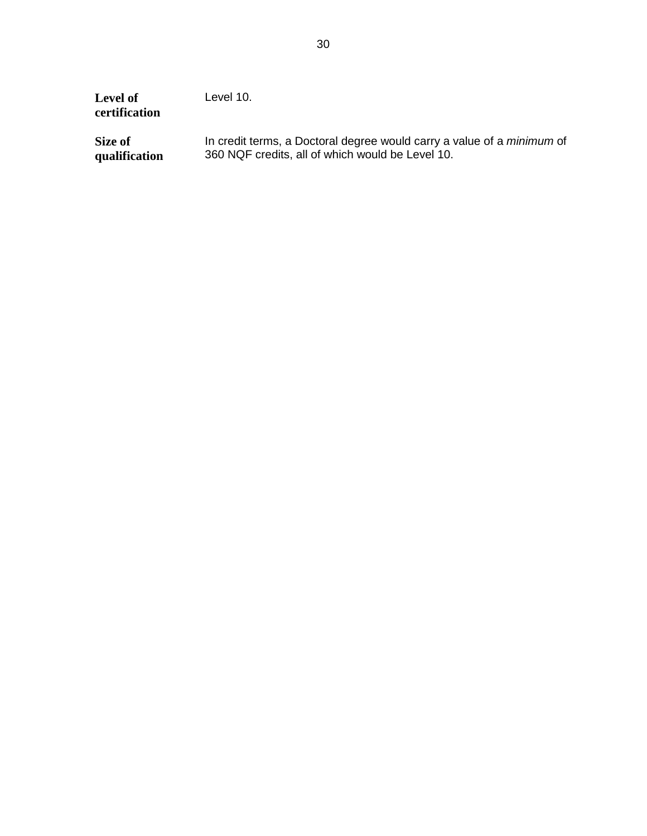| <b>Level of</b><br>certification | Level 10.                                                                     |
|----------------------------------|-------------------------------------------------------------------------------|
| Size of                          | In credit terms, a Doctoral degree would carry a value of a <i>minimum</i> of |
| qualification                    | 360 NQF credits, all of which would be Level 10.                              |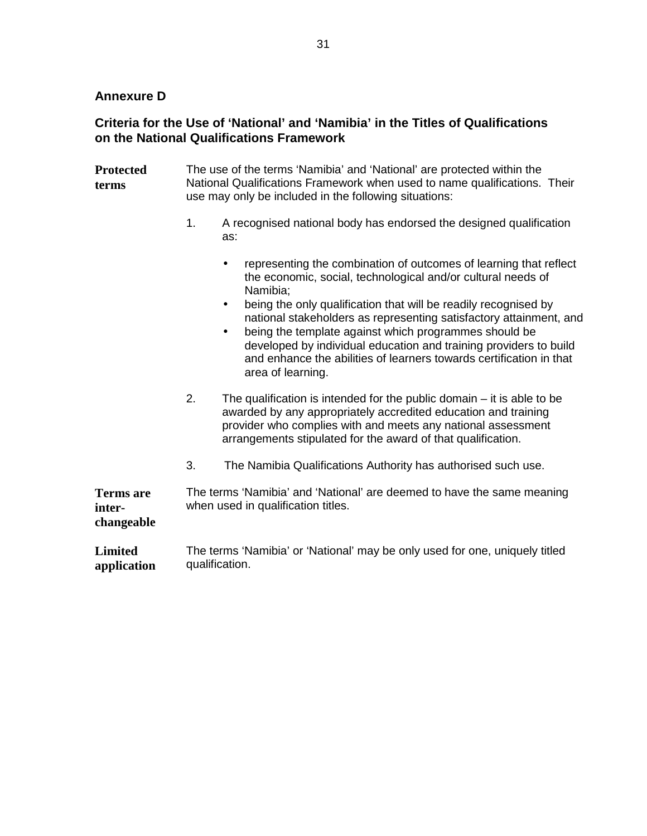## **Annexure D**

## **Criteria for the Use of 'National' and 'Namibia' in the Titles of Qualifications on the National Qualifications Framework**

- **Protected terms**  The use of the terms 'Namibia' and 'National' are protected within the National Qualifications Framework when used to name qualifications. Their use may only be included in the following situations:
	- 1. A recognised national body has endorsed the designed qualification as:
		- representing the combination of outcomes of learning that reflect the economic, social, technological and/or cultural needs of Namibia;
		- being the only qualification that will be readily recognised by national stakeholders as representing satisfactory attainment, and
		- being the template against which programmes should be developed by individual education and training providers to build and enhance the abilities of learners towards certification in that area of learning.
	- 2. The qualification is intended for the public domain it is able to be awarded by any appropriately accredited education and training provider who complies with and meets any national assessment arrangements stipulated for the award of that qualification.
	- 3. The Namibia Qualifications Authority has authorised such use.

**Terms are interchangeable**  The terms 'Namibia' and 'National' are deemed to have the same meaning when used in qualification titles.

**Limited application**  The terms 'Namibia' or 'National' may be only used for one, uniquely titled qualification.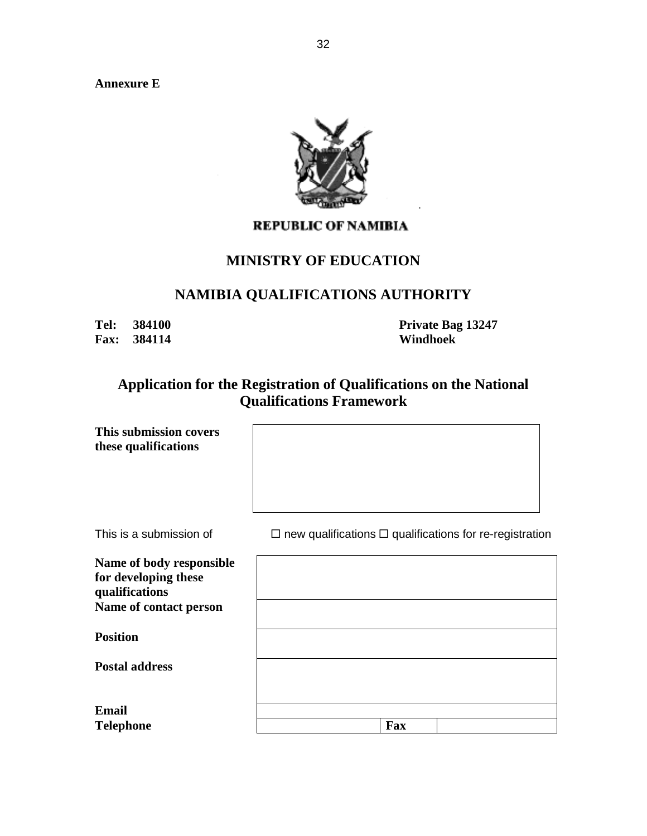**Annexure E** 



## **REPUBLIC OF NAMIBIA**

## **MINISTRY OF EDUCATION**

## **NAMIBIA QUALIFICATIONS AUTHORITY**

**Fax: 384114 Windhoek** 

**Tel: 384100 Private Bag 13247** 

## **Application for the Registration of Qualifications on the National Qualifications Framework**

| This submission covers<br>these qualifications                                               |                                                                     |
|----------------------------------------------------------------------------------------------|---------------------------------------------------------------------|
| This is a submission of                                                                      | $\Box$ new qualifications $\Box$ qualifications for re-registration |
| Name of body responsible<br>for developing these<br>qualifications<br>Name of contact person |                                                                     |
| <b>Position</b>                                                                              |                                                                     |
| <b>Postal address</b>                                                                        |                                                                     |
| <b>Email</b><br><b>Telephone</b>                                                             | <b>Fax</b>                                                          |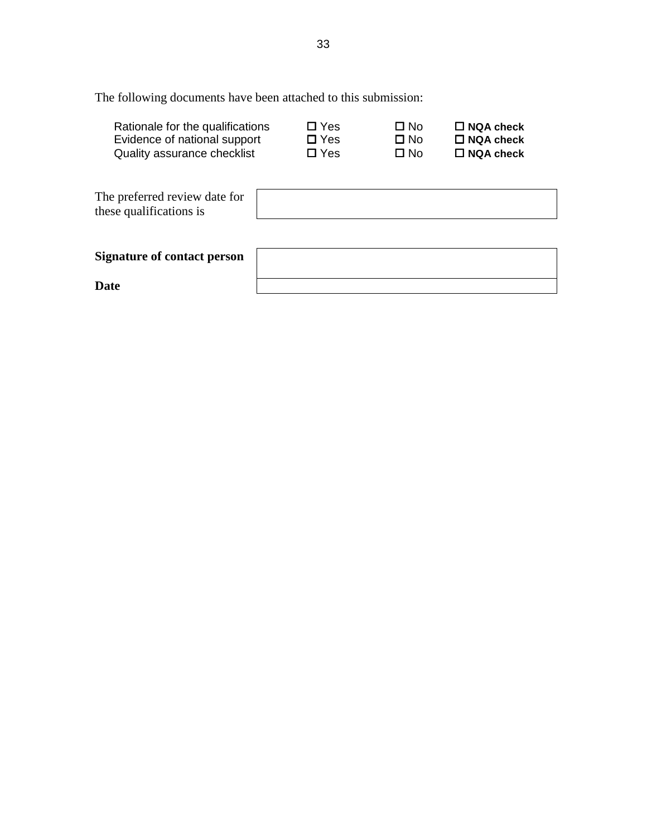The following documents have been attached to this submission:

| Rationale for the qualifications<br>Evidence of national support<br>Quality assurance checklist | $\Box$ Yes<br>$\square$ Yes<br>$\square$ Yes | ∩ No<br>$\Box$ No<br>$\Box$ No | $\Box$ NQA check<br>$\Box$ NQA check<br>$\Box$ NQA check |  |
|-------------------------------------------------------------------------------------------------|----------------------------------------------|--------------------------------|----------------------------------------------------------|--|
| The preferred review date for<br>these qualifications is                                        |                                              |                                |                                                          |  |
| Signature of contact person                                                                     |                                              |                                |                                                          |  |
| Date                                                                                            |                                              |                                |                                                          |  |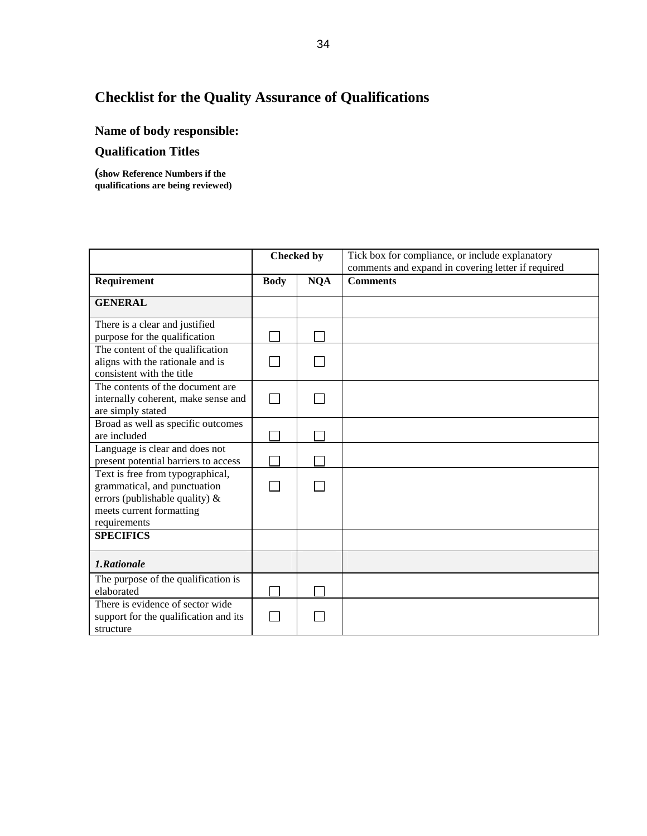# **Checklist for the Quality Assurance of Qualifications**

# **Name of body responsible:**

## **Qualification Titles**

**(show Reference Numbers if the qualifications are being reviewed)**

|                                                                                                                                                   | <b>Checked by</b> |            | Tick box for compliance, or include explanatory<br>comments and expand in covering letter if required |
|---------------------------------------------------------------------------------------------------------------------------------------------------|-------------------|------------|-------------------------------------------------------------------------------------------------------|
| Requirement                                                                                                                                       | <b>Body</b>       | <b>NQA</b> | <b>Comments</b>                                                                                       |
| <b>GENERAL</b>                                                                                                                                    |                   |            |                                                                                                       |
| There is a clear and justified<br>purpose for the qualification                                                                                   |                   |            |                                                                                                       |
| The content of the qualification<br>aligns with the rationale and is<br>consistent with the title                                                 |                   |            |                                                                                                       |
| The contents of the document are<br>internally coherent, make sense and<br>are simply stated                                                      |                   |            |                                                                                                       |
| Broad as well as specific outcomes<br>are included                                                                                                |                   |            |                                                                                                       |
| Language is clear and does not<br>present potential barriers to access                                                                            |                   |            |                                                                                                       |
| Text is free from typographical,<br>grammatical, and punctuation<br>errors (publishable quality) $\&$<br>meets current formatting<br>requirements |                   |            |                                                                                                       |
| <b>SPECIFICS</b>                                                                                                                                  |                   |            |                                                                                                       |
| 1.Rationale                                                                                                                                       |                   |            |                                                                                                       |
| The purpose of the qualification is<br>elaborated                                                                                                 |                   |            |                                                                                                       |
| There is evidence of sector wide<br>support for the qualification and its<br>structure                                                            |                   |            |                                                                                                       |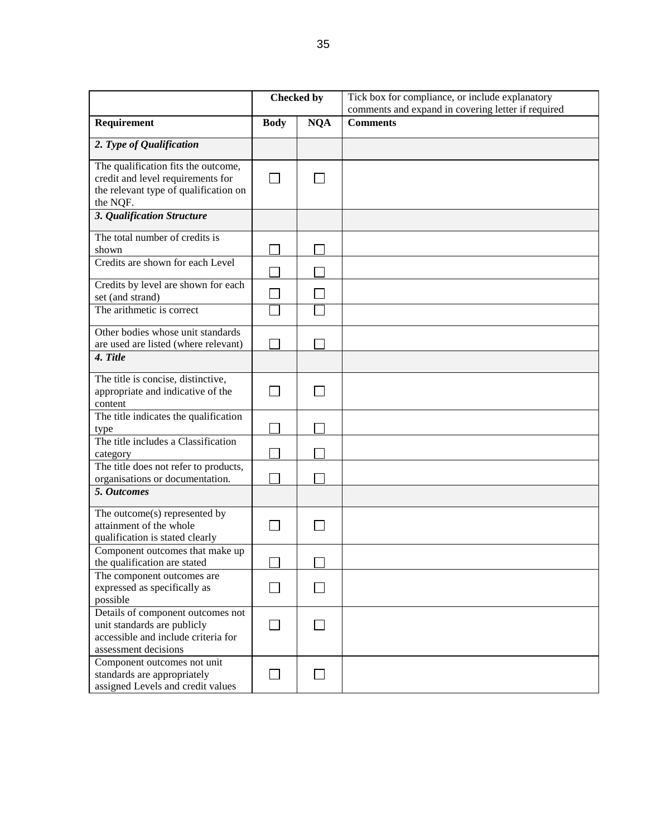|                                                                                                                                 | <b>Checked by</b> |            | Tick box for compliance, or include explanatory    |
|---------------------------------------------------------------------------------------------------------------------------------|-------------------|------------|----------------------------------------------------|
|                                                                                                                                 |                   |            | comments and expand in covering letter if required |
| Requirement                                                                                                                     | <b>Body</b>       | <b>NQA</b> | <b>Comments</b>                                    |
| 2. Type of Qualification                                                                                                        |                   |            |                                                    |
| The qualification fits the outcome,<br>credit and level requirements for<br>the relevant type of qualification on<br>the NQF.   |                   |            |                                                    |
| 3. Qualification Structure                                                                                                      |                   |            |                                                    |
| The total number of credits is<br>shown                                                                                         |                   |            |                                                    |
| Credits are shown for each Level                                                                                                |                   |            |                                                    |
| Credits by level are shown for each<br>set (and strand)                                                                         |                   |            |                                                    |
| The arithmetic is correct                                                                                                       |                   |            |                                                    |
| Other bodies whose unit standards<br>are used are listed (where relevant)                                                       |                   |            |                                                    |
| 4. Title                                                                                                                        |                   |            |                                                    |
| The title is concise, distinctive,<br>appropriate and indicative of the<br>content                                              |                   |            |                                                    |
| The title indicates the qualification<br>type                                                                                   |                   |            |                                                    |
| The title includes a Classification<br>category                                                                                 |                   |            |                                                    |
| The title does not refer to products,<br>organisations or documentation.                                                        |                   |            |                                                    |
| 5. Outcomes                                                                                                                     |                   |            |                                                    |
| The outcome(s) represented by<br>attainment of the whole<br>qualification is stated clearly                                     |                   |            |                                                    |
| Component outcomes that make up<br>the qualification are stated                                                                 |                   |            |                                                    |
| The component outcomes are<br>expressed as specifically as<br>possible                                                          |                   |            |                                                    |
| Details of component outcomes not<br>unit standards are publicly<br>accessible and include criteria for<br>assessment decisions |                   |            |                                                    |
| Component outcomes not unit<br>standards are appropriately<br>assigned Levels and credit values                                 |                   |            |                                                    |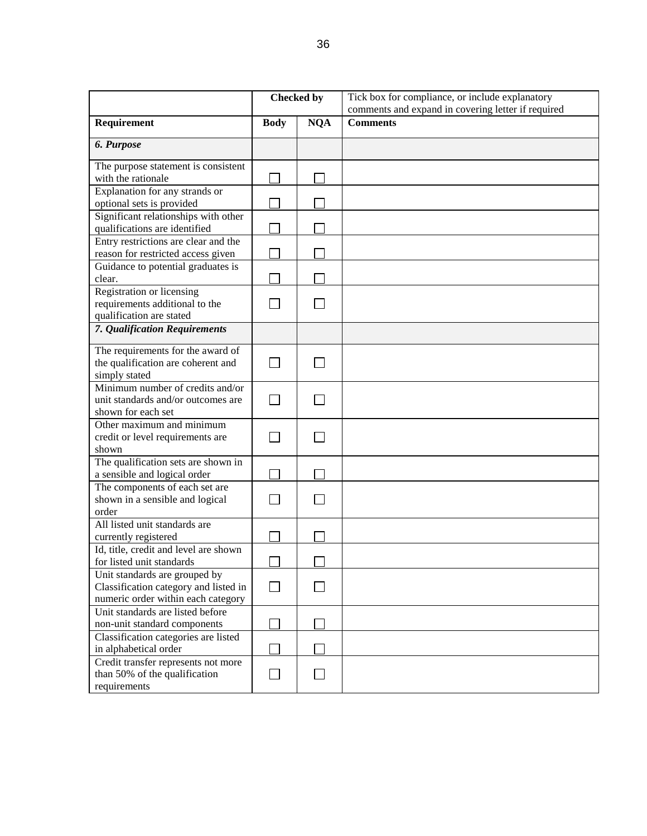|                                                                                                              | <b>Checked by</b> |            | Tick box for compliance, or include explanatory    |
|--------------------------------------------------------------------------------------------------------------|-------------------|------------|----------------------------------------------------|
|                                                                                                              |                   |            | comments and expand in covering letter if required |
| Requirement                                                                                                  | <b>Body</b>       | <b>NQA</b> | <b>Comments</b>                                    |
| 6. Purpose                                                                                                   |                   |            |                                                    |
| The purpose statement is consistent<br>with the rationale                                                    |                   |            |                                                    |
| Explanation for any strands or<br>optional sets is provided                                                  |                   |            |                                                    |
| Significant relationships with other<br>qualifications are identified                                        |                   |            |                                                    |
| Entry restrictions are clear and the<br>reason for restricted access given                                   |                   |            |                                                    |
| Guidance to potential graduates is<br>clear.                                                                 |                   |            |                                                    |
| Registration or licensing<br>requirements additional to the<br>qualification are stated                      |                   |            |                                                    |
| 7. Qualification Requirements                                                                                |                   |            |                                                    |
| The requirements for the award of<br>the qualification are coherent and<br>simply stated                     |                   |            |                                                    |
| Minimum number of credits and/or<br>unit standards and/or outcomes are<br>shown for each set                 |                   |            |                                                    |
| Other maximum and minimum<br>credit or level requirements are<br>shown                                       |                   |            |                                                    |
| The qualification sets are shown in<br>a sensible and logical order                                          |                   |            |                                                    |
| The components of each set are<br>shown in a sensible and logical<br>order                                   |                   |            |                                                    |
| All listed unit standards are<br>currently registered                                                        |                   |            |                                                    |
| Id, title, credit and level are shown<br>for listed unit standards                                           |                   |            |                                                    |
| Unit standards are grouped by<br>Classification category and listed in<br>numeric order within each category | $\blacksquare$    |            |                                                    |
| Unit standards are listed before<br>non-unit standard components                                             |                   |            |                                                    |
| Classification categories are listed<br>in alphabetical order                                                |                   |            |                                                    |
| Credit transfer represents not more<br>than 50% of the qualification<br>requirements                         |                   |            |                                                    |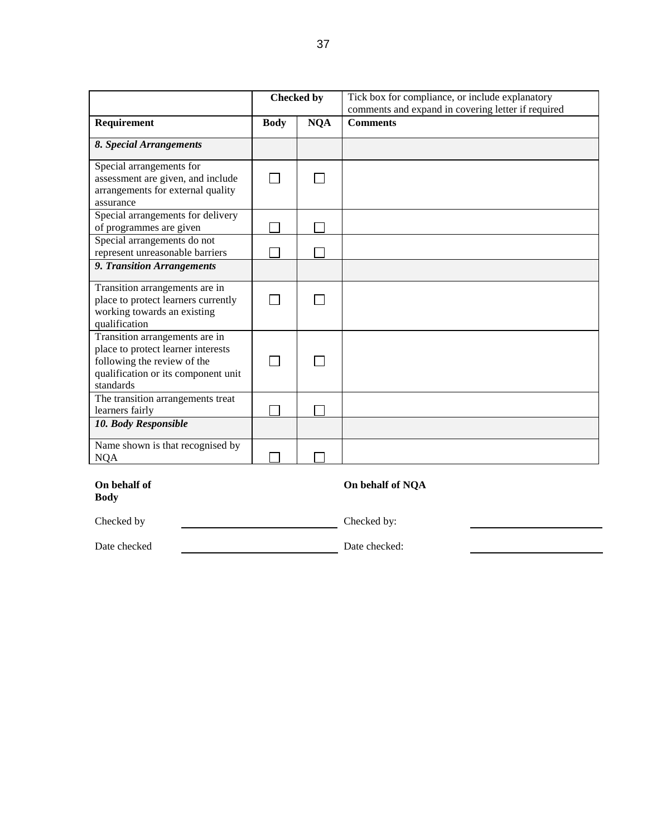|                                                                                                                                                         | <b>Checked by</b> |            | Tick box for compliance, or include explanatory<br>comments and expand in covering letter if required |
|---------------------------------------------------------------------------------------------------------------------------------------------------------|-------------------|------------|-------------------------------------------------------------------------------------------------------|
| Requirement                                                                                                                                             | <b>Body</b>       | <b>NQA</b> | <b>Comments</b>                                                                                       |
| 8. Special Arrangements                                                                                                                                 |                   |            |                                                                                                       |
| Special arrangements for<br>assessment are given, and include<br>arrangements for external quality<br>assurance                                         |                   |            |                                                                                                       |
| Special arrangements for delivery<br>of programmes are given                                                                                            |                   |            |                                                                                                       |
| Special arrangements do not<br>represent unreasonable barriers                                                                                          |                   |            |                                                                                                       |
| 9. Transition Arrangements                                                                                                                              |                   |            |                                                                                                       |
| Transition arrangements are in<br>place to protect learners currently<br>working towards an existing<br>qualification                                   |                   |            |                                                                                                       |
| Transition arrangements are in<br>place to protect learner interests<br>following the review of the<br>qualification or its component unit<br>standards |                   |            |                                                                                                       |
| The transition arrangements treat<br>learners fairly                                                                                                    |                   |            |                                                                                                       |
| 10. Body Responsible                                                                                                                                    |                   |            |                                                                                                       |
| Name shown is that recognised by<br><b>NQA</b>                                                                                                          |                   |            |                                                                                                       |

### **On behalf of Body**

### **On behalf of NQA**

Checked by Checked by:

Date checked: Date checked: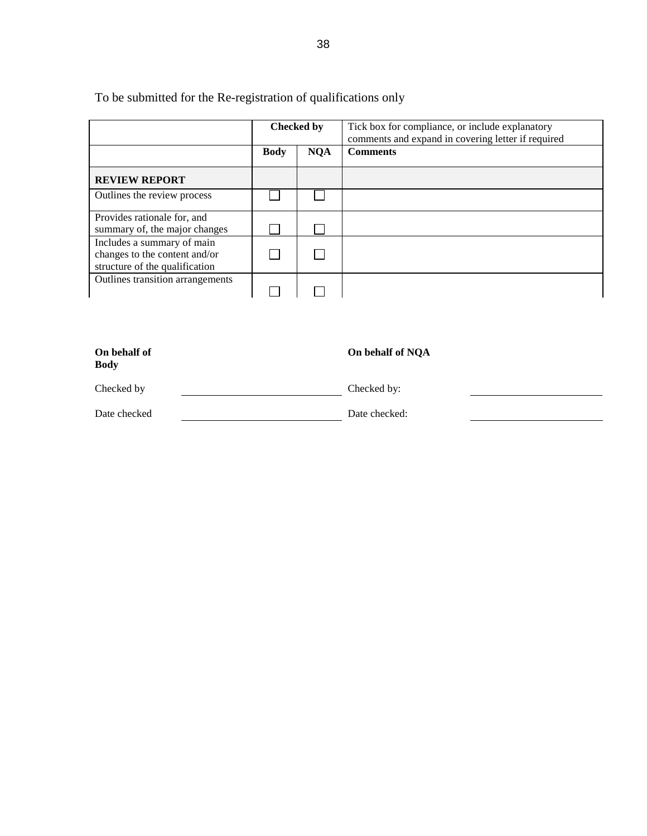To be submitted for the Re-registration of qualifications only

|                                                                                               | <b>Checked by</b> |            | Tick box for compliance, or include explanatory<br>comments and expand in covering letter if required |
|-----------------------------------------------------------------------------------------------|-------------------|------------|-------------------------------------------------------------------------------------------------------|
|                                                                                               | <b>Body</b>       | <b>NQA</b> | <b>Comments</b>                                                                                       |
| <b>REVIEW REPORT</b>                                                                          |                   |            |                                                                                                       |
| Outlines the review process                                                                   |                   |            |                                                                                                       |
| Provides rationale for, and<br>summary of, the major changes                                  |                   |            |                                                                                                       |
| Includes a summary of main<br>changes to the content and/or<br>structure of the qualification |                   |            |                                                                                                       |
| Outlines transition arrangements                                                              |                   |            |                                                                                                       |

| On behalf of<br><b>Body</b> | On behalf of NQA |
|-----------------------------|------------------|
| Checked by                  | Checked by:      |
| Date checked                | Date checked:    |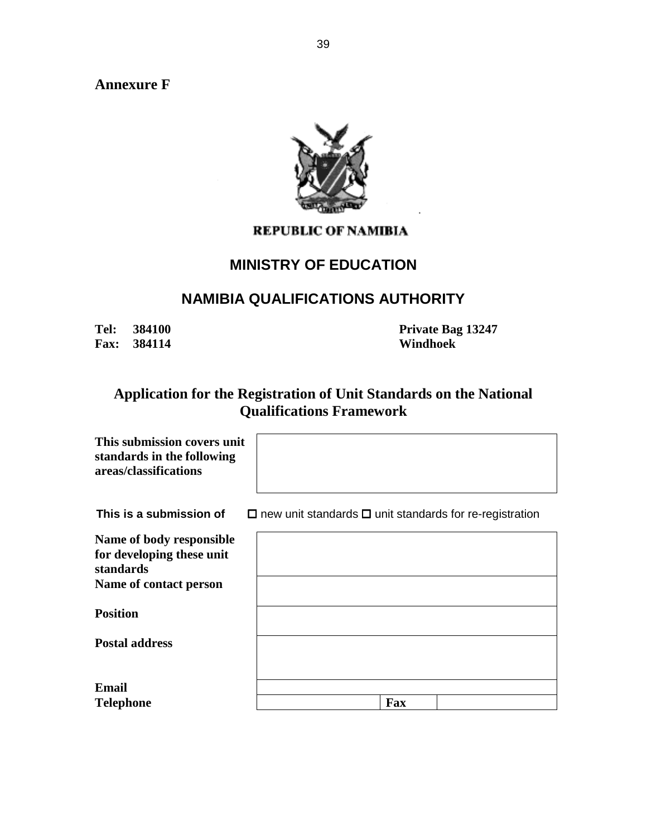**Annexure F** 



## **REPUBLIC OF NAMIBIA**

## **MINISTRY OF EDUCATION**

## **NAMIBIA QUALIFICATIONS AUTHORITY**

**Fax: 384114 Windhoek** 

**Tel: 384100 Private Bag 13247** 

## **Application for the Registration of Unit Standards on the National Qualifications Framework**

| This submission covers unit<br>standards in the following<br>areas/classifications |                                                                     |     |  |
|------------------------------------------------------------------------------------|---------------------------------------------------------------------|-----|--|
| This is a submission of                                                            | $\Box$ new unit standards $\Box$ unit standards for re-registration |     |  |
| Name of body responsible<br>for developing these unit<br>standards                 |                                                                     |     |  |
| Name of contact person                                                             |                                                                     |     |  |
| <b>Position</b>                                                                    |                                                                     |     |  |
| <b>Postal address</b>                                                              |                                                                     |     |  |
| Email                                                                              |                                                                     |     |  |
| <b>Telephone</b>                                                                   |                                                                     | Fax |  |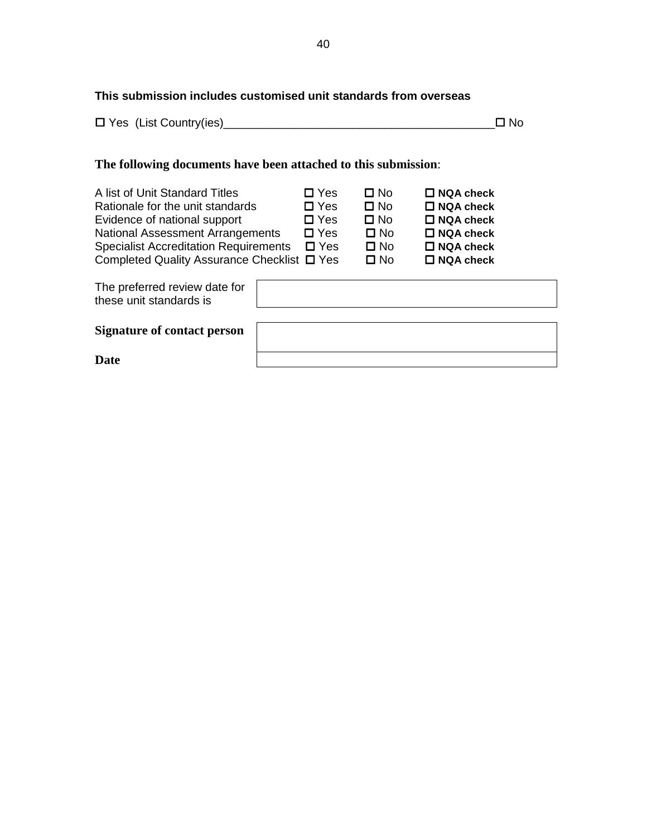## **This submission includes customised unit standards from overseas**

|  | $\Box$ Yes (List Country(ies) | $\Box$ No |  |
|--|-------------------------------|-----------|--|
|--|-------------------------------|-----------|--|

## **The following documents have been attached to this submission**:

| A list of Unit Standard Titles<br>Rationale for the unit standards<br>Evidence of national support | $\Box$ Yes<br>$\Box$ Yes<br>$\Box$ Yes | $\Box$ No<br>$\Box$ No<br>$\Box$ No | $\Box$ NQA check<br>$\Box$ NQA check<br>$\Box$ NQA check |
|----------------------------------------------------------------------------------------------------|----------------------------------------|-------------------------------------|----------------------------------------------------------|
| <b>National Assessment Arrangements</b>                                                            | $\Box$ Yes                             | $\square$ No                        | $\Box$ NQA check                                         |
| <b>Specialist Accreditation Requirements</b>                                                       | $\square$ Yes                          | $\square$ No                        | $\Box$ NQA check                                         |
| Completed Quality Assurance Checklist □ Yes                                                        |                                        | $\square$ No                        | $\square$ NQA check                                      |
|                                                                                                    |                                        |                                     |                                                          |

| The preferred review date for<br>these unit standards is |  |
|----------------------------------------------------------|--|
| <b>Signature of contact person</b>                       |  |
| <b>Date</b>                                              |  |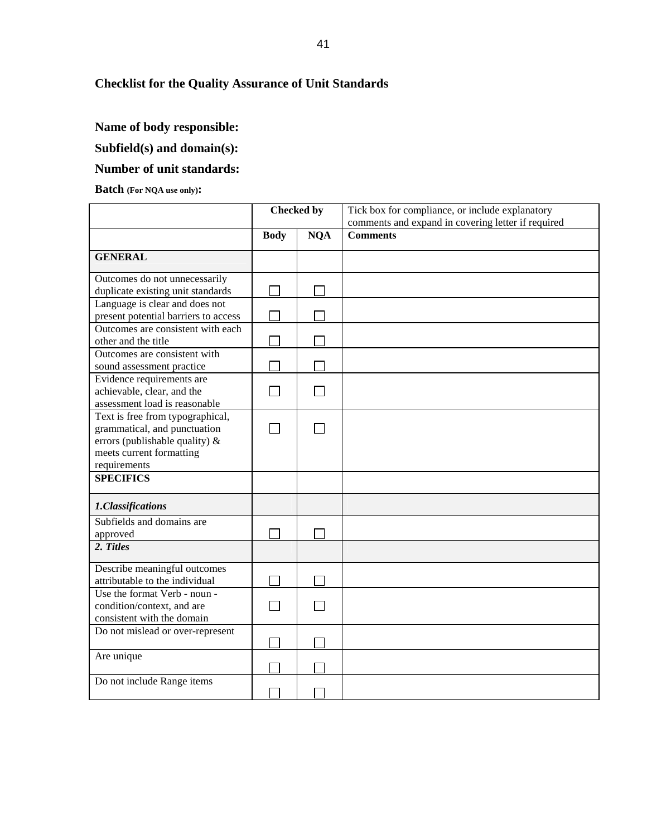## **Checklist for the Quality Assurance of Unit Standards**

## **Name of body responsible:**

### **Subfield(s) and domain(s):**

## **Number of unit standards:**

#### **Batch (For NQA use only):**

|                                                                                                                                                | <b>Checked by</b> |            | Tick box for compliance, or include explanatory<br>comments and expand in covering letter if required |
|------------------------------------------------------------------------------------------------------------------------------------------------|-------------------|------------|-------------------------------------------------------------------------------------------------------|
|                                                                                                                                                | <b>Body</b>       | <b>NQA</b> | <b>Comments</b>                                                                                       |
| <b>GENERAL</b>                                                                                                                                 |                   |            |                                                                                                       |
| Outcomes do not unnecessarily<br>duplicate existing unit standards                                                                             |                   |            |                                                                                                       |
| Language is clear and does not<br>present potential barriers to access                                                                         |                   |            |                                                                                                       |
| Outcomes are consistent with each<br>other and the title                                                                                       |                   |            |                                                                                                       |
| Outcomes are consistent with<br>sound assessment practice                                                                                      |                   |            |                                                                                                       |
| Evidence requirements are<br>achievable, clear, and the<br>assessment load is reasonable                                                       |                   |            |                                                                                                       |
| Text is free from typographical,<br>grammatical, and punctuation<br>errors (publishable quality) &<br>meets current formatting<br>requirements |                   |            |                                                                                                       |
| <b>SPECIFICS</b>                                                                                                                               |                   |            |                                                                                                       |
| 1.Classifications                                                                                                                              |                   |            |                                                                                                       |
| Subfields and domains are<br>approved                                                                                                          |                   |            |                                                                                                       |
| 2. Titles                                                                                                                                      |                   |            |                                                                                                       |
| Describe meaningful outcomes<br>attributable to the individual                                                                                 |                   |            |                                                                                                       |
| Use the format Verb - noun -<br>condition/context, and are<br>consistent with the domain                                                       |                   |            |                                                                                                       |
| Do not mislead or over-represent                                                                                                               |                   |            |                                                                                                       |
| Are unique                                                                                                                                     |                   |            |                                                                                                       |
| Do not include Range items                                                                                                                     |                   |            |                                                                                                       |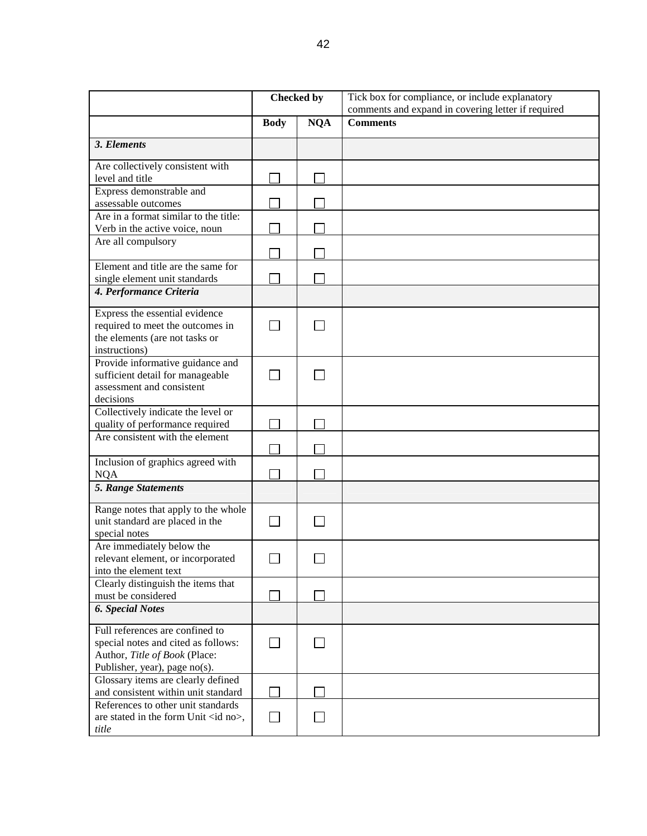|                                                                           | <b>Checked by</b> |            | Tick box for compliance, or include explanatory    |
|---------------------------------------------------------------------------|-------------------|------------|----------------------------------------------------|
|                                                                           |                   |            | comments and expand in covering letter if required |
|                                                                           | <b>Body</b>       | <b>NQA</b> | <b>Comments</b>                                    |
| 3. Elements                                                               |                   |            |                                                    |
| Are collectively consistent with                                          |                   |            |                                                    |
| level and title                                                           |                   |            |                                                    |
| Express demonstrable and                                                  |                   |            |                                                    |
| assessable outcomes                                                       |                   |            |                                                    |
| Are in a format similar to the title:                                     |                   |            |                                                    |
| Verb in the active voice, noun                                            |                   |            |                                                    |
| Are all compulsory                                                        |                   |            |                                                    |
| Element and title are the same for                                        |                   |            |                                                    |
| single element unit standards                                             |                   |            |                                                    |
| 4. Performance Criteria                                                   |                   |            |                                                    |
|                                                                           |                   |            |                                                    |
| Express the essential evidence                                            |                   |            |                                                    |
| required to meet the outcomes in                                          |                   |            |                                                    |
| the elements (are not tasks or                                            |                   |            |                                                    |
| instructions)                                                             |                   |            |                                                    |
| Provide informative guidance and                                          |                   |            |                                                    |
| sufficient detail for manageable<br>assessment and consistent             |                   |            |                                                    |
| decisions                                                                 |                   |            |                                                    |
| Collectively indicate the level or                                        |                   |            |                                                    |
| quality of performance required                                           |                   |            |                                                    |
| Are consistent with the element                                           |                   |            |                                                    |
|                                                                           |                   |            |                                                    |
| Inclusion of graphics agreed with                                         |                   |            |                                                    |
| <b>NQA</b>                                                                |                   |            |                                                    |
| 5. Range Statements                                                       |                   |            |                                                    |
| Range notes that apply to the whole                                       |                   |            |                                                    |
| unit standard are placed in the                                           |                   |            |                                                    |
| special notes                                                             |                   |            |                                                    |
| Are immediately below the                                                 |                   |            |                                                    |
| relevant element, or incorporated                                         |                   |            |                                                    |
| into the element text                                                     |                   |            |                                                    |
| Clearly distinguish the items that<br>must be considered                  |                   |            |                                                    |
| <b>6. Special Notes</b>                                                   |                   |            |                                                    |
|                                                                           |                   |            |                                                    |
| Full references are confined to                                           |                   |            |                                                    |
| special notes and cited as follows:                                       |                   |            |                                                    |
| Author, Title of Book (Place:                                             |                   |            |                                                    |
| Publisher, year), page no(s).                                             |                   |            |                                                    |
| Glossary items are clearly defined                                        |                   |            |                                                    |
| and consistent within unit standard<br>References to other unit standards |                   |            |                                                    |
| are stated in the form Unit <id no="">,</id>                              |                   |            |                                                    |
| title                                                                     |                   |            |                                                    |
|                                                                           |                   |            |                                                    |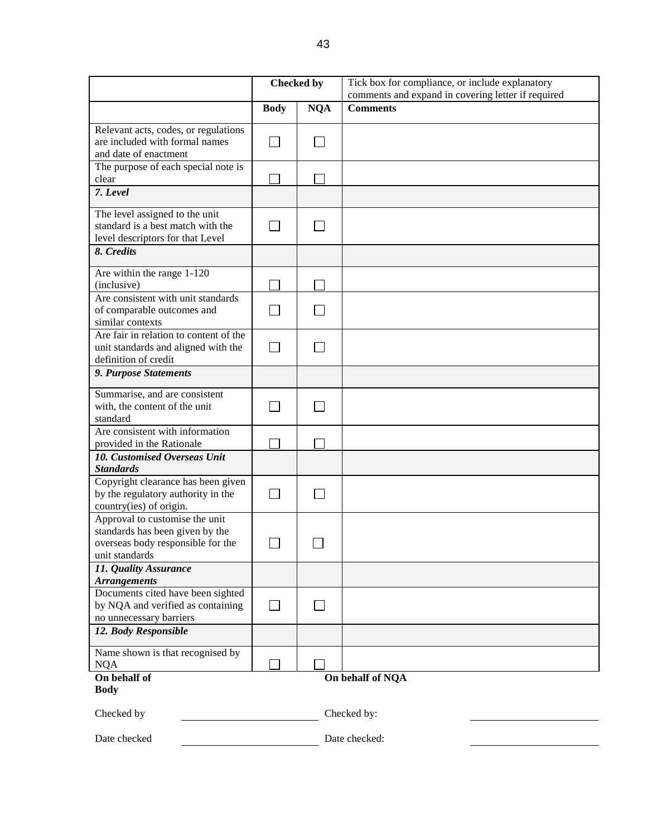|                                                                                                                          | <b>Checked by</b> |            | Tick box for compliance, or include explanatory    |
|--------------------------------------------------------------------------------------------------------------------------|-------------------|------------|----------------------------------------------------|
|                                                                                                                          |                   |            | comments and expand in covering letter if required |
|                                                                                                                          | <b>Body</b>       | <b>NQA</b> | <b>Comments</b>                                    |
| Relevant acts, codes, or regulations<br>are included with formal names<br>and date of enactment                          |                   |            |                                                    |
| The purpose of each special note is<br>clear                                                                             |                   |            |                                                    |
| 7. Level                                                                                                                 |                   |            |                                                    |
| The level assigned to the unit<br>standard is a best match with the<br>level descriptors for that Level                  |                   |            |                                                    |
| 8. Credits                                                                                                               |                   |            |                                                    |
| Are within the range 1-120<br>(inclusive)                                                                                |                   |            |                                                    |
| Are consistent with unit standards<br>of comparable outcomes and<br>similar contexts                                     |                   |            |                                                    |
| Are fair in relation to content of the<br>unit standards and aligned with the<br>definition of credit                    |                   |            |                                                    |
| 9. Purpose Statements                                                                                                    |                   |            |                                                    |
| Summarise, and are consistent<br>with, the content of the unit<br>standard                                               |                   |            |                                                    |
| Are consistent with information<br>provided in the Rationale                                                             |                   |            |                                                    |
| 10. Customised Overseas Unit                                                                                             |                   |            |                                                    |
| <b>Standards</b>                                                                                                         |                   |            |                                                    |
| Copyright clearance has been given<br>by the regulatory authority in the<br>country(ies) of origin.                      |                   |            |                                                    |
| Approval to customise the unit<br>standards has been given by the<br>overseas body responsible for the<br>unit standards |                   |            |                                                    |
| 11. Quality Assurance                                                                                                    |                   |            |                                                    |
| <b>Arrangements</b><br>Documents cited have been sighted<br>by NQA and verified as containing<br>no unnecessary barriers |                   |            |                                                    |
| 12. Body Responsible                                                                                                     |                   |            |                                                    |
| Name shown is that recognised by<br><b>NQA</b>                                                                           |                   |            |                                                    |
| On behalf of<br><b>Body</b>                                                                                              |                   |            | On behalf of NQA                                   |
| Checked by                                                                                                               |                   |            | Checked by:                                        |
| Date checked                                                                                                             |                   |            | Date checked:                                      |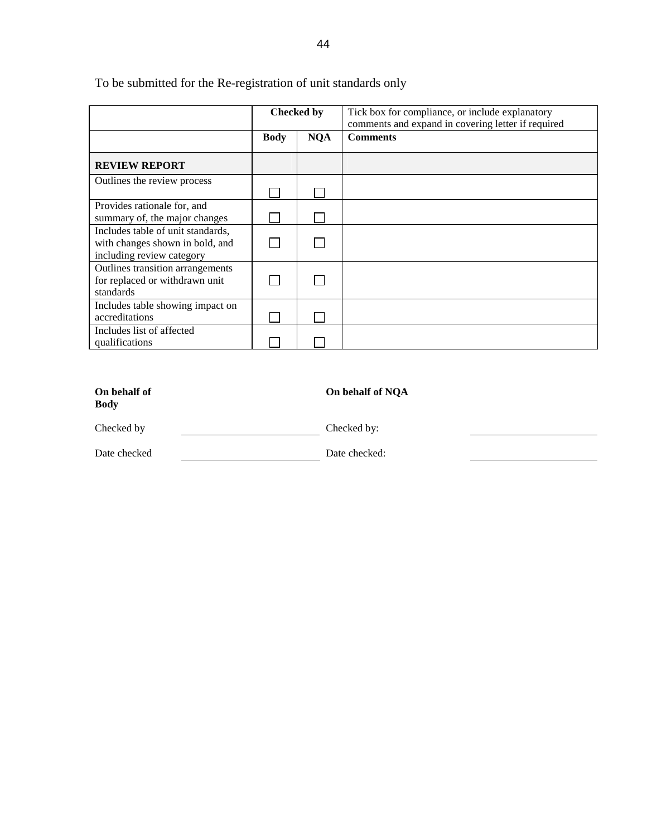|                                                                                                   | <b>Checked by</b> |            | Tick box for compliance, or include explanatory<br>comments and expand in covering letter if required |
|---------------------------------------------------------------------------------------------------|-------------------|------------|-------------------------------------------------------------------------------------------------------|
|                                                                                                   | <b>Body</b>       | <b>NQA</b> | <b>Comments</b>                                                                                       |
| <b>REVIEW REPORT</b>                                                                              |                   |            |                                                                                                       |
| Outlines the review process                                                                       |                   |            |                                                                                                       |
| Provides rationale for, and<br>summary of, the major changes                                      |                   |            |                                                                                                       |
| Includes table of unit standards,<br>with changes shown in bold, and<br>including review category |                   |            |                                                                                                       |
| Outlines transition arrangements<br>for replaced or withdrawn unit<br>standards                   |                   |            |                                                                                                       |
| Includes table showing impact on<br>accreditations                                                |                   |            |                                                                                                       |
| Includes list of affected<br>qualifications                                                       |                   |            |                                                                                                       |

To be submitted for the Re-registration of unit standards only

| On behalf of<br><b>Body</b> | On behalf of NQA |
|-----------------------------|------------------|
| Checked by                  | Checked by:      |
| Date checked                | Date checked:    |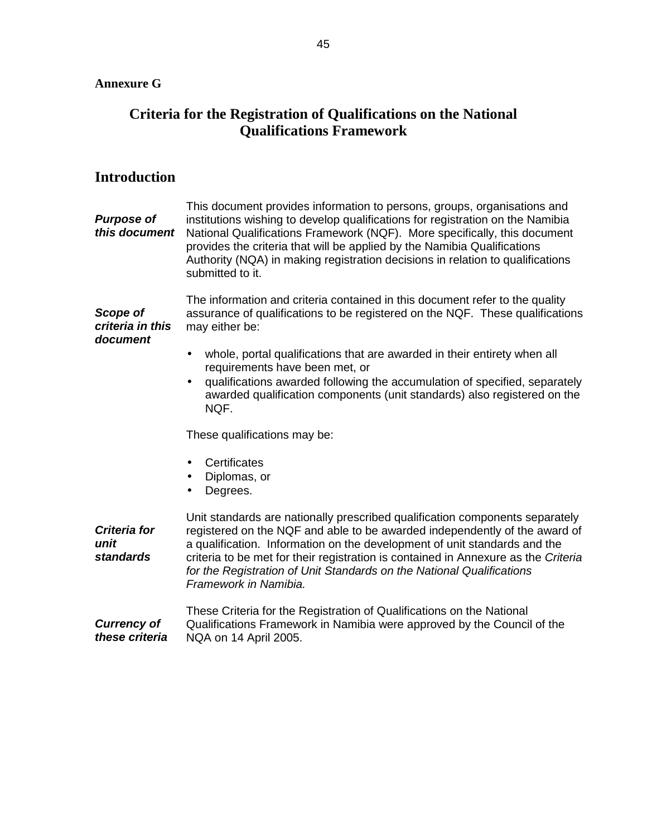## **Criteria for the Registration of Qualifications on the National Qualifications Framework**

## **Introduction**

**Purpose of this document** This document provides information to persons, groups, organisations and institutions wishing to develop qualifications for registration on the Namibia National Qualifications Framework (NQF). More specifically, this document provides the criteria that will be applied by the Namibia Qualifications Authority (NQA) in making registration decisions in relation to qualifications submitted to it. **Scope of criteria in this document**  The information and criteria contained in this document refer to the quality assurance of qualifications to be registered on the NQF. These qualifications may either be: • whole, portal qualifications that are awarded in their entirety when all requirements have been met, or • qualifications awarded following the accumulation of specified, separately awarded qualification components (unit standards) also registered on the NQF. These qualifications may be: • Certificates • Diplomas, or • Degrees. **Criteria for unit standards**  Unit standards are nationally prescribed qualification components separately registered on the NQF and able to be awarded independently of the award of a qualification. Information on the development of unit standards and the criteria to be met for their registration is contained in Annexure as the Criteria for the Registration of Unit Standards on the National Qualifications Framework in Namibia. **Currency of**  These Criteria for the Registration of Qualifications on the National

**these criteria** 

Qualifications Framework in Namibia were approved by the Council of the NQA on 14 April 2005.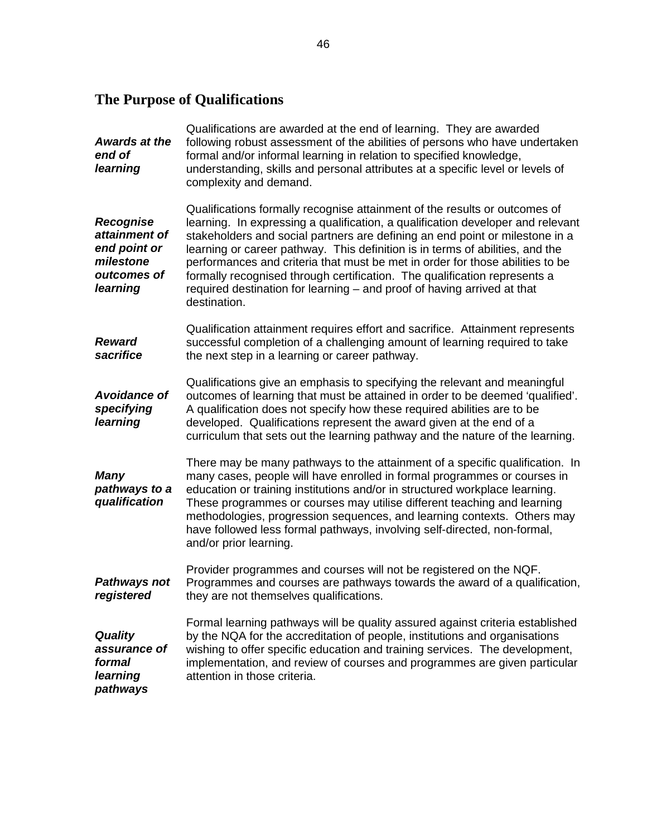# **The Purpose of Qualifications**

| <b>Awards at the</b><br>end of<br>learning                                         | Qualifications are awarded at the end of learning. They are awarded<br>following robust assessment of the abilities of persons who have undertaken<br>formal and/or informal learning in relation to specified knowledge,<br>understanding, skills and personal attributes at a specific level or levels of<br>complexity and demand.                                                                                                                                                                                                                                                   |
|------------------------------------------------------------------------------------|-----------------------------------------------------------------------------------------------------------------------------------------------------------------------------------------------------------------------------------------------------------------------------------------------------------------------------------------------------------------------------------------------------------------------------------------------------------------------------------------------------------------------------------------------------------------------------------------|
| Recognise<br>attainment of<br>end point or<br>milestone<br>outcomes of<br>learning | Qualifications formally recognise attainment of the results or outcomes of<br>learning. In expressing a qualification, a qualification developer and relevant<br>stakeholders and social partners are defining an end point or milestone in a<br>learning or career pathway. This definition is in terms of abilities, and the<br>performances and criteria that must be met in order for those abilities to be<br>formally recognised through certification. The qualification represents a<br>required destination for learning - and proof of having arrived at that<br>destination. |
| <b>Reward</b><br>sacrifice                                                         | Qualification attainment requires effort and sacrifice. Attainment represents<br>successful completion of a challenging amount of learning required to take<br>the next step in a learning or career pathway.                                                                                                                                                                                                                                                                                                                                                                           |
| <b>Avoidance of</b><br>specifying<br>learning                                      | Qualifications give an emphasis to specifying the relevant and meaningful<br>outcomes of learning that must be attained in order to be deemed 'qualified'.<br>A qualification does not specify how these required abilities are to be<br>developed. Qualifications represent the award given at the end of a<br>curriculum that sets out the learning pathway and the nature of the learning.                                                                                                                                                                                           |
| <b>Many</b><br>pathways to a<br>qualification                                      | There may be many pathways to the attainment of a specific qualification. In<br>many cases, people will have enrolled in formal programmes or courses in<br>education or training institutions and/or in structured workplace learning.<br>These programmes or courses may utilise different teaching and learning<br>methodologies, progression sequences, and learning contexts. Others may<br>have followed less formal pathways, involving self-directed, non-formal,<br>and/or prior learning.                                                                                     |
| <b>Pathways not</b><br>registered                                                  | Provider programmes and courses will not be registered on the NQF.<br>Programmes and courses are pathways towards the award of a qualification,<br>they are not themselves qualifications.                                                                                                                                                                                                                                                                                                                                                                                              |
| <b>Quality</b><br>assurance of<br>formal<br>learning<br>pathways                   | Formal learning pathways will be quality assured against criteria established<br>by the NQA for the accreditation of people, institutions and organisations<br>wishing to offer specific education and training services. The development,<br>implementation, and review of courses and programmes are given particular<br>attention in those criteria.                                                                                                                                                                                                                                 |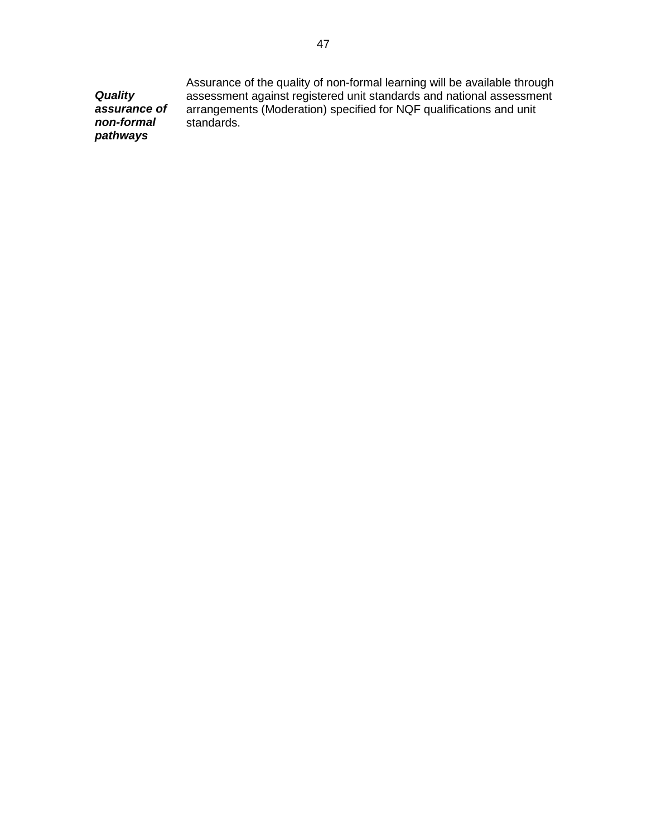**Quality assurance of non-formal pathways**  Assurance of the quality of non-formal learning will be available through assessment against registered unit standards and national assessment arrangements (Moderation) specified for NQF qualifications and unit standards.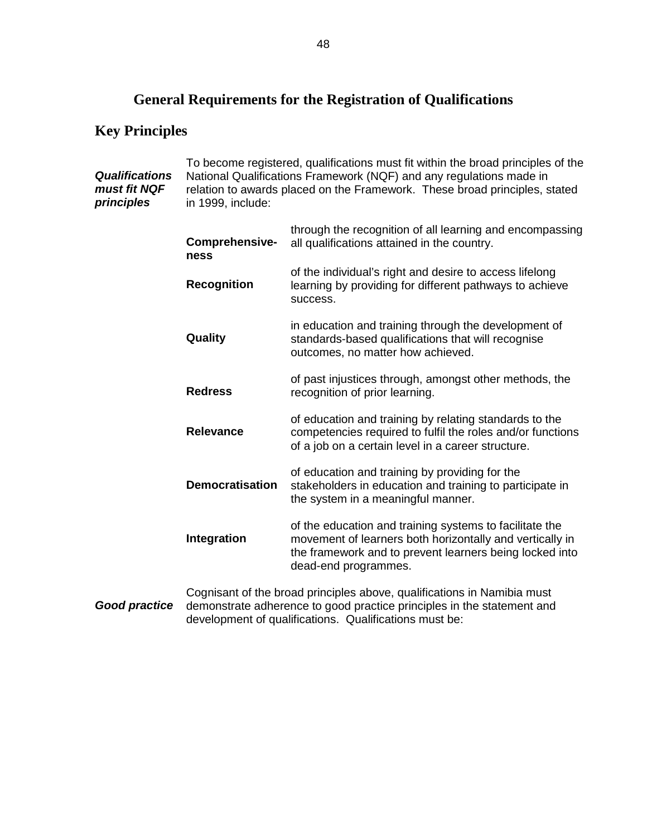# **General Requirements for the Registration of Qualifications**

# **Key Principles**

| <b>Qualifications</b><br>must fit NQF<br>principles | To become registered, qualifications must fit within the broad principles of the<br>National Qualifications Framework (NQF) and any regulations made in<br>relation to awards placed on the Framework. These broad principles, stated<br>in 1999, include: |                                                                                                                                                                                                             |
|-----------------------------------------------------|------------------------------------------------------------------------------------------------------------------------------------------------------------------------------------------------------------------------------------------------------------|-------------------------------------------------------------------------------------------------------------------------------------------------------------------------------------------------------------|
|                                                     | Comprehensive-<br>ness                                                                                                                                                                                                                                     | through the recognition of all learning and encompassing<br>all qualifications attained in the country.                                                                                                     |
|                                                     | <b>Recognition</b>                                                                                                                                                                                                                                         | of the individual's right and desire to access lifelong<br>learning by providing for different pathways to achieve<br>success.                                                                              |
|                                                     | Quality                                                                                                                                                                                                                                                    | in education and training through the development of<br>standards-based qualifications that will recognise<br>outcomes, no matter how achieved.                                                             |
|                                                     | <b>Redress</b>                                                                                                                                                                                                                                             | of past injustices through, amongst other methods, the<br>recognition of prior learning.                                                                                                                    |
|                                                     | <b>Relevance</b>                                                                                                                                                                                                                                           | of education and training by relating standards to the<br>competencies required to fulfil the roles and/or functions<br>of a job on a certain level in a career structure.                                  |
|                                                     | <b>Democratisation</b>                                                                                                                                                                                                                                     | of education and training by providing for the<br>stakeholders in education and training to participate in<br>the system in a meaningful manner.                                                            |
|                                                     | Integration                                                                                                                                                                                                                                                | of the education and training systems to facilitate the<br>movement of learners both horizontally and vertically in<br>the framework and to prevent learners being locked into<br>dead-end programmes.      |
| <b>Good practice</b>                                |                                                                                                                                                                                                                                                            | Cognisant of the broad principles above, qualifications in Namibia must<br>demonstrate adherence to good practice principles in the statement and<br>development of qualifications. Qualifications must be: |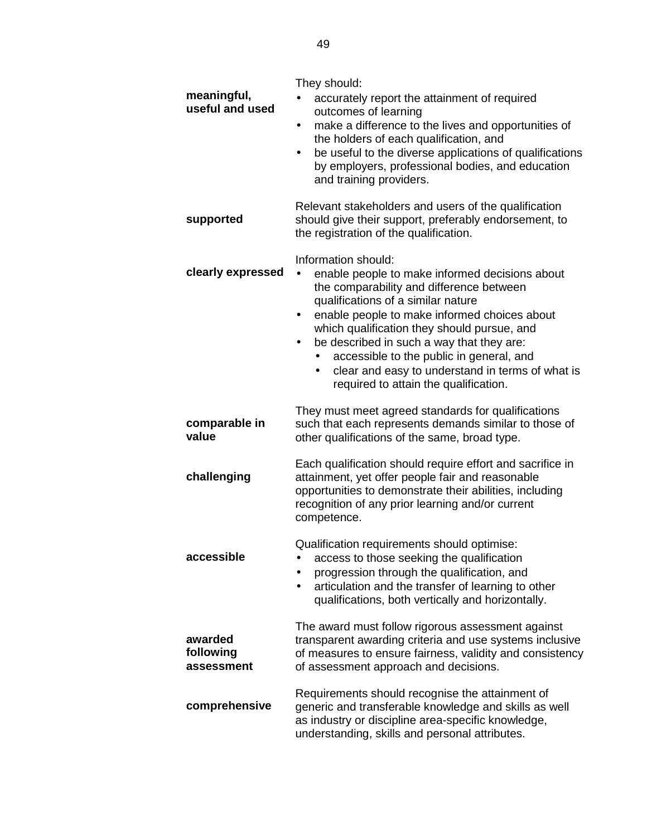| meaningful,<br>useful and used     | They should:<br>accurately report the attainment of required                                                                                                                                                                                                                                                                                                                                                                                                           |
|------------------------------------|------------------------------------------------------------------------------------------------------------------------------------------------------------------------------------------------------------------------------------------------------------------------------------------------------------------------------------------------------------------------------------------------------------------------------------------------------------------------|
|                                    | outcomes of learning<br>make a difference to the lives and opportunities of<br>the holders of each qualification, and                                                                                                                                                                                                                                                                                                                                                  |
|                                    | be useful to the diverse applications of qualifications<br>$\bullet$<br>by employers, professional bodies, and education<br>and training providers.                                                                                                                                                                                                                                                                                                                    |
| supported                          | Relevant stakeholders and users of the qualification<br>should give their support, preferably endorsement, to<br>the registration of the qualification.                                                                                                                                                                                                                                                                                                                |
| clearly expressed                  | Information should:<br>enable people to make informed decisions about<br>$\bullet$<br>the comparability and difference between<br>qualifications of a similar nature<br>enable people to make informed choices about<br>which qualification they should pursue, and<br>be described in such a way that they are:<br>$\bullet$<br>accessible to the public in general, and<br>clear and easy to understand in terms of what is<br>required to attain the qualification. |
| comparable in<br>value             | They must meet agreed standards for qualifications<br>such that each represents demands similar to those of<br>other qualifications of the same, broad type.                                                                                                                                                                                                                                                                                                           |
| challenging                        | Each qualification should require effort and sacrifice in<br>attainment, yet offer people fair and reasonable<br>opportunities to demonstrate their abilities, including<br>recognition of any prior learning and/or current<br>competence.                                                                                                                                                                                                                            |
| accessible                         | Qualification requirements should optimise:<br>access to those seeking the qualification<br>progression through the qualification, and<br>articulation and the transfer of learning to other<br>qualifications, both vertically and horizontally.                                                                                                                                                                                                                      |
| awarded<br>following<br>assessment | The award must follow rigorous assessment against<br>transparent awarding criteria and use systems inclusive<br>of measures to ensure fairness, validity and consistency<br>of assessment approach and decisions.                                                                                                                                                                                                                                                      |
| comprehensive                      | Requirements should recognise the attainment of<br>generic and transferable knowledge and skills as well<br>as industry or discipline area-specific knowledge,<br>understanding, skills and personal attributes.                                                                                                                                                                                                                                                       |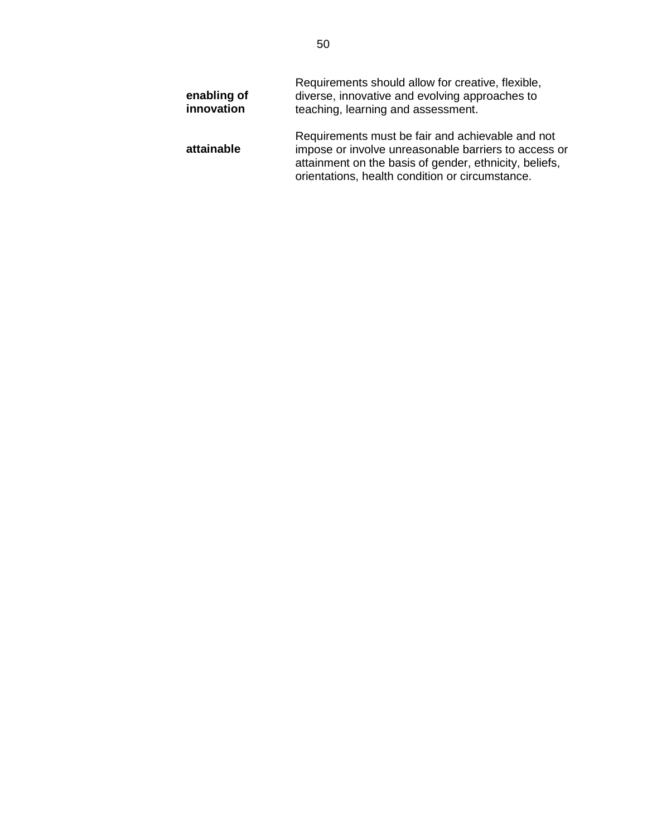| enabling of<br>innovation | Requirements should allow for creative, flexible,<br>diverse, innovative and evolving approaches to<br>teaching, learning and assessment.                                                                             |
|---------------------------|-----------------------------------------------------------------------------------------------------------------------------------------------------------------------------------------------------------------------|
| attainable                | Requirements must be fair and achievable and not<br>impose or involve unreasonable barriers to access or<br>attainment on the basis of gender, ethnicity, beliefs,<br>orientations, health condition or circumstance. |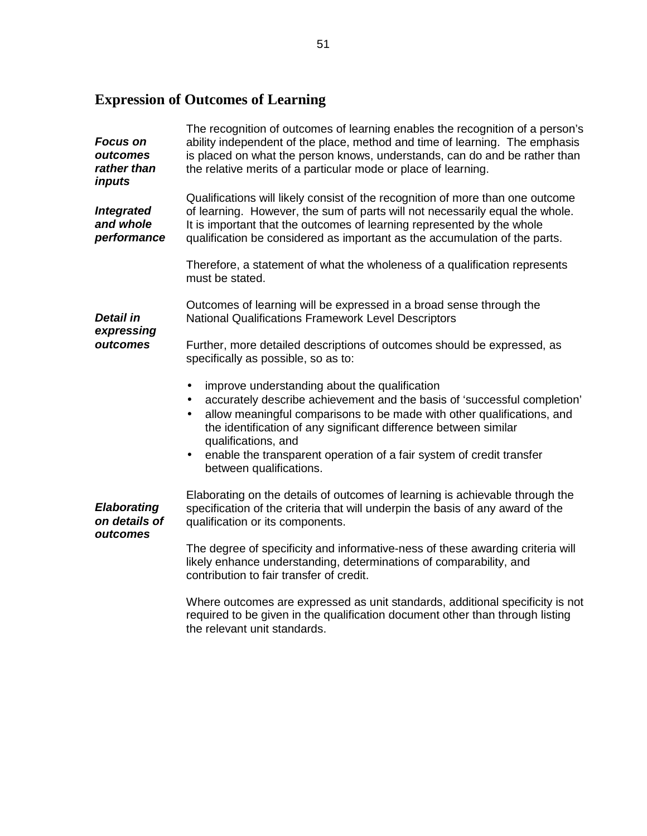# **Expression of Outcomes of Learning**

| <b>Focus on</b><br>outcomes<br>rather than<br>inputs                                   | The recognition of outcomes of learning enables the recognition of a person's<br>ability independent of the place, method and time of learning. The emphasis<br>is placed on what the person knows, understands, can do and be rather than<br>the relative merits of a particular mode or place of learning.                          |  |  |
|----------------------------------------------------------------------------------------|---------------------------------------------------------------------------------------------------------------------------------------------------------------------------------------------------------------------------------------------------------------------------------------------------------------------------------------|--|--|
| <b>Integrated</b><br>and whole<br>performance                                          | Qualifications will likely consist of the recognition of more than one outcome<br>of learning. However, the sum of parts will not necessarily equal the whole.<br>It is important that the outcomes of learning represented by the whole<br>qualification be considered as important as the accumulation of the parts.                |  |  |
| Detail in<br>expressing<br>outcomes<br><b>Elaborating</b><br>on details of<br>outcomes | Therefore, a statement of what the wholeness of a qualification represents<br>must be stated.                                                                                                                                                                                                                                         |  |  |
|                                                                                        | Outcomes of learning will be expressed in a broad sense through the<br><b>National Qualifications Framework Level Descriptors</b>                                                                                                                                                                                                     |  |  |
|                                                                                        | Further, more detailed descriptions of outcomes should be expressed, as<br>specifically as possible, so as to:                                                                                                                                                                                                                        |  |  |
|                                                                                        | improve understanding about the qualification<br>$\bullet$<br>accurately describe achievement and the basis of 'successful completion'<br>$\bullet$<br>allow meaningful comparisons to be made with other qualifications, and<br>$\bullet$<br>the identification of any significant difference between similar<br>qualifications, and |  |  |
|                                                                                        | enable the transparent operation of a fair system of credit transfer<br>$\bullet$<br>between qualifications.                                                                                                                                                                                                                          |  |  |
|                                                                                        | Elaborating on the details of outcomes of learning is achievable through the<br>specification of the criteria that will underpin the basis of any award of the<br>qualification or its components.                                                                                                                                    |  |  |
|                                                                                        | The degree of specificity and informative-ness of these awarding criteria will<br>likely enhance understanding, determinations of comparability, and<br>contribution to fair transfer of credit.                                                                                                                                      |  |  |
|                                                                                        | Where outcomes are expressed as unit standards, additional specificity is not<br>required to be given in the qualification document other than through listing                                                                                                                                                                        |  |  |

the relevant unit standards.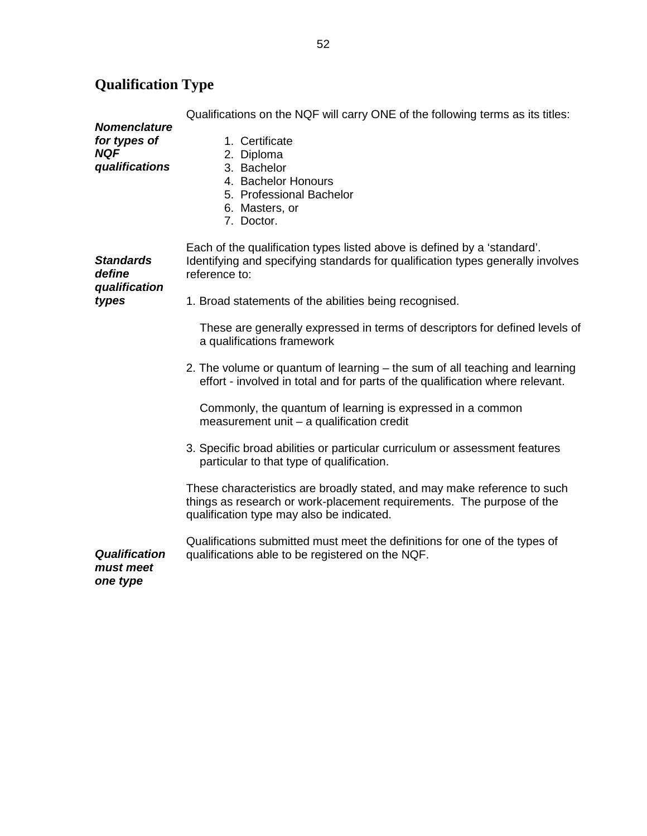### **Nomenclature for types of NQF qualifications**  Qualifications on the NQF will carry ONE of the following terms as its titles: 1. Certificate 2. Diploma 3. Bachelor 4. Bachelor Honours 5. Professional Bachelor 6. Masters, or 7. Doctor. **Standards define qualification types**  Each of the qualification types listed above is defined by a 'standard'. Identifying and specifying standards for qualification types generally involves reference to: 1. Broad statements of the abilities being recognised. These are generally expressed in terms of descriptors for defined levels of a qualifications framework 2. The volume or quantum of learning – the sum of all teaching and learning effort - involved in total and for parts of the qualification where relevant. Commonly, the quantum of learning is expressed in a common measurement unit – a qualification credit 3. Specific broad abilities or particular curriculum or assessment features particular to that type of qualification. These characteristics are broadly stated, and may make reference to such things as research or work-placement requirements. The purpose of the qualification type may also be indicated. **Qualification must meet one type**  Qualifications submitted must meet the definitions for one of the types of qualifications able to be registered on the NQF.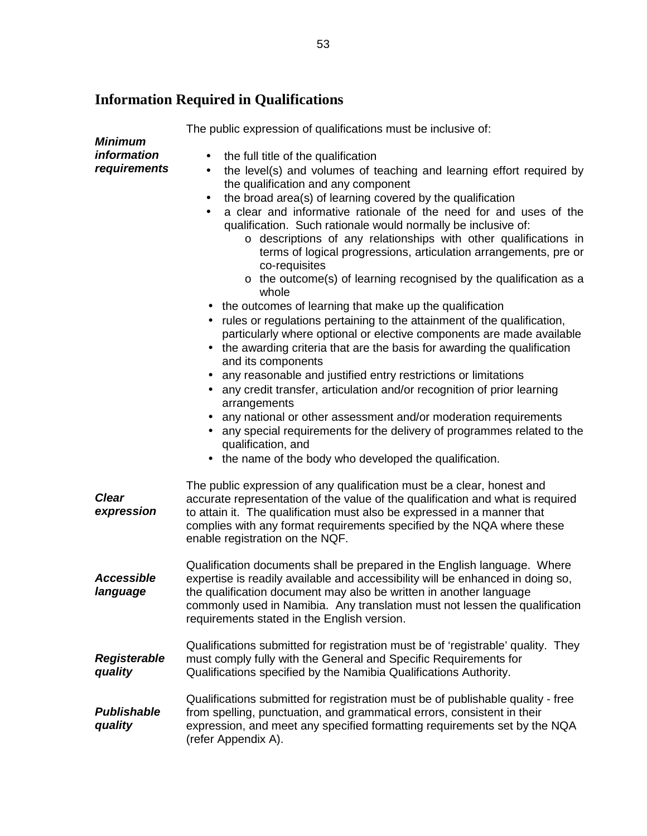## **Information Required in Qualifications**

**Minimum information requirements**  The public expression of qualifications must be inclusive of: the full title of the qualification • the level(s) and volumes of teaching and learning effort required by the qualification and any component • the broad area(s) of learning covered by the qualification • a clear and informative rationale of the need for and uses of the qualification. Such rationale would normally be inclusive of: o descriptions of any relationships with other qualifications in terms of logical progressions, articulation arrangements, pre or co-requisites o the outcome(s) of learning recognised by the qualification as a whole • the outcomes of learning that make up the qualification • rules or regulations pertaining to the attainment of the qualification, particularly where optional or elective components are made available • the awarding criteria that are the basis for awarding the qualification and its components • any reasonable and justified entry restrictions or limitations • any credit transfer, articulation and/or recognition of prior learning arrangements • any national or other assessment and/or moderation requirements • any special requirements for the delivery of programmes related to the qualification, and • the name of the body who developed the qualification. **Clear expression**  The public expression of any qualification must be a clear, honest and accurate representation of the value of the qualification and what is required to attain it. The qualification must also be expressed in a manner that complies with any format requirements specified by the NQA where these enable registration on the NQF. **Accessible language**  Qualification documents shall be prepared in the English language. Where expertise is readily available and accessibility will be enhanced in doing so, the qualification document may also be written in another language commonly used in Namibia. Any translation must not lessen the qualification requirements stated in the English version. **Registerable quality**  Qualifications submitted for registration must be of 'registrable' quality. They must comply fully with the General and Specific Requirements for Qualifications specified by the Namibia Qualifications Authority. **Publishable quality**  Qualifications submitted for registration must be of publishable quality - free from spelling, punctuation, and grammatical errors, consistent in their expression, and meet any specified formatting requirements set by the NQA (refer Appendix A).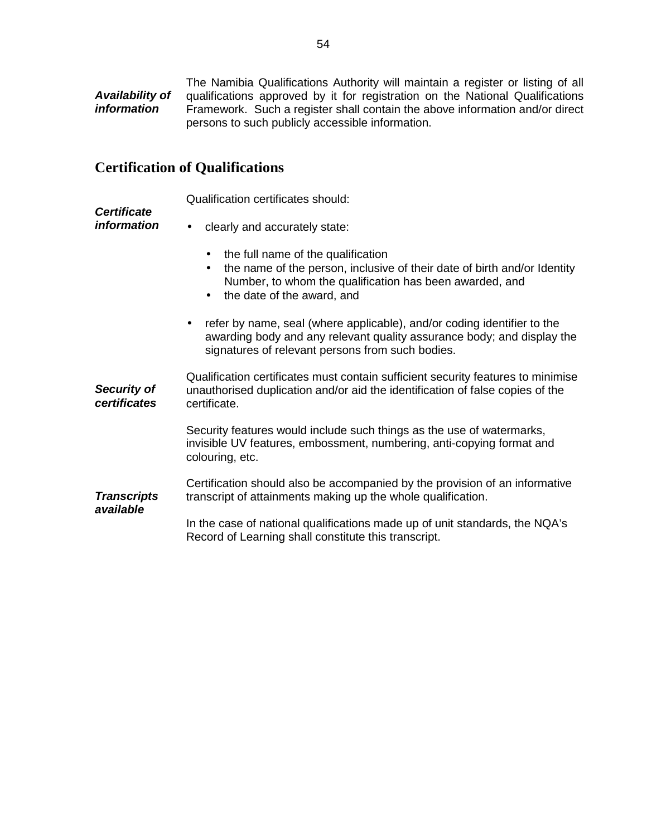**Availability of information**  The Namibia Qualifications Authority will maintain a register or listing of all qualifications approved by it for registration on the National Qualifications Framework. Such a register shall contain the above information and/or direct persons to such publicly accessible information.

### **Certification of Qualifications**

Qualification certificates should:

#### **Certificate information**

• clearly and accurately state:

- the full name of the qualification
- the name of the person, inclusive of their date of birth and/or Identity Number, to whom the qualification has been awarded, and
- the date of the award, and
- refer by name, seal (where applicable), and/or coding identifier to the awarding body and any relevant quality assurance body; and display the signatures of relevant persons from such bodies.

**Security of certificates**  Qualification certificates must contain sufficient security features to minimise unauthorised duplication and/or aid the identification of false copies of the certificate. Security features would include such things as the use of watermarks, invisible UV features, embossment, numbering, anti-copying format and colouring, etc. **Transcripts available**  Certification should also be accompanied by the provision of an informative transcript of attainments making up the whole qualification.

In the case of national qualifications made up of unit standards, the NQA's Record of Learning shall constitute this transcript.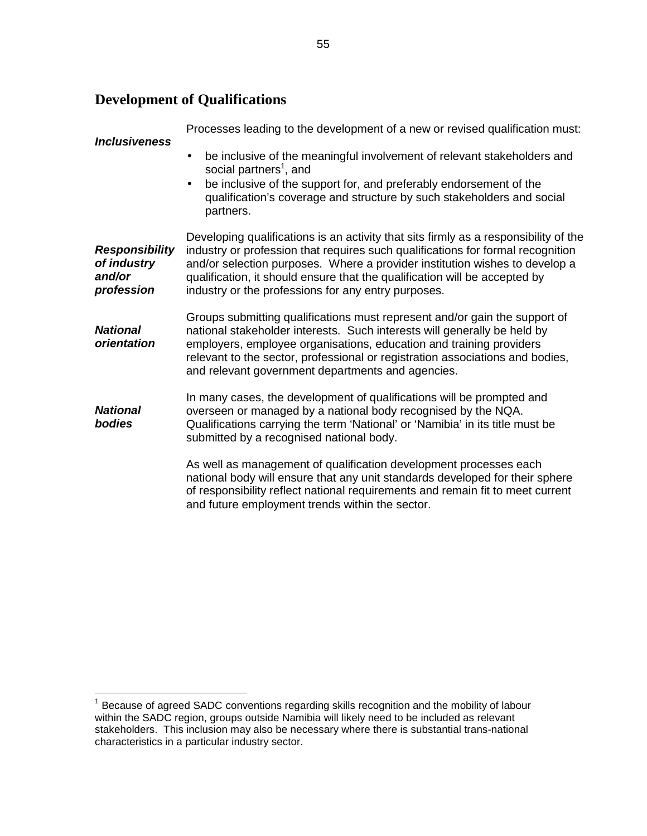## **Development of Qualifications**

| <b>Inclusiveness</b>                                         | Processes leading to the development of a new or revised qualification must:                                                                                                                                                                                                                                                                                                                |
|--------------------------------------------------------------|---------------------------------------------------------------------------------------------------------------------------------------------------------------------------------------------------------------------------------------------------------------------------------------------------------------------------------------------------------------------------------------------|
|                                                              | be inclusive of the meaningful involvement of relevant stakeholders and<br>social partners <sup>1</sup> , and<br>be inclusive of the support for, and preferably endorsement of the<br>$\bullet$<br>qualification's coverage and structure by such stakeholders and social<br>partners.                                                                                                     |
| <b>Responsibility</b><br>of industry<br>and/or<br>profession | Developing qualifications is an activity that sits firmly as a responsibility of the<br>industry or profession that requires such qualifications for formal recognition<br>and/or selection purposes. Where a provider institution wishes to develop a<br>qualification, it should ensure that the qualification will be accepted by<br>industry or the professions for any entry purposes. |
| <b>National</b><br>orientation                               | Groups submitting qualifications must represent and/or gain the support of<br>national stakeholder interests. Such interests will generally be held by<br>employers, employee organisations, education and training providers<br>relevant to the sector, professional or registration associations and bodies,<br>and relevant government departments and agencies.                         |
| <b>National</b><br>bodies                                    | In many cases, the development of qualifications will be prompted and<br>overseen or managed by a national body recognised by the NQA.<br>Qualifications carrying the term 'National' or 'Namibia' in its title must be<br>submitted by a recognised national body.                                                                                                                         |
|                                                              | As well as management of qualification development processes each<br>national body will ensure that any unit standards developed for their sphere<br>of responsibility reflect national requirements and remain fit to meet current<br>and future employment trends within the sector.                                                                                                      |

<sup>————————————————————&</sup>lt;br><sup>1</sup> Because of agreed SADC conventions regarding skills recognition and the mobility of labour within the SADC region, groups outside Namibia will likely need to be included as relevant stakeholders. This inclusion may also be necessary where there is substantial trans-national characteristics in a particular industry sector.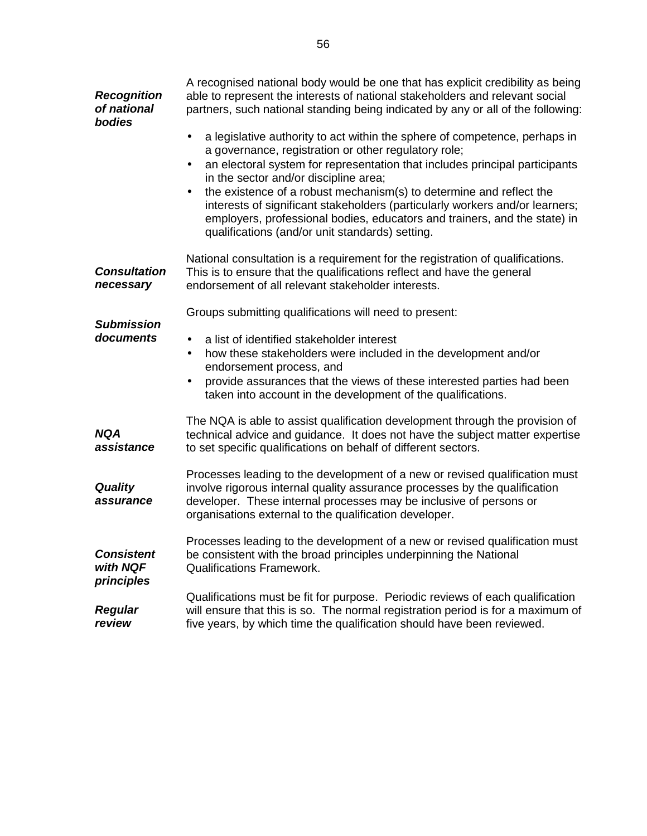| <b>Recognition</b><br>of national<br>bodies | A recognised national body would be one that has explicit credibility as being<br>able to represent the interests of national stakeholders and relevant social<br>partners, such national standing being indicated by any or all of the following:                                                                       |  |  |
|---------------------------------------------|--------------------------------------------------------------------------------------------------------------------------------------------------------------------------------------------------------------------------------------------------------------------------------------------------------------------------|--|--|
|                                             | a legislative authority to act within the sphere of competence, perhaps in<br>$\bullet$<br>a governance, registration or other regulatory role;<br>an electoral system for representation that includes principal participants<br>$\bullet$<br>in the sector and/or discipline area;                                     |  |  |
|                                             | the existence of a robust mechanism(s) to determine and reflect the<br>interests of significant stakeholders (particularly workers and/or learners;<br>employers, professional bodies, educators and trainers, and the state) in<br>qualifications (and/or unit standards) setting.                                      |  |  |
| <b>Consultation</b><br>necessary            | National consultation is a requirement for the registration of qualifications.<br>This is to ensure that the qualifications reflect and have the general<br>endorsement of all relevant stakeholder interests.                                                                                                           |  |  |
| <b>Submission</b>                           | Groups submitting qualifications will need to present:                                                                                                                                                                                                                                                                   |  |  |
| documents                                   | a list of identified stakeholder interest<br>$\bullet$<br>how these stakeholders were included in the development and/or<br>$\bullet$<br>endorsement process, and<br>provide assurances that the views of these interested parties had been<br>$\bullet$<br>taken into account in the development of the qualifications. |  |  |
| <b>NQA</b><br>assistance                    | The NQA is able to assist qualification development through the provision of<br>technical advice and guidance. It does not have the subject matter expertise<br>to set specific qualifications on behalf of different sectors.                                                                                           |  |  |
| <b>Quality</b><br>assurance                 | Processes leading to the development of a new or revised qualification must<br>involve rigorous internal quality assurance processes by the qualification<br>developer. These internal processes may be inclusive of persons or<br>organisations external to the qualification developer.                                |  |  |
| <b>Consistent</b><br>with NQF<br>principles | Processes leading to the development of a new or revised qualification must<br>be consistent with the broad principles underpinning the National<br><b>Qualifications Framework.</b>                                                                                                                                     |  |  |
| <b>Regular</b><br>review                    | Qualifications must be fit for purpose. Periodic reviews of each qualification<br>will ensure that this is so. The normal registration period is for a maximum of<br>five years, by which time the qualification should have been reviewed.                                                                              |  |  |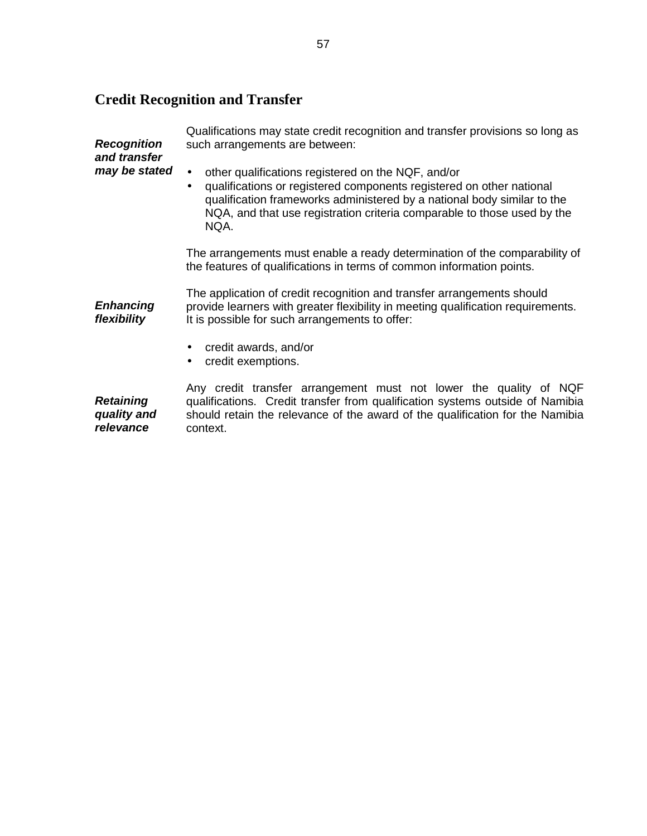# **Credit Recognition and Transfer**

| <b>Recognition</b><br>and transfer | Qualifications may state credit recognition and transfer provisions so long as<br>such arrangements are between:                                                                                                                                                                                                   |  |  |
|------------------------------------|--------------------------------------------------------------------------------------------------------------------------------------------------------------------------------------------------------------------------------------------------------------------------------------------------------------------|--|--|
| may be stated                      | other qualifications registered on the NQF, and/or<br>$\bullet$<br>qualifications or registered components registered on other national<br>$\bullet$<br>qualification frameworks administered by a national body similar to the<br>NQA, and that use registration criteria comparable to those used by the<br>NQA. |  |  |
|                                    | The arrangements must enable a ready determination of the comparability of<br>the features of qualifications in terms of common information points.                                                                                                                                                                |  |  |
| <b>Enhancing</b><br>flexibility    | The application of credit recognition and transfer arrangements should<br>provide learners with greater flexibility in meeting qualification requirements.<br>It is possible for such arrangements to offer:                                                                                                       |  |  |
|                                    | credit awards, and/or<br>credit exemptions.<br>$\bullet$                                                                                                                                                                                                                                                           |  |  |
| <b>Retaining</b>                   | Any credit transfer arrangement must not lower the quality of NQF<br>qualifications. Credit transfer from qualification systems outside of Namibia                                                                                                                                                                 |  |  |

**quality and relevance**  qualifications. Credit transfer from qualification systems outside of Namibia should retain the relevance of the award of the qualification for the Namibia context.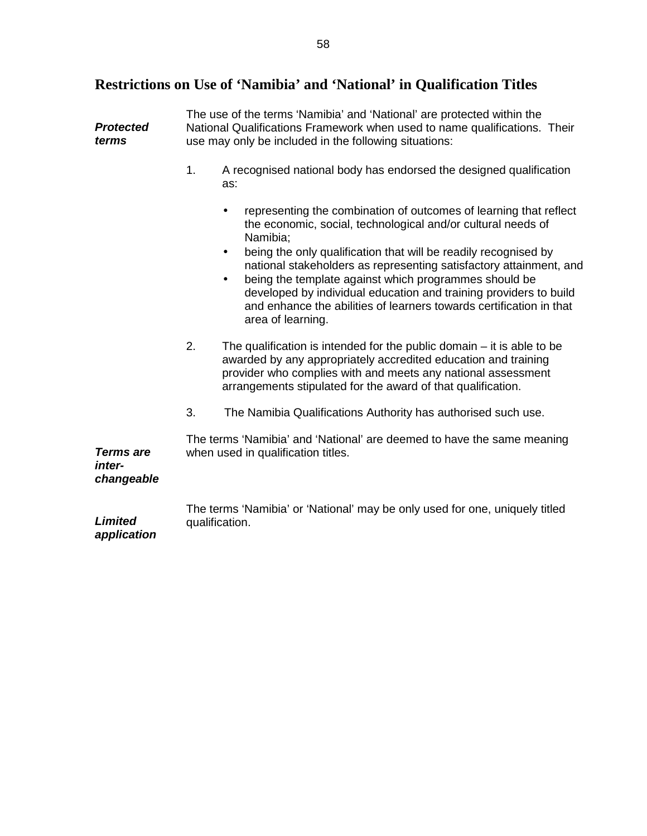# **Restrictions on Use of 'Namibia' and 'National' in Qualification Titles**

| <b>Protected</b><br>terms                | The use of the terms 'Namibia' and 'National' are protected within the<br>National Qualifications Framework when used to name qualifications. Their<br>use may only be included in the following situations: |                                                                                                                                                                                                                                                                                                                                                                                   |  |
|------------------------------------------|--------------------------------------------------------------------------------------------------------------------------------------------------------------------------------------------------------------|-----------------------------------------------------------------------------------------------------------------------------------------------------------------------------------------------------------------------------------------------------------------------------------------------------------------------------------------------------------------------------------|--|
|                                          | 1.                                                                                                                                                                                                           | A recognised national body has endorsed the designed qualification<br>as:                                                                                                                                                                                                                                                                                                         |  |
|                                          |                                                                                                                                                                                                              | representing the combination of outcomes of learning that reflect<br>٠<br>the economic, social, technological and/or cultural needs of<br>Namibia;                                                                                                                                                                                                                                |  |
|                                          |                                                                                                                                                                                                              | being the only qualification that will be readily recognised by<br>٠<br>national stakeholders as representing satisfactory attainment, and<br>being the template against which programmes should be<br>$\bullet$<br>developed by individual education and training providers to build<br>and enhance the abilities of learners towards certification in that<br>area of learning. |  |
|                                          | 2.                                                                                                                                                                                                           | The qualification is intended for the public domain $-$ it is able to be<br>awarded by any appropriately accredited education and training<br>provider who complies with and meets any national assessment<br>arrangements stipulated for the award of that qualification.                                                                                                        |  |
|                                          | 3.                                                                                                                                                                                                           | The Namibia Qualifications Authority has authorised such use.                                                                                                                                                                                                                                                                                                                     |  |
| <b>Terms are</b><br>inter-<br>changeable |                                                                                                                                                                                                              | The terms 'Namibia' and 'National' are deemed to have the same meaning<br>when used in qualification titles.                                                                                                                                                                                                                                                                      |  |
| <b>Limited</b><br>application            |                                                                                                                                                                                                              | The terms 'Namibia' or 'National' may be only used for one, uniquely titled<br>qualification.                                                                                                                                                                                                                                                                                     |  |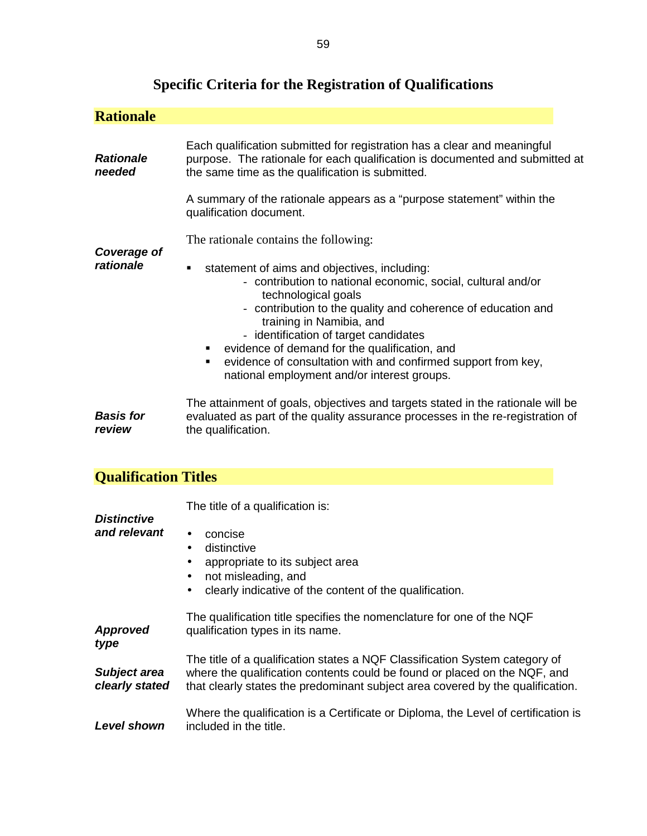| <b>Rationale</b>                      |                                                                                                                                                                                                                                                                                                                                                                                                                                                                                                   |  |  |
|---------------------------------------|---------------------------------------------------------------------------------------------------------------------------------------------------------------------------------------------------------------------------------------------------------------------------------------------------------------------------------------------------------------------------------------------------------------------------------------------------------------------------------------------------|--|--|
| <b>Rationale</b><br>needed            | Each qualification submitted for registration has a clear and meaningful<br>purpose. The rationale for each qualification is documented and submitted at<br>the same time as the qualification is submitted.                                                                                                                                                                                                                                                                                      |  |  |
|                                       | A summary of the rationale appears as a "purpose statement" within the<br>qualification document.                                                                                                                                                                                                                                                                                                                                                                                                 |  |  |
| Coverage of<br>rationale              | The rationale contains the following:<br>statement of aims and objectives, including:<br>٠<br>- contribution to national economic, social, cultural and/or<br>technological goals<br>- contribution to the quality and coherence of education and<br>training in Namibia, and<br>- identification of target candidates<br>evidence of demand for the qualification, and<br>п<br>evidence of consultation with and confirmed support from key,<br>٠<br>national employment and/or interest groups. |  |  |
| <b>Basis for</b><br>review            | The attainment of goals, objectives and targets stated in the rationale will be<br>evaluated as part of the quality assurance processes in the re-registration of<br>the qualification.                                                                                                                                                                                                                                                                                                           |  |  |
| <b>Qualification Titles</b>           |                                                                                                                                                                                                                                                                                                                                                                                                                                                                                                   |  |  |
| <b>Distinctive</b><br>and relevant    | The title of a qualification is:<br>concise<br>distinctive<br>$\bullet$<br>appropriate to its subject area<br>not misleading, and<br>clearly indicative of the content of the qualification.                                                                                                                                                                                                                                                                                                      |  |  |
| <b>Approved</b><br>type               | The qualification title specifies the nomenclature for one of the NQF<br>qualification types in its name.                                                                                                                                                                                                                                                                                                                                                                                         |  |  |
| <b>Subject area</b><br>clearly stated | The title of a qualification states a NQF Classification System category of<br>where the qualification contents could be found or placed on the NQF, and<br>that clearly states the predominant subject area covered by the qualification.                                                                                                                                                                                                                                                        |  |  |
| <b>Level shown</b>                    | Where the qualification is a Certificate or Diploma, the Level of certification is<br>included in the title.                                                                                                                                                                                                                                                                                                                                                                                      |  |  |

# **Specific Criteria for the Registration of Qualifications**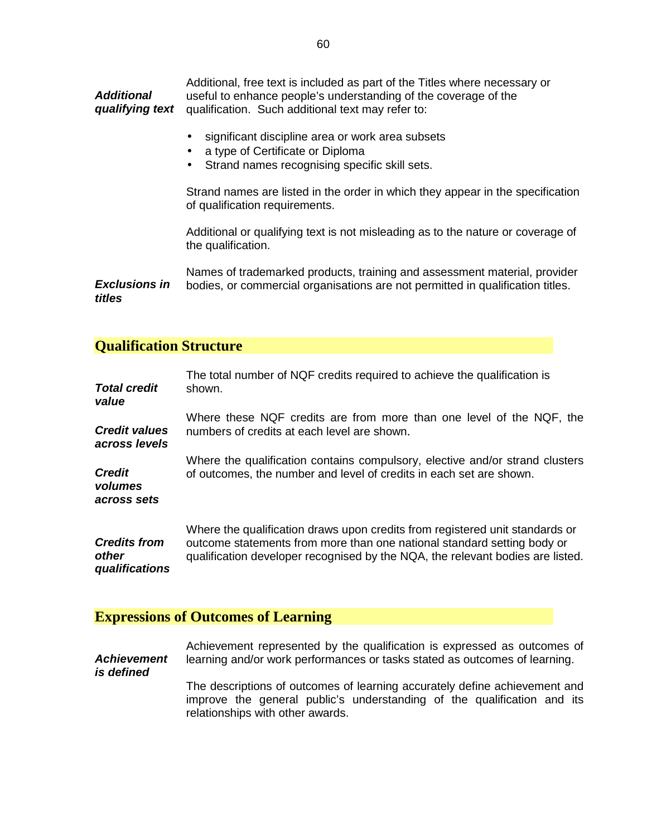**Additional qualifying text**  Additional, free text is included as part of the Titles where necessary or useful to enhance people's understanding of the coverage of the qualification. Such additional text may refer to:

- significant discipline area or work area subsets
- a type of Certificate or Diploma
- Strand names recognising specific skill sets.

Strand names are listed in the order in which they appear in the specification of qualification requirements.

Additional or qualifying text is not misleading as to the nature or coverage of the qualification.

**Exclusions in titles**  Names of trademarked products, training and assessment material, provider bodies, or commercial organisations are not permitted in qualification titles.

### **Qualification Structure**

| <b>Total credit</b>                     | The total number of NQF credits required to achieve the qualification is                                                                            |
|-----------------------------------------|-----------------------------------------------------------------------------------------------------------------------------------------------------|
| value                                   | shown.                                                                                                                                              |
| <b>Credit values</b>                    | Where these NQF credits are from more than one level of the NQF, the                                                                                |
| across levels                           | numbers of credits at each level are shown.                                                                                                         |
| <b>Credit</b><br>volumes<br>across sets | Where the qualification contains compulsory, elective and/or strand clusters<br>of outcomes, the number and level of credits in each set are shown. |
| <b>Credits from</b>                     | Where the qualification draws upon credits from registered unit standards or                                                                        |
| other                                   | outcome statements from more than one national standard setting body or                                                                             |
| qualifications                          | qualification developer recognised by the NQA, the relevant bodies are listed.                                                                      |

### **Expressions of Outcomes of Learning**

**Achievement is defined**  Achievement represented by the qualification is expressed as outcomes of learning and/or work performances or tasks stated as outcomes of learning. The descriptions of outcomes of learning accurately define achievement and improve the general public's understanding of the qualification and its relationships with other awards.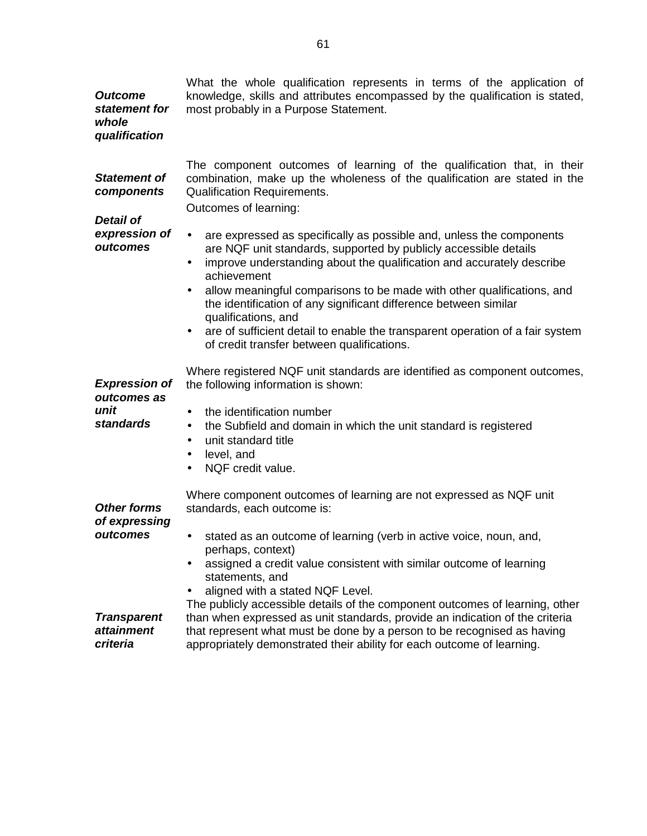| <b>Outcome</b><br>statement for<br>whole<br>qualification       | What the whole qualification represents in terms of the application of<br>knowledge, skills and attributes encompassed by the qualification is stated,<br>most probably in a Purpose Statement.                                                                                                                                                                                                                                                                                                                                                                                  |
|-----------------------------------------------------------------|----------------------------------------------------------------------------------------------------------------------------------------------------------------------------------------------------------------------------------------------------------------------------------------------------------------------------------------------------------------------------------------------------------------------------------------------------------------------------------------------------------------------------------------------------------------------------------|
| <b>Statement of</b><br>components<br><b>Detail of</b>           | The component outcomes of learning of the qualification that, in their<br>combination, make up the wholeness of the qualification are stated in the<br><b>Qualification Requirements.</b><br>Outcomes of learning:                                                                                                                                                                                                                                                                                                                                                               |
| expression of<br>outcomes                                       | are expressed as specifically as possible and, unless the components<br>$\bullet$<br>are NQF unit standards, supported by publicly accessible details<br>improve understanding about the qualification and accurately describe<br>$\bullet$<br>achievement<br>allow meaningful comparisons to be made with other qualifications, and<br>٠<br>the identification of any significant difference between similar<br>qualifications, and<br>are of sufficient detail to enable the transparent operation of a fair system<br>$\bullet$<br>of credit transfer between qualifications. |
| <b>Expression of</b><br>outcomes as<br>unit<br><b>standards</b> | Where registered NQF unit standards are identified as component outcomes,<br>the following information is shown:<br>the identification number<br>$\bullet$<br>the Subfield and domain in which the unit standard is registered<br>$\bullet$<br>unit standard title<br>$\bullet$<br>level, and<br>$\bullet$<br>NQF credit value.<br>$\bullet$                                                                                                                                                                                                                                     |
| <b>Other forms</b><br>of expressing<br>outcomes                 | Where component outcomes of learning are not expressed as NQF unit<br>standards, each outcome is:<br>stated as an outcome of learning (verb in active voice, noun, and,<br>perhaps, context)<br>assigned a credit value consistent with similar outcome of learning<br>statements, and<br>aligned with a stated NQF Level.                                                                                                                                                                                                                                                       |
| <b>Transparent</b><br><i>attainment</i><br>criteria             | The publicly accessible details of the component outcomes of learning, other<br>than when expressed as unit standards, provide an indication of the criteria<br>that represent what must be done by a person to be recognised as having<br>appropriately demonstrated their ability for each outcome of learning.                                                                                                                                                                                                                                                                |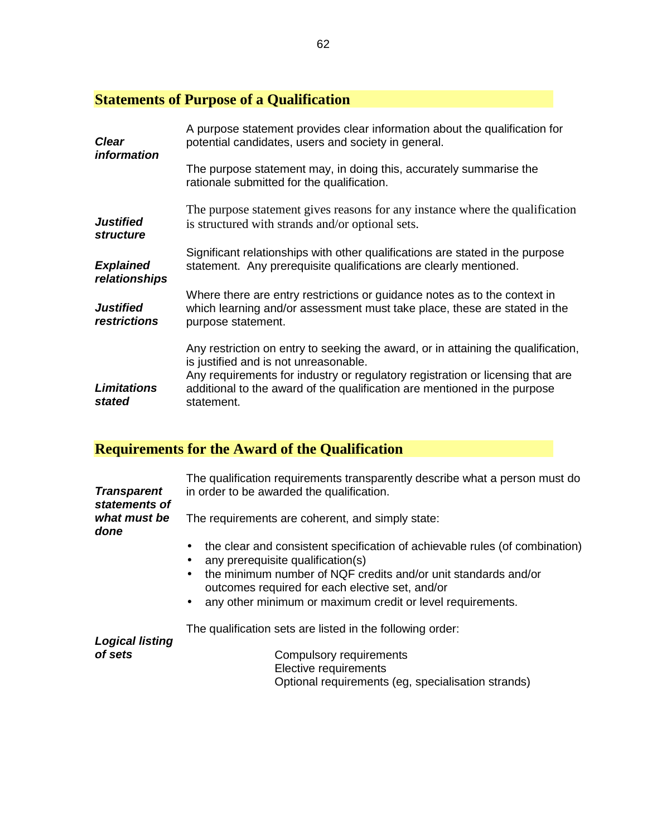# **Statements of Purpose of a Qualification**

| <b>Clear</b><br><i>information</i>      | A purpose statement provides clear information about the qualification for<br>potential candidates, users and society in general.<br>The purpose statement may, in doing this, accurately summarise the                                                                                                 |  |
|-----------------------------------------|---------------------------------------------------------------------------------------------------------------------------------------------------------------------------------------------------------------------------------------------------------------------------------------------------------|--|
|                                         | rationale submitted for the qualification.                                                                                                                                                                                                                                                              |  |
| <b>Justified</b><br><i>structure</i>    | The purpose statement gives reasons for any instance where the qualification<br>is structured with strands and/or optional sets.                                                                                                                                                                        |  |
| <b>Explained</b><br>relationships       | Significant relationships with other qualifications are stated in the purpose<br>statement. Any prerequisite qualifications are clearly mentioned.                                                                                                                                                      |  |
| <b>Justified</b><br><i>restrictions</i> | Where there are entry restrictions or guidance notes as to the context in<br>which learning and/or assessment must take place, these are stated in the<br>purpose statement.                                                                                                                            |  |
| <b>Limitations</b><br>stated            | Any restriction on entry to seeking the award, or in attaining the qualification,<br>is justified and is not unreasonable.<br>Any requirements for industry or regulatory registration or licensing that are<br>additional to the award of the qualification are mentioned in the purpose<br>statement. |  |

# **Requirements for the Award of the Qualification**

| <b>Transparent</b><br>statements of | The qualification requirements transparently describe what a person must do<br>in order to be awarded the qualification.       |
|-------------------------------------|--------------------------------------------------------------------------------------------------------------------------------|
| what must be<br>done                | The requirements are coherent, and simply state:                                                                               |
|                                     | the clear and consistent specification of achievable rules (of combination)<br>any prerequisite qualification(s)               |
|                                     | the minimum number of NQF credits and/or unit standards and/or<br>$\bullet$<br>outcomes required for each elective set, and/or |
|                                     | any other minimum or maximum credit or level requirements.<br>$\bullet$                                                        |
| <b>Logical listing</b>              | The qualification sets are listed in the following order:                                                                      |
| of sets                             | Compulsory requirements<br>Elective requirements<br>Optional requirements (eg, specialisation strands)                         |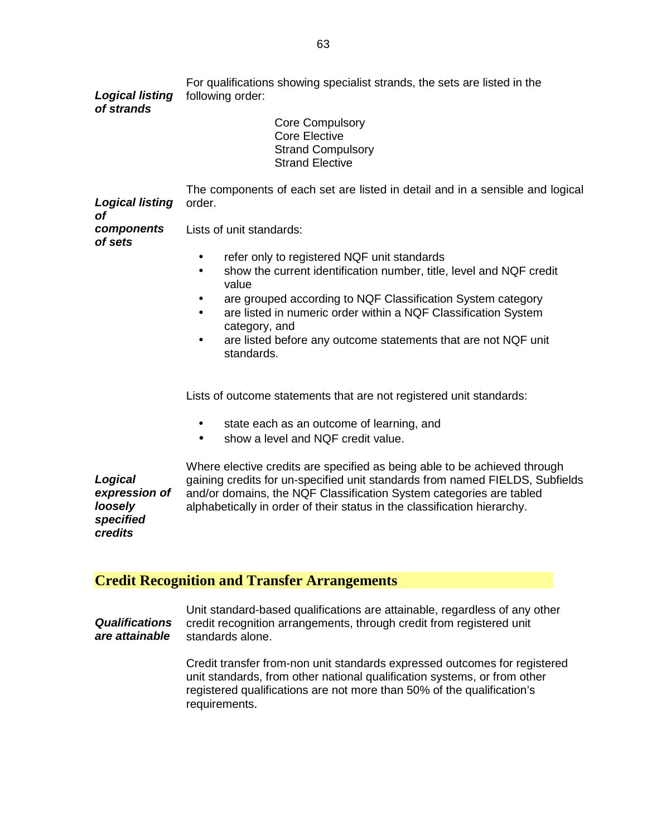**Logical listing of strands**  For qualifications showing specialist strands, the sets are listed in the following order: Core Compulsory Core Elective Strand Compulsory Strand Elective **Logical listing of components of sets**  The components of each set are listed in detail and in a sensible and logical order. Lists of unit standards: • refer only to registered NQF unit standards • show the current identification number, title, level and NQF credit value • are grouped according to NQF Classification System category • are listed in numeric order within a NQF Classification System category, and are listed before any outcome statements that are not NQF unit standards. Lists of outcome statements that are not registered unit standards: • state each as an outcome of learning, and • show a level and NQF credit value. **Logical expression of loosely specified credits**  Where elective credits are specified as being able to be achieved through gaining credits for un-specified unit standards from named FIELDS, Subfields and/or domains, the NQF Classification System categories are tabled alphabetically in order of their status in the classification hierarchy.

### **Credit Recognition and Transfer Arrangements**

**Qualifications are attainable**  Unit standard-based qualifications are attainable, regardless of any other credit recognition arrangements, through credit from registered unit standards alone.

> Credit transfer from-non unit standards expressed outcomes for registered unit standards, from other national qualification systems, or from other registered qualifications are not more than 50% of the qualification's requirements.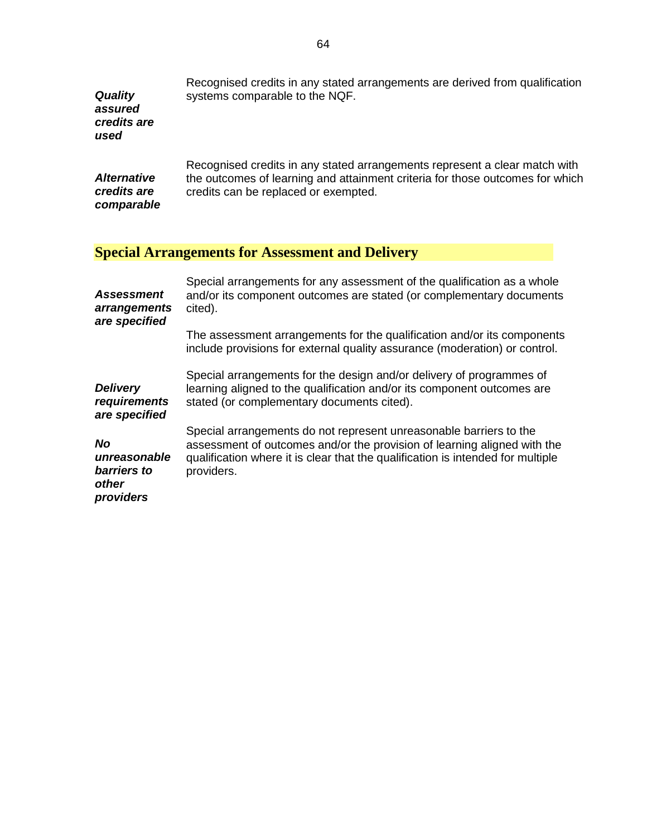| Quality<br>assured<br>credits are<br>used               | Recognised credits in any stated arrangements are derived from qualification<br>systems comparable to the NQF.                                                                                                                                                                                                      |
|---------------------------------------------------------|---------------------------------------------------------------------------------------------------------------------------------------------------------------------------------------------------------------------------------------------------------------------------------------------------------------------|
| <b>Alternative</b><br>credits are<br>comparable         | Recognised credits in any stated arrangements represent a clear match with<br>the outcomes of learning and attainment criteria for those outcomes for which<br>credits can be replaced or exempted.                                                                                                                 |
|                                                         | <b>Special Arrangements for Assessment and Delivery</b>                                                                                                                                                                                                                                                             |
| <b>Assessment</b><br>arrangements<br>are specified      | Special arrangements for any assessment of the qualification as a whole<br>and/or its component outcomes are stated (or complementary documents<br>cited).<br>The assessment arrangements for the qualification and/or its components<br>include provisions for external quality assurance (moderation) or control. |
| <b>Delivery</b><br>requirements<br>are specified        | Special arrangements for the design and/or delivery of programmes of<br>learning aligned to the qualification and/or its component outcomes are<br>stated (or complementary documents cited).                                                                                                                       |
| No<br>unreasonable<br>barriers to<br>other<br>providers | Special arrangements do not represent unreasonable barriers to the<br>assessment of outcomes and/or the provision of learning aligned with the<br>qualification where it is clear that the qualification is intended for multiple<br>providers.                                                                     |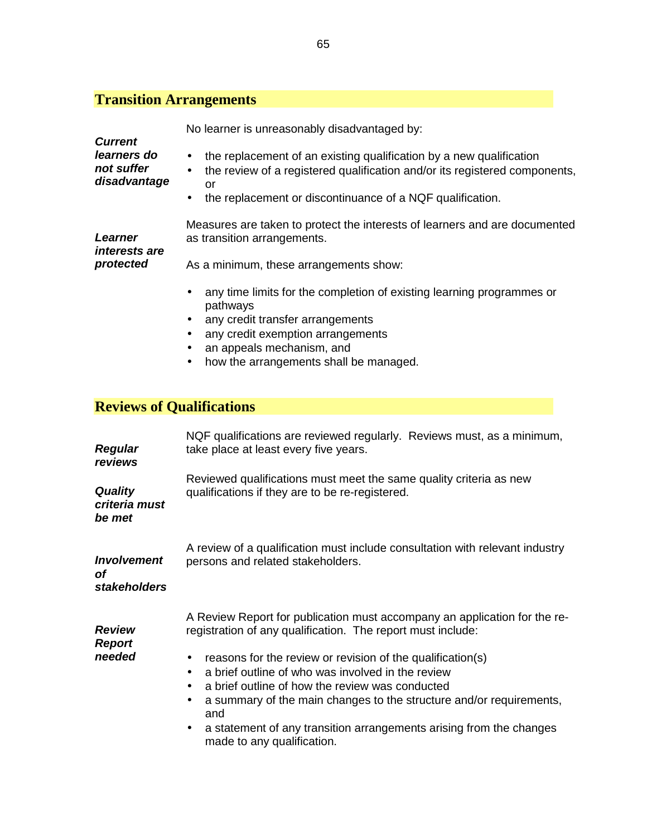**Current learners do not suffer disadvantage**  No learner is unreasonably disadvantaged by: • the replacement of an existing qualification by a new qualification • the review of a registered qualification and/or its registered components, or • the replacement or discontinuance of a NQF qualification. **Learner interests are protected**  Measures are taken to protect the interests of learners and are documented as transition arrangements. As a minimum, these arrangements show: • any time limits for the completion of existing learning programmes or pathways • any credit transfer arrangements • any credit exemption arrangements • an appeals mechanism, and

• how the arrangements shall be managed.

### **Reviews of Qualifications**

| <b>Regular</b><br>reviews                 | NQF qualifications are reviewed regularly. Reviews must, as a minimum,<br>take place at least every five years.                                                                                                                                                                                                                                                                                                                                                                                                             |
|-------------------------------------------|-----------------------------------------------------------------------------------------------------------------------------------------------------------------------------------------------------------------------------------------------------------------------------------------------------------------------------------------------------------------------------------------------------------------------------------------------------------------------------------------------------------------------------|
| <b>Quality</b><br>criteria must<br>be met | Reviewed qualifications must meet the same quality criteria as new<br>qualifications if they are to be re-registered.                                                                                                                                                                                                                                                                                                                                                                                                       |
| <b>Involvement</b><br>οf<br>stakeholders  | A review of a qualification must include consultation with relevant industry<br>persons and related stakeholders.                                                                                                                                                                                                                                                                                                                                                                                                           |
| <b>Review</b><br><b>Report</b><br>needed  | A Review Report for publication must accompany an application for the re-<br>registration of any qualification. The report must include:<br>reasons for the review or revision of the qualification(s)<br>a brief outline of who was involved in the review<br>a brief outline of how the review was conducted<br>$\bullet$<br>a summary of the main changes to the structure and/or requirements,<br>$\bullet$<br>and<br>a statement of any transition arrangements arising from the changes<br>made to any qualification. |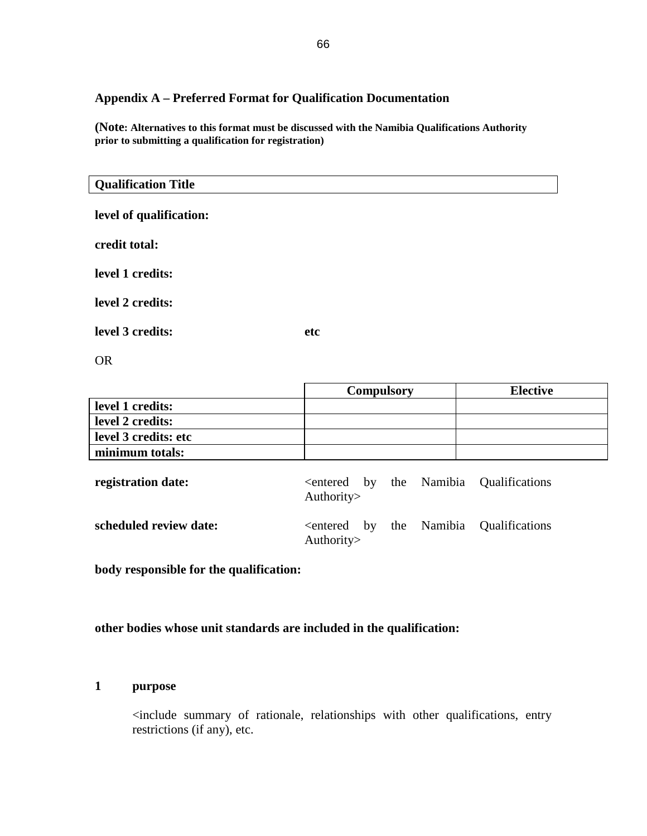### **Appendix A – Preferred Format for Qualification Documentation**

**(Note: Alternatives to this format must be discussed with the Namibia Qualifications Authority prior to submitting a qualification for registration)** 

| <b>Qualification Title</b> |     |  |
|----------------------------|-----|--|
| level of qualification:    |     |  |
| credit total:              |     |  |
| level 1 credits:           |     |  |
| level 2 credits:           |     |  |
| level 3 credits:           | etc |  |
| <b>OR</b>                  |     |  |

|                      | <b>Compulsory</b> | <b>Elective</b> |
|----------------------|-------------------|-----------------|
| level 1 credits:     |                   |                 |
| level 2 credits:     |                   |                 |
| level 3 credits: etc |                   |                 |
| minimum totals:      |                   |                 |

| registration date:     | Authority $>$ |  | <entered by="" namibia="" qualifications<="" th="" the=""></entered> |
|------------------------|---------------|--|----------------------------------------------------------------------|
| scheduled review date: | Authority $>$ |  | <entered by="" namibia="" qualifications<="" th="" the=""></entered> |

**body responsible for the qualification:**

**other bodies whose unit standards are included in the qualification:** 

### **1 purpose**

 <include summary of rationale, relationships with other qualifications, entry restrictions (if any), etc.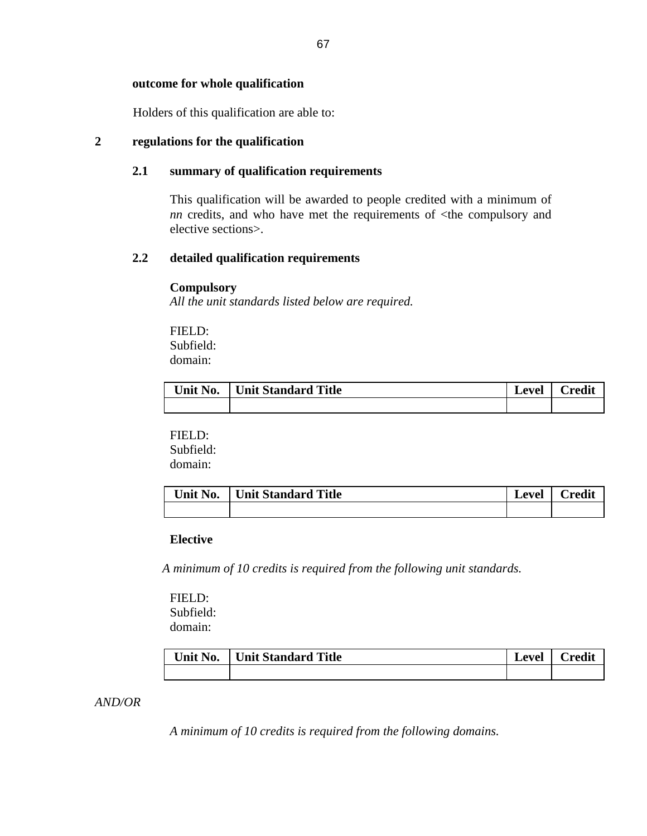#### **outcome for whole qualification**

Holders of this qualification are able to:

### **2 regulations for the qualification**

### **2.1 summary of qualification requirements**

 This qualification will be awarded to people credited with a minimum of *nn* credits, and who have met the requirements of  $\lt$ the compulsory and elective sections>.

### **2.2 detailed qualification requirements**

#### **Compulsory**

*All the unit standards listed below are required.*

 FIELD: Subfield: domain:

| Unit No. | Unit Standard Title | Level | Credit |
|----------|---------------------|-------|--------|
|          |                     |       |        |

#### FIELD:

 Subfield: domain:

| Unit No. | Unit Standard Title | Level | $\Gamma$ redit |
|----------|---------------------|-------|----------------|
|          |                     |       |                |

### **Elective**

*A minimum of 10 credits is required from the following unit standards.*

FIELD: Subfield: domain:

| Unit No. | Unit Standard Title | Level | Credit |
|----------|---------------------|-------|--------|
|          |                     |       |        |

#### *AND/OR*

*A minimum of 10 credits is required from the following domains.*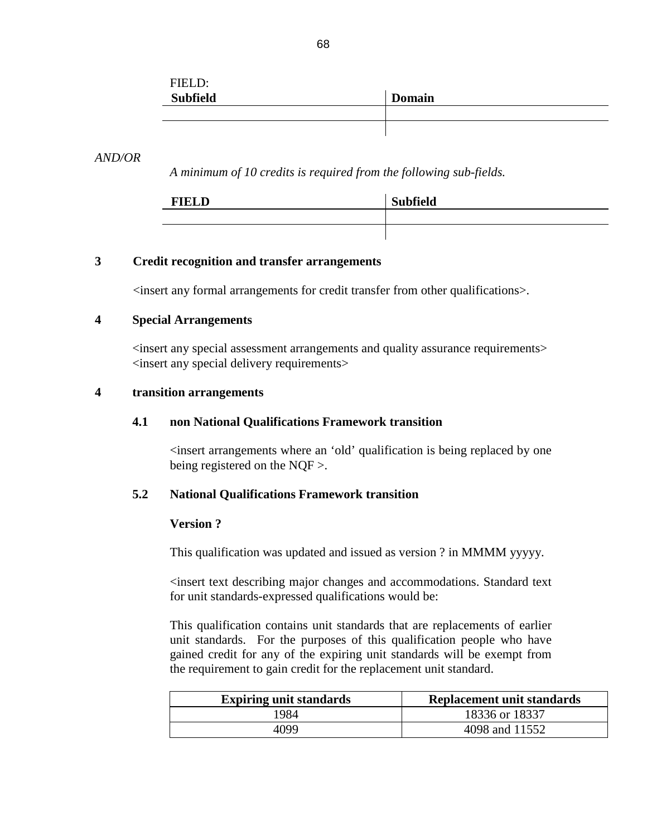| FIELD:          |               |
|-----------------|---------------|
| <b>Subfield</b> | <b>Domain</b> |
|                 |               |
|                 |               |

### *AND/OR*

 *A minimum of 10 credits is required from the following sub-fields.* 

| <b>FIELD</b> | <b>Subfield</b> |
|--------------|-----------------|
|              |                 |
|              |                 |

### **3 Credit recognition and transfer arrangements**

<insert any formal arrangements for credit transfer from other qualifications>.

### **4 Special Arrangements**

 <insert any special assessment arrangements and quality assurance requirements> <insert any special delivery requirements>

### **4 transition arrangements**

#### **4.1 non National Qualifications Framework transition**

<insert arrangements where an 'old' qualification is being replaced by one being registered on the NQF >.

#### **5.2 National Qualifications Framework transition**

### **Version ?**

This qualification was updated and issued as version ? in MMMM yyyyy.

<insert text describing major changes and accommodations. Standard text for unit standards-expressed qualifications would be:

 This qualification contains unit standards that are replacements of earlier unit standards. For the purposes of this qualification people who have gained credit for any of the expiring unit standards will be exempt from the requirement to gain credit for the replacement unit standard.

| <b>Expiring unit standards</b> | <b>Replacement unit standards</b> |
|--------------------------------|-----------------------------------|
| 1984                           | 18336 or 18337                    |
| 4099                           | 4098 and 11552                    |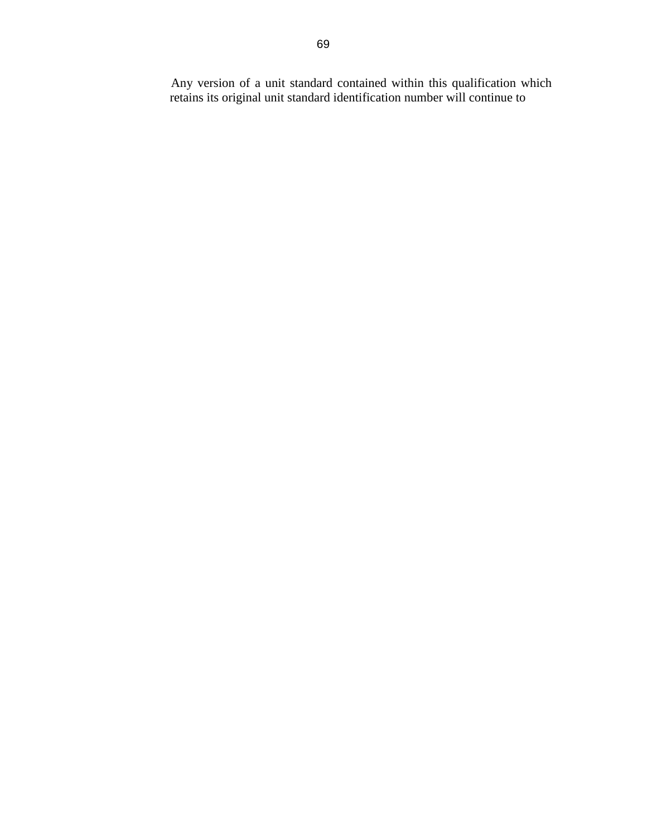Any version of a unit standard contained within this qualification which retains its original unit standard identification number will continue to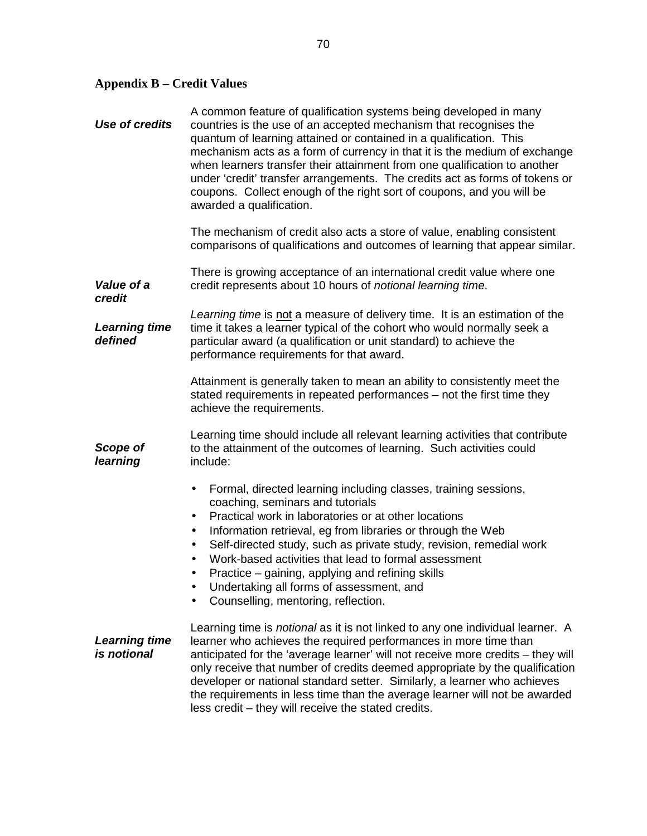## **Appendix B – Credit Values**

| <b>Use of credits</b>               | A common feature of qualification systems being developed in many<br>countries is the use of an accepted mechanism that recognises the<br>quantum of learning attained or contained in a qualification. This<br>mechanism acts as a form of currency in that it is the medium of exchange<br>when learners transfer their attainment from one qualification to another<br>under 'credit' transfer arrangements. The credits act as forms of tokens or<br>coupons. Collect enough of the right sort of coupons, and you will be<br>awarded a qualification. |
|-------------------------------------|------------------------------------------------------------------------------------------------------------------------------------------------------------------------------------------------------------------------------------------------------------------------------------------------------------------------------------------------------------------------------------------------------------------------------------------------------------------------------------------------------------------------------------------------------------|
|                                     | The mechanism of credit also acts a store of value, enabling consistent<br>comparisons of qualifications and outcomes of learning that appear similar.                                                                                                                                                                                                                                                                                                                                                                                                     |
| Value of a<br>credit                | There is growing acceptance of an international credit value where one<br>credit represents about 10 hours of notional learning time.                                                                                                                                                                                                                                                                                                                                                                                                                      |
| <b>Learning time</b><br>defined     | Learning time is not a measure of delivery time. It is an estimation of the<br>time it takes a learner typical of the cohort who would normally seek a<br>particular award (a qualification or unit standard) to achieve the<br>performance requirements for that award.                                                                                                                                                                                                                                                                                   |
|                                     | Attainment is generally taken to mean an ability to consistently meet the<br>stated requirements in repeated performances – not the first time they<br>achieve the requirements.                                                                                                                                                                                                                                                                                                                                                                           |
| Scope of<br>learning                | Learning time should include all relevant learning activities that contribute<br>to the attainment of the outcomes of learning. Such activities could<br>include:                                                                                                                                                                                                                                                                                                                                                                                          |
|                                     | Formal, directed learning including classes, training sessions,<br>$\bullet$<br>coaching, seminars and tutorials<br>Practical work in laboratories or at other locations<br>٠<br>Information retrieval, eg from libraries or through the Web<br>٠<br>Self-directed study, such as private study, revision, remedial work<br>٠<br>Work-based activities that lead to formal assessment<br>Practice – gaining, applying and refining skills<br>Undertaking all forms of assessment, and<br>Counselling, mentoring, reflection.                               |
| <b>Learning time</b><br>is notional | Learning time is notional as it is not linked to any one individual learner. A<br>learner who achieves the required performances in more time than<br>anticipated for the 'average learner' will not receive more credits - they will<br>only receive that number of credits deemed appropriate by the qualification<br>developer or national standard setter. Similarly, a learner who achieves<br>the requirements in less time than the average learner will not be awarded<br>less credit – they will receive the stated credits.                      |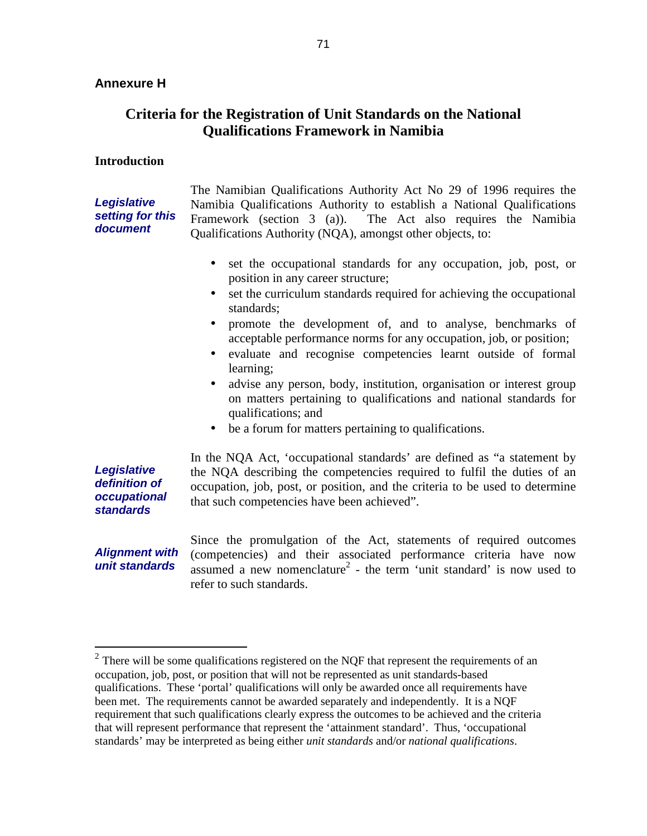## **Criteria for the Registration of Unit Standards on the National Qualifications Framework in Namibia**

#### **Introduction**

**Legislative setting for this document**  The Namibian Qualifications Authority Act No 29 of 1996 requires the Namibia Qualifications Authority to establish a National Qualifications Framework (section 3 (a)). The Act also requires the Namibia Qualifications Authority (NQA), amongst other objects, to:

- set the occupational standards for any occupation, job, post, or position in any career structure;
- set the curriculum standards required for achieving the occupational standards;
- promote the development of, and to analyse, benchmarks of acceptable performance norms for any occupation, job, or position;
- evaluate and recognise competencies learnt outside of formal learning;
- advise any person, body, institution, organisation or interest group on matters pertaining to qualifications and national standards for qualifications; and
- be a forum for matters pertaining to qualifications.

**Legislative definition of occupational standards** 

In the NQA Act, 'occupational standards' are defined as "a statement by the NQA describing the competencies required to fulfil the duties of an occupation, job, post, or position, and the criteria to be used to determine that such competencies have been achieved".

**Alignment with unit standards** 

Since the promulgation of the Act, statements of required outcomes (competencies) and their associated performance criteria have now assumed a new nomenclature<sup>2</sup> - the term 'unit standard' is now used to refer to such standards.

<sup>&</sup>lt;sup>2</sup> There will be some qualifications registered on the NQF that represent the requirements of an occupation, job, post, or position that will not be represented as unit standards-based qualifications. These 'portal' qualifications will only be awarded once all requirements have been met. The requirements cannot be awarded separately and independently. It is a NQF requirement that such qualifications clearly express the outcomes to be achieved and the criteria that will represent performance that represent the 'attainment standard'. Thus, 'occupational standards' may be interpreted as being either *unit standards* and/or *national qualifications*.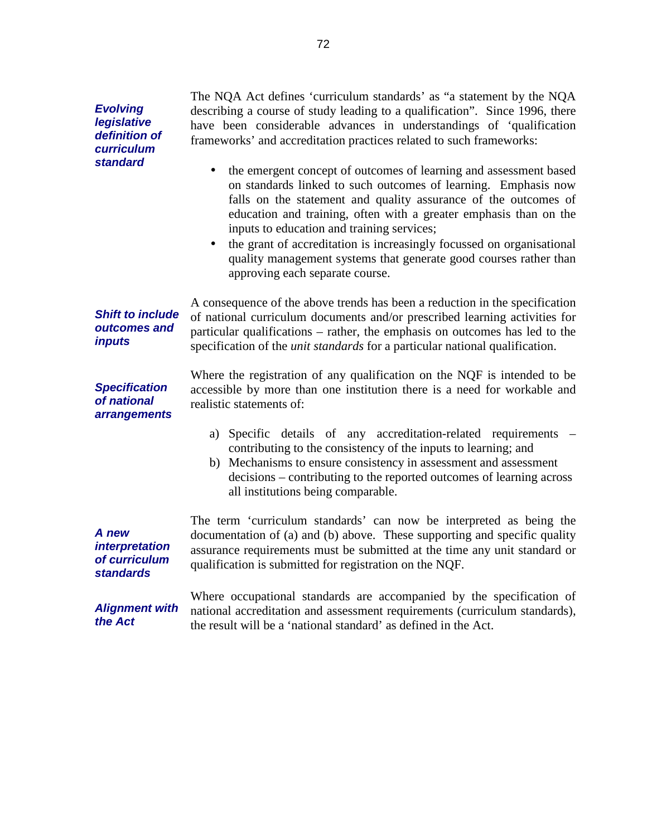**Evolving legislative definition of curriculum standard** 

The NQA Act defines 'curriculum standards' as "a statement by the NQA describing a course of study leading to a qualification". Since 1996, there have been considerable advances in understandings of 'qualification frameworks' and accreditation practices related to such frameworks:

- the emergent concept of outcomes of learning and assessment based on standards linked to such outcomes of learning. Emphasis now falls on the statement and quality assurance of the outcomes of education and training, often with a greater emphasis than on the inputs to education and training services;
- the grant of accreditation is increasingly focussed on organisational quality management systems that generate good courses rather than approving each separate course.

**Shift to include outcomes and**  A consequence of the above trends has been a reduction in the specification of national curriculum documents and/or prescribed learning activities for particular qualifications – rather, the emphasis on outcomes has led to the specification of the *unit standards* for a particular national qualification.

**Specification of national arrangements** 

**inputs** 

Where the registration of any qualification on the NQF is intended to be accessible by more than one institution there is a need for workable and realistic statements of:

- a) Specific details of any accreditation-related requirements contributing to the consistency of the inputs to learning; and
- b) Mechanisms to ensure consistency in assessment and assessment decisions – contributing to the reported outcomes of learning across all institutions being comparable.

**A new interpretation of curriculum standards** 

documentation of (a) and (b) above. These supporting and specific quality assurance requirements must be submitted at the time any unit standard or qualification is submitted for registration on the NQF.

The term 'curriculum standards' can now be interpreted as being the

**Alignment with the Act** 

Where occupational standards are accompanied by the specification of national accreditation and assessment requirements (curriculum standards), the result will be a 'national standard' as defined in the Act.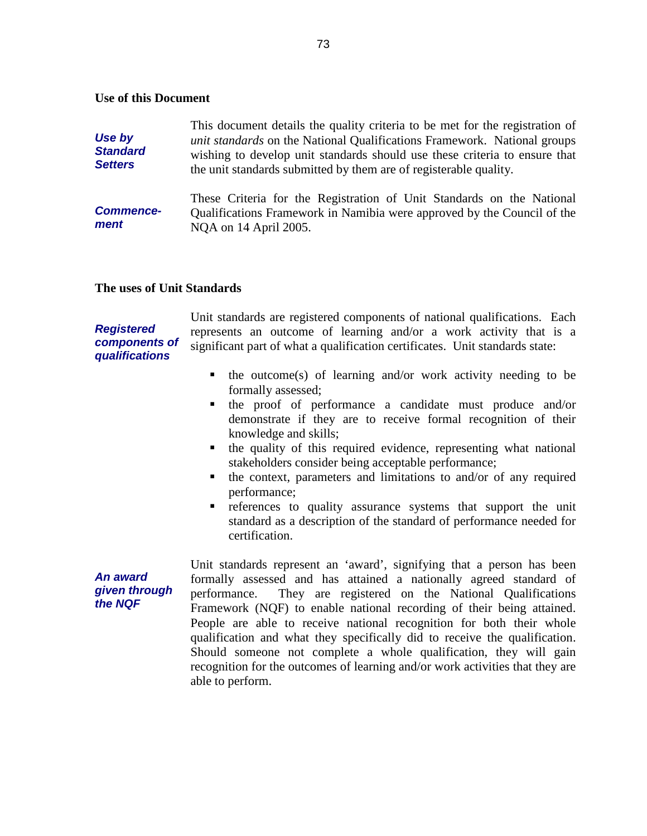#### **Use of this Document**

| Use by<br><b>Standard</b><br><b>Setters</b> | This document details the quality criteria to be met for the registration of<br><i>unit standards</i> on the National Qualifications Framework. National groups<br>wishing to develop unit standards should use these criteria to ensure that<br>the unit standards submitted by them are of registerable quality. |
|---------------------------------------------|--------------------------------------------------------------------------------------------------------------------------------------------------------------------------------------------------------------------------------------------------------------------------------------------------------------------|
| <b>Commence-</b><br>ment                    | These Criteria for the Registration of Unit Standards on the National<br>Qualifications Framework in Namibia were approved by the Council of the<br>NOA on 14 April 2005.                                                                                                                                          |

#### **The uses of Unit Standards**

### **Registered components of qualifications**

**An award given through the NQF** 

Unit standards are registered components of national qualifications. Each represents an outcome of learning and/or a work activity that is a significant part of what a qualification certificates. Unit standards state:

- $\blacksquare$  the outcome(s) of learning and/or work activity needing to be formally assessed;
- the proof of performance a candidate must produce and/or demonstrate if they are to receive formal recognition of their knowledge and skills;
- $\blacksquare$  the quality of this required evidence, representing what national stakeholders consider being acceptable performance;
- the context, parameters and limitations to and/or of any required performance;
- references to quality assurance systems that support the unit standard as a description of the standard of performance needed for certification.

Unit standards represent an 'award', signifying that a person has been formally assessed and has attained a nationally agreed standard of performance. They are registered on the National Qualifications Framework (NQF) to enable national recording of their being attained. People are able to receive national recognition for both their whole qualification and what they specifically did to receive the qualification. Should someone not complete a whole qualification, they will gain recognition for the outcomes of learning and/or work activities that they are able to perform.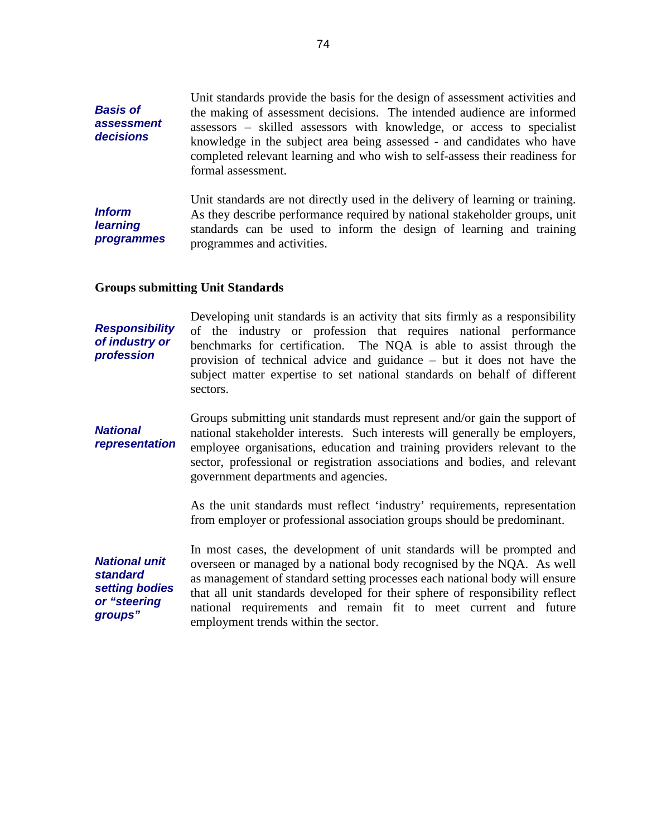**Basis of assessment decisions**  Unit standards provide the basis for the design of assessment activities and the making of assessment decisions. The intended audience are informed assessors – skilled assessors with knowledge, or access to specialist knowledge in the subject area being assessed - and candidates who have completed relevant learning and who wish to self-assess their readiness for formal assessment. **Inform learning programmes**  Unit standards are not directly used in the delivery of learning or training. As they describe performance required by national stakeholder groups, unit standards can be used to inform the design of learning and training programmes and activities.

#### **Groups submitting Unit Standards**

**Responsibility of industry or profession**  Developing unit standards is an activity that sits firmly as a responsibility of the industry or profession that requires national performance benchmarks for certification. The NQA is able to assist through the provision of technical advice and guidance – but it does not have the subject matter expertise to set national standards on behalf of different sectors.

**National representation**  Groups submitting unit standards must represent and/or gain the support of national stakeholder interests. Such interests will generally be employers, employee organisations, education and training providers relevant to the sector, professional or registration associations and bodies, and relevant government departments and agencies.

> As the unit standards must reflect 'industry' requirements, representation from employer or professional association groups should be predominant.

**National unit standard setting bodies or "steering groups"** 

In most cases, the development of unit standards will be prompted and overseen or managed by a national body recognised by the NQA. As well as management of standard setting processes each national body will ensure that all unit standards developed for their sphere of responsibility reflect national requirements and remain fit to meet current and future employment trends within the sector.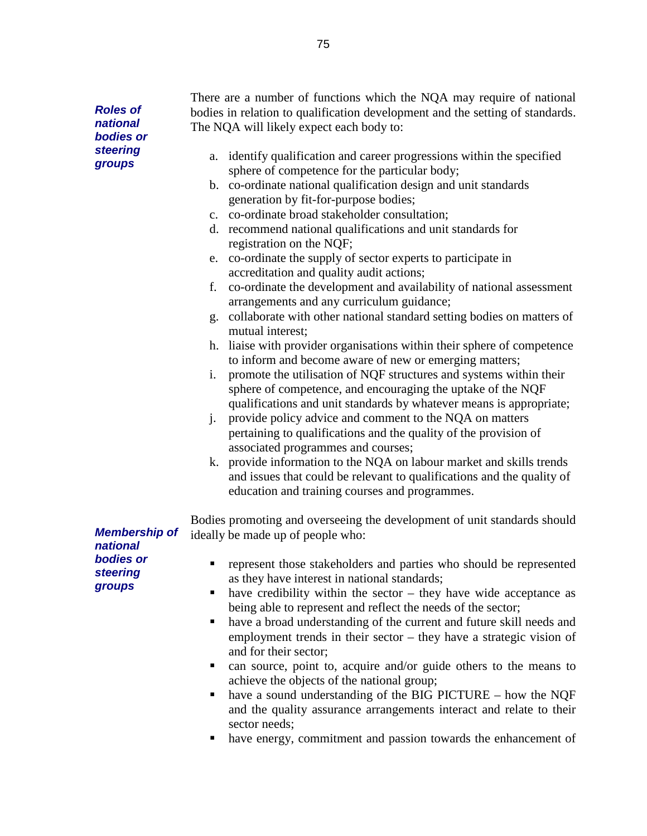**Roles of national bodies or steering groups** 

There are a number of functions which the NQA may require of national bodies in relation to qualification development and the setting of standards. The NQA will likely expect each body to:

- a. identify qualification and career progressions within the specified sphere of competence for the particular body;
- b. co-ordinate national qualification design and unit standards generation by fit-for-purpose bodies;
- c. co-ordinate broad stakeholder consultation;
- d. recommend national qualifications and unit standards for registration on the NQF;
- e. co-ordinate the supply of sector experts to participate in accreditation and quality audit actions;
- f. co-ordinate the development and availability of national assessment arrangements and any curriculum guidance;
- g. collaborate with other national standard setting bodies on matters of mutual interest;
- h. liaise with provider organisations within their sphere of competence to inform and become aware of new or emerging matters;
- i. promote the utilisation of NQF structures and systems within their sphere of competence, and encouraging the uptake of the NQF qualifications and unit standards by whatever means is appropriate;
- j. provide policy advice and comment to the NQA on matters pertaining to qualifications and the quality of the provision of associated programmes and courses;
- k. provide information to the NQA on labour market and skills trends and issues that could be relevant to qualifications and the quality of education and training courses and programmes.

Bodies promoting and overseeing the development of unit standards should ideally be made up of people who:

**Membership of national bodies or steering groups** 

- **represent those stakeholders and parties who should be represented** as they have interest in national standards;
- have credibility within the sector they have wide acceptance as being able to represent and reflect the needs of the sector;
- have a broad understanding of the current and future skill needs and employment trends in their sector – they have a strategic vision of and for their sector;
- can source, point to, acquire and/or guide others to the means to achieve the objects of the national group;
- have a sound understanding of the BIG PICTURE how the NQF and the quality assurance arrangements interact and relate to their sector needs;
- have energy, commitment and passion towards the enhancement of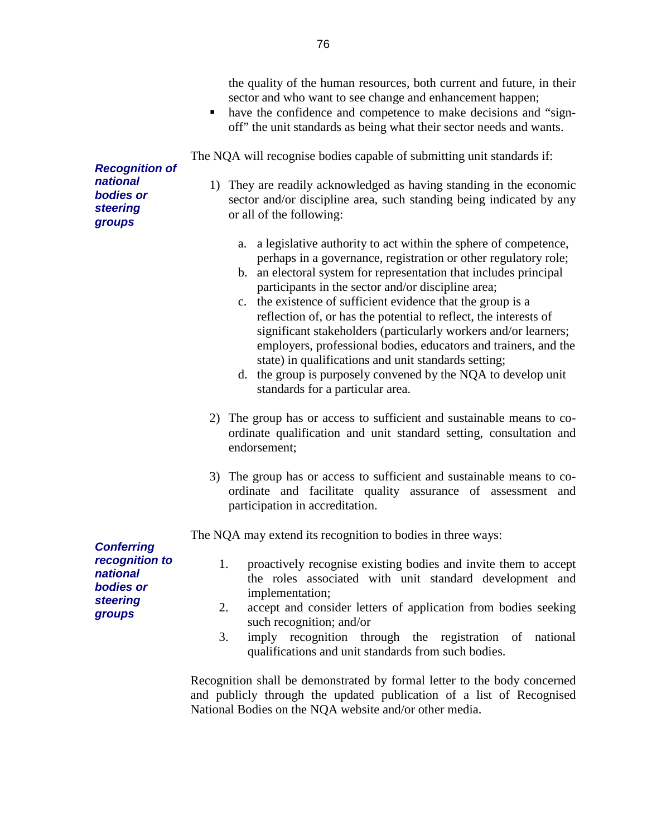|                                                                                                         | the quality of the human resources, both current and future, in their<br>sector and who want to see change and enhancement happen;<br>have the confidence and competence to make decisions and "sign-<br>٠<br>off" the unit standards as being what their sector needs and wants.                                                                                                                                                                                                                                                                                                                                                                                                                            |
|---------------------------------------------------------------------------------------------------------|--------------------------------------------------------------------------------------------------------------------------------------------------------------------------------------------------------------------------------------------------------------------------------------------------------------------------------------------------------------------------------------------------------------------------------------------------------------------------------------------------------------------------------------------------------------------------------------------------------------------------------------------------------------------------------------------------------------|
| <b>Recognition of</b>                                                                                   | The NQA will recognise bodies capable of submitting unit standards if:                                                                                                                                                                                                                                                                                                                                                                                                                                                                                                                                                                                                                                       |
| national<br>bodies or<br><b>steering</b><br>groups                                                      | 1) They are readily acknowledged as having standing in the economic<br>sector and/or discipline area, such standing being indicated by any<br>or all of the following:                                                                                                                                                                                                                                                                                                                                                                                                                                                                                                                                       |
|                                                                                                         | a legislative authority to act within the sphere of competence,<br>a.<br>perhaps in a governance, registration or other regulatory role;<br>an electoral system for representation that includes principal<br>b.<br>participants in the sector and/or discipline area;<br>c. the existence of sufficient evidence that the group is a<br>reflection of, or has the potential to reflect, the interests of<br>significant stakeholders (particularly workers and/or learners;<br>employers, professional bodies, educators and trainers, and the<br>state) in qualifications and unit standards setting;<br>d. the group is purposely convened by the NQA to develop unit<br>standards for a particular area. |
|                                                                                                         | 2) The group has or access to sufficient and sustainable means to co-<br>ordinate qualification and unit standard setting, consultation and<br>endorsement;                                                                                                                                                                                                                                                                                                                                                                                                                                                                                                                                                  |
|                                                                                                         | 3) The group has or access to sufficient and sustainable means to co-<br>ordinate and facilitate quality assurance of assessment and<br>participation in accreditation.                                                                                                                                                                                                                                                                                                                                                                                                                                                                                                                                      |
|                                                                                                         | The NQA may extend its recognition to bodies in three ways:                                                                                                                                                                                                                                                                                                                                                                                                                                                                                                                                                                                                                                                  |
| <b>Conferring</b><br>recognition to<br>national<br><b>bodies</b> or<br><b>steering</b><br><b>groups</b> | proactively recognise existing bodies and invite them to accept<br>1.<br>the roles associated with unit standard development and<br>implementation;<br>accept and consider letters of application from bodies seeking<br>2.<br>such recognition; and/or<br>3.<br>imply recognition through the registration of<br>national<br>qualifications and unit standards from such bodies.                                                                                                                                                                                                                                                                                                                            |
|                                                                                                         | Recognition shall be demonstrated by formal letter to the body concerned<br>and publicly through the updated publication of a list of Recognised<br>National Bodies on the NQA website and/or other media.                                                                                                                                                                                                                                                                                                                                                                                                                                                                                                   |

76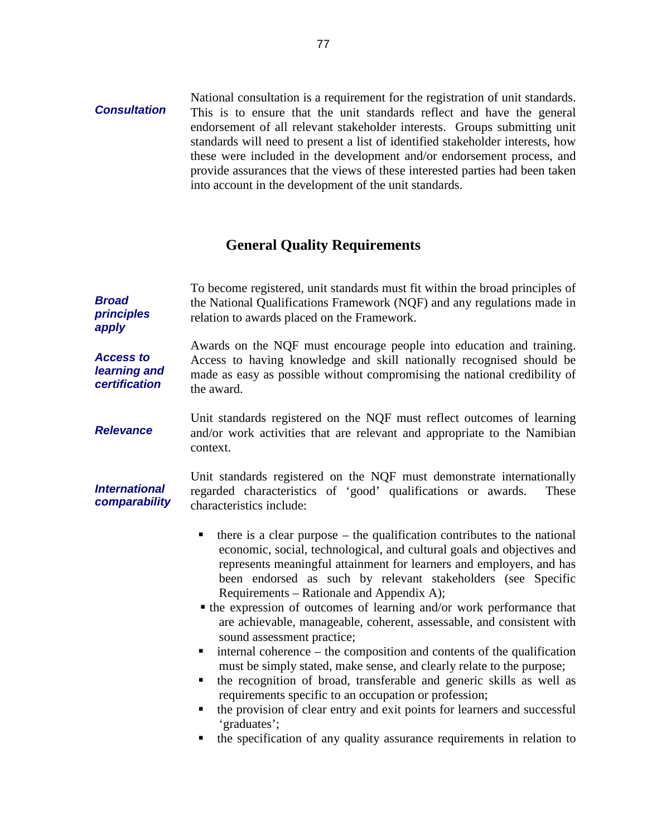#### **Consultation**  National consultation is a requirement for the registration of unit standards. This is to ensure that the unit standards reflect and have the general endorsement of all relevant stakeholder interests. Groups submitting unit standards will need to present a list of identified stakeholder interests, how these were included in the development and/or endorsement process, and provide assurances that the views of these interested parties had been taken into account in the development of the unit standards.

## **General Quality Requirements**

| <b>Broad</b><br>principles<br>apply               | To become registered, unit standards must fit within the broad principles of<br>the National Qualifications Framework (NQF) and any regulations made in<br>relation to awards placed on the Framework.                                                                                                                                                                                                                                                                                                                                                                                                                                                                                                                                                                                                                                                                                                                                                                                                       |  |  |  |
|---------------------------------------------------|--------------------------------------------------------------------------------------------------------------------------------------------------------------------------------------------------------------------------------------------------------------------------------------------------------------------------------------------------------------------------------------------------------------------------------------------------------------------------------------------------------------------------------------------------------------------------------------------------------------------------------------------------------------------------------------------------------------------------------------------------------------------------------------------------------------------------------------------------------------------------------------------------------------------------------------------------------------------------------------------------------------|--|--|--|
| <b>Access to</b><br>learning and<br>certification | Awards on the NQF must encourage people into education and training.<br>Access to having knowledge and skill nationally recognised should be<br>made as easy as possible without compromising the national credibility of<br>the award.                                                                                                                                                                                                                                                                                                                                                                                                                                                                                                                                                                                                                                                                                                                                                                      |  |  |  |
| <b>Relevance</b>                                  | Unit standards registered on the NQF must reflect outcomes of learning<br>and/or work activities that are relevant and appropriate to the Namibian<br>context.                                                                                                                                                                                                                                                                                                                                                                                                                                                                                                                                                                                                                                                                                                                                                                                                                                               |  |  |  |
| <b>International</b><br>comparability             | Unit standards registered on the NQF must demonstrate internationally<br>regarded characteristics of 'good' qualifications or awards.<br>These<br>characteristics include:                                                                                                                                                                                                                                                                                                                                                                                                                                                                                                                                                                                                                                                                                                                                                                                                                                   |  |  |  |
|                                                   | there is a clear purpose $-$ the qualification contributes to the national<br>٠<br>economic, social, technological, and cultural goals and objectives and<br>represents meaningful attainment for learners and employers, and has<br>been endorsed as such by relevant stakeholders (see Specific<br>Requirements – Rationale and Appendix A);<br>• the expression of outcomes of learning and/or work performance that<br>are achievable, manageable, coherent, assessable, and consistent with<br>sound assessment practice;<br>internal coherence – the composition and contents of the qualification<br>п<br>must be simply stated, make sense, and clearly relate to the purpose;<br>the recognition of broad, transferable and generic skills as well as<br>٠<br>requirements specific to an occupation or profession;<br>the provision of clear entry and exit points for learners and successful<br>п<br>'graduates';<br>the specification of any quality assurance requirements in relation to<br>п |  |  |  |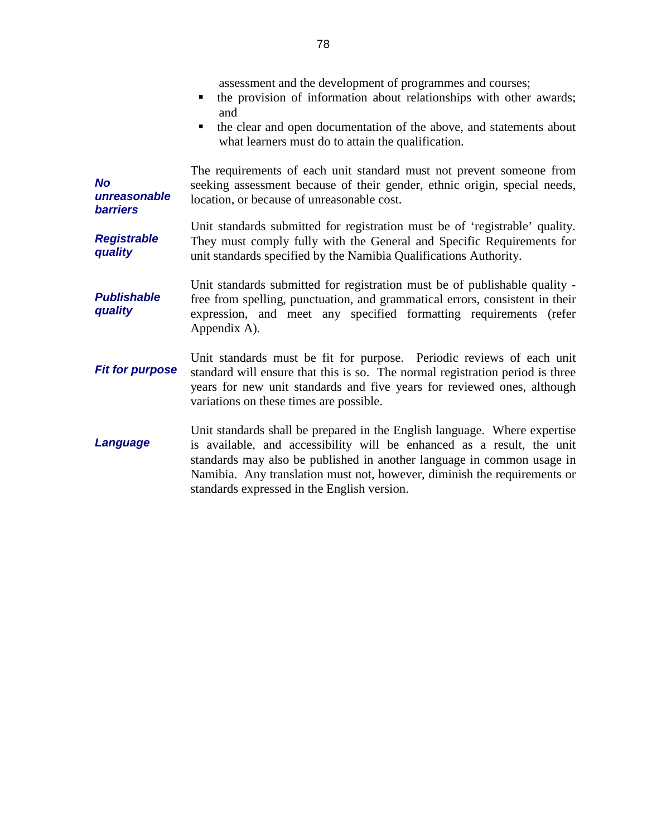|                                              | assessment and the development of programmes and courses;<br>the provision of information about relationships with other awards;<br>٠<br>and<br>the clear and open documentation of the above, and statements about<br>п<br>what learners must do to attain the qualification.                                                                           |
|----------------------------------------------|----------------------------------------------------------------------------------------------------------------------------------------------------------------------------------------------------------------------------------------------------------------------------------------------------------------------------------------------------------|
| <b>No</b><br>unreasonable<br><b>barriers</b> | The requirements of each unit standard must not prevent someone from<br>seeking assessment because of their gender, ethnic origin, special needs,<br>location, or because of unreasonable cost.                                                                                                                                                          |
| <b>Registrable</b><br>quality                | Unit standards submitted for registration must be of 'registrable' quality.<br>They must comply fully with the General and Specific Requirements for<br>unit standards specified by the Namibia Qualifications Authority.                                                                                                                                |
| <b>Publishable</b><br>quality                | Unit standards submitted for registration must be of publishable quality -<br>free from spelling, punctuation, and grammatical errors, consistent in their<br>expression, and meet any specified formatting requirements (refer<br>Appendix A).                                                                                                          |
| <b>Fit for purpose</b>                       | Unit standards must be fit for purpose. Periodic reviews of each unit<br>standard will ensure that this is so. The normal registration period is three<br>years for new unit standards and five years for reviewed ones, although<br>variations on these times are possible.                                                                             |
| Language                                     | Unit standards shall be prepared in the English language. Where expertise<br>is available, and accessibility will be enhanced as a result, the unit<br>standards may also be published in another language in common usage in<br>Namibia. Any translation must not, however, diminish the requirements or<br>standards expressed in the English version. |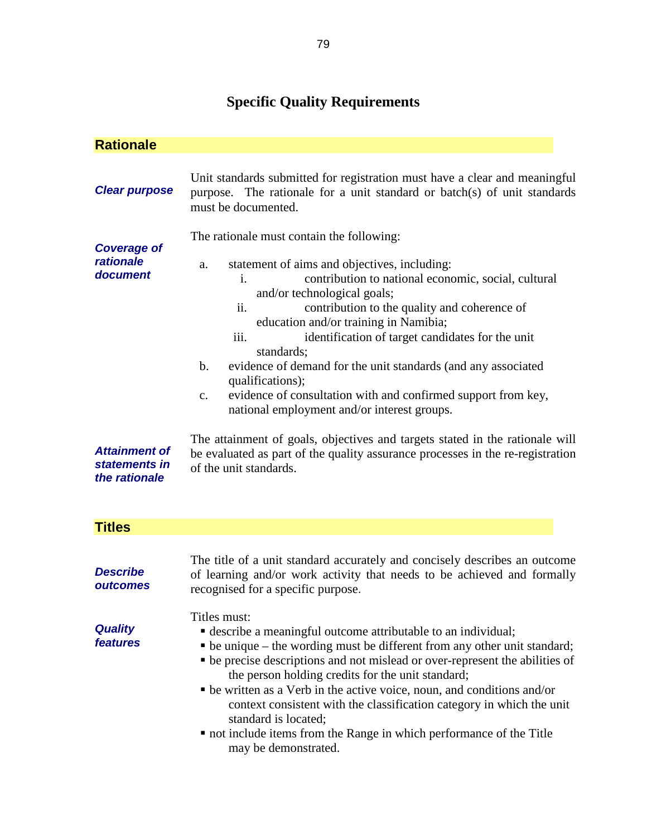# **Specific Quality Requirements**

| <b>Rationale</b>                                                                                      |                                                                                                                                                                                                                                                                                                                                                                                                                                                                                                                                                                                                                                                                                                                                                                                                           |  |  |  |
|-------------------------------------------------------------------------------------------------------|-----------------------------------------------------------------------------------------------------------------------------------------------------------------------------------------------------------------------------------------------------------------------------------------------------------------------------------------------------------------------------------------------------------------------------------------------------------------------------------------------------------------------------------------------------------------------------------------------------------------------------------------------------------------------------------------------------------------------------------------------------------------------------------------------------------|--|--|--|
| <b>Clear purpose</b>                                                                                  | Unit standards submitted for registration must have a clear and meaningful<br>purpose. The rationale for a unit standard or batch(s) of unit standards<br>must be documented.                                                                                                                                                                                                                                                                                                                                                                                                                                                                                                                                                                                                                             |  |  |  |
| <b>Coverage of</b><br>rationale<br>document<br><b>Attainment of</b><br>statements in<br>the rationale | The rationale must contain the following:<br>statement of aims and objectives, including:<br>a.<br>contribution to national economic, social, cultural<br>i.<br>and/or technological goals;<br>contribution to the quality and coherence of<br>ii.<br>education and/or training in Namibia;<br>identification of target candidates for the unit<br>iii.<br>standards;<br>evidence of demand for the unit standards (and any associated<br>$\mathbf{b}$ .<br>qualifications);<br>evidence of consultation with and confirmed support from key,<br>$C_{\bullet}$<br>national employment and/or interest groups.<br>The attainment of goals, objectives and targets stated in the rationale will<br>be evaluated as part of the quality assurance processes in the re-registration<br>of the unit standards. |  |  |  |
| <b>Titles</b>                                                                                         |                                                                                                                                                                                                                                                                                                                                                                                                                                                                                                                                                                                                                                                                                                                                                                                                           |  |  |  |
| <b>Describe</b><br>outcomes                                                                           | The title of a unit standard accurately and concisely describes an outcome<br>of learning and/or work activity that needs to be achieved and formally<br>recognised for a specific purpose.                                                                                                                                                                                                                                                                                                                                                                                                                                                                                                                                                                                                               |  |  |  |
| <b>Quality</b><br>features                                                                            | Titles must:<br>• describe a meaningful outcome attributable to an individual;<br>• be unique – the wording must be different from any other unit standard;<br>• be precise descriptions and not mislead or over-represent the abilities of<br>the person holding credits for the unit standard;<br>• be written as a Verb in the active voice, noun, and conditions and/or<br>context consistent with the classification category in which the unit<br>standard is located;<br>• not include items from the Range in which performance of the Title<br>may be demonstrated.                                                                                                                                                                                                                              |  |  |  |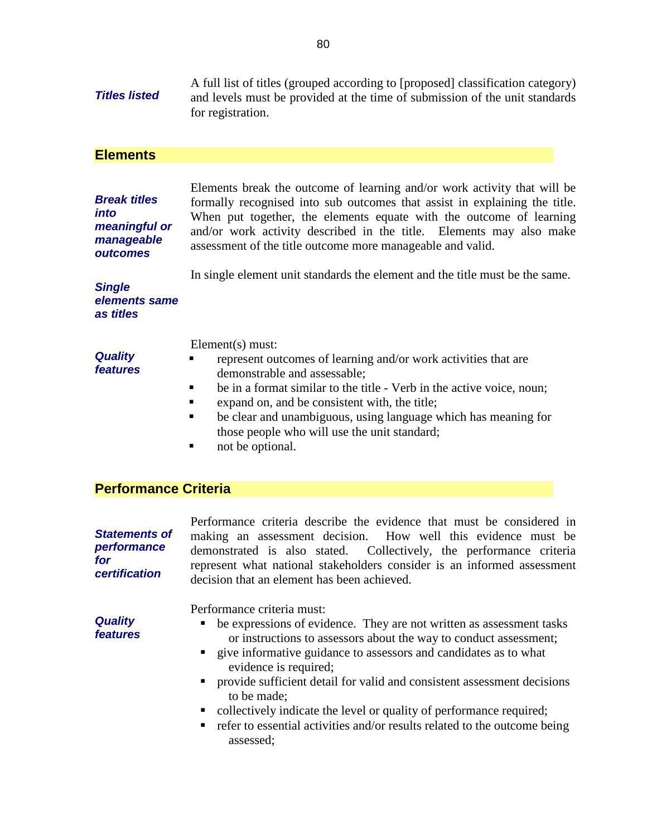**Titles listed**  A full list of titles (grouped according to [proposed] classification category) and levels must be provided at the time of submission of the unit standards for registration.

#### **Elements**

**Break titles into meaningful or manageable outcomes** 

Elements break the outcome of learning and/or work activity that will be formally recognised into sub outcomes that assist in explaining the title. When put together, the elements equate with the outcome of learning and/or work activity described in the title. Elements may also make assessment of the title outcome more manageable and valid.

In single element unit standards the element and the title must be the same.

**Single elements same as titles** 

Element(s) must:

- **Quality features**
- **represent outcomes of learning and/or work activities that are** demonstrable and assessable;
- $\blacksquare$  be in a format similar to the title Verb in the active voice, noun;
- expand on, and be consistent with, the title;
- be clear and unambiguous, using language which has meaning for those people who will use the unit standard;
- not be optional.

## **Performance Criteria**

**Statements of performance for certification** 

Performance criteria describe the evidence that must be considered in making an assessment decision. How well this evidence must be demonstrated is also stated. Collectively, the performance criteria represent what national stakeholders consider is an informed assessment decision that an element has been achieved.

Performance criteria must:

- **•** be expressions of evidence. They are not written as assessment tasks or instructions to assessors about the way to conduct assessment;
- **The state is informative guidance to assessors and candidates as to what** evidence is required;
- provide sufficient detail for valid and consistent assessment decisions to be made;
- collectively indicate the level or quality of performance required;
- **•** refer to essential activities and/or results related to the outcome being assessed;

**Quality features**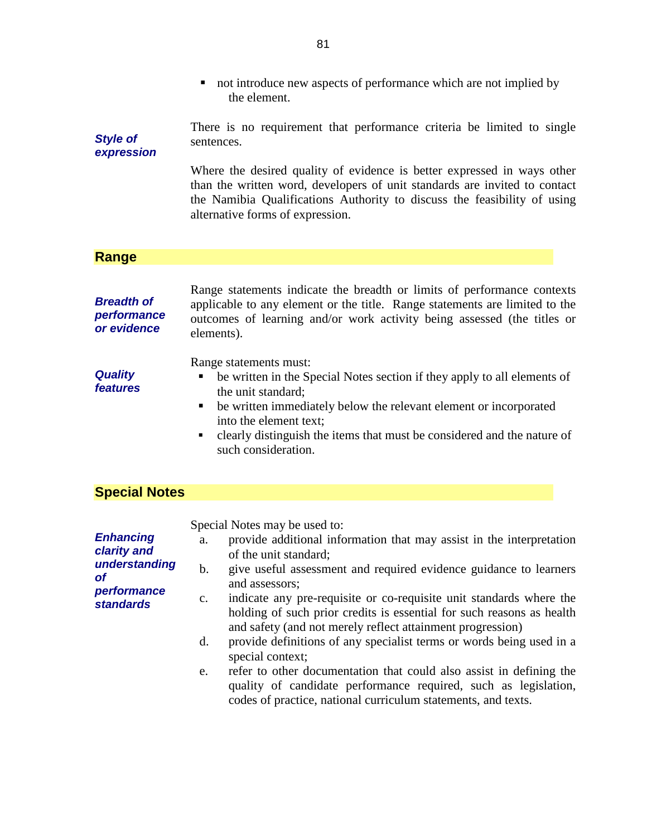|                                                 | not introduce new aspects of performance which are not implied by<br>п<br>the element.                                                                                                                                                                                                                                                   |  |  |  |  |
|-------------------------------------------------|------------------------------------------------------------------------------------------------------------------------------------------------------------------------------------------------------------------------------------------------------------------------------------------------------------------------------------------|--|--|--|--|
| <b>Style of</b><br>expression                   | There is no requirement that performance criteria be limited to single<br>sentences.                                                                                                                                                                                                                                                     |  |  |  |  |
|                                                 | Where the desired quality of evidence is better expressed in ways other<br>than the written word, developers of unit standards are invited to contact<br>the Namibia Qualifications Authority to discuss the feasibility of using<br>alternative forms of expression.                                                                    |  |  |  |  |
| Range                                           |                                                                                                                                                                                                                                                                                                                                          |  |  |  |  |
|                                                 |                                                                                                                                                                                                                                                                                                                                          |  |  |  |  |
| <b>Breadth of</b><br>performance<br>or evidence | Range statements indicate the breadth or limits of performance contexts<br>applicable to any element or the title. Range statements are limited to the<br>outcomes of learning and/or work activity being assessed (the titles or<br>elements).                                                                                          |  |  |  |  |
| <b>Quality</b><br>features                      | Range statements must:<br>be written in the Special Notes section if they apply to all elements of<br>ш<br>the unit standard;<br>be written immediately below the relevant element or incorporated<br>п<br>into the element text;<br>clearly distinguish the items that must be considered and the nature of<br>٠<br>such consideration. |  |  |  |  |
| <b>Special Notes</b>                            |                                                                                                                                                                                                                                                                                                                                          |  |  |  |  |
|                                                 | Special Notes may be used to:                                                                                                                                                                                                                                                                                                            |  |  |  |  |
| <b>Enhancing</b>                                | a. provide additional information that may assist in the interpretation                                                                                                                                                                                                                                                                  |  |  |  |  |
| clarity and<br>understanding                    | of the unit standard;                                                                                                                                                                                                                                                                                                                    |  |  |  |  |
| <b>of</b>                                       | give useful assessment and required evidence guidance to learners<br>$\mathbf b$ .<br>and assessors;                                                                                                                                                                                                                                     |  |  |  |  |
| performance<br><b>standards</b>                 | indicate any pre-requisite or co-requisite unit standards where the<br>c.<br>holding of such prior credits is essential for such reasons as health                                                                                                                                                                                       |  |  |  |  |
|                                                 | and safety (and not merely reflect attainment progression)<br>provide definitions of any specialist terms or words being used in a<br>d.<br>special context;                                                                                                                                                                             |  |  |  |  |

e. refer to other documentation that could also assist in defining the quality of candidate performance required, such as legislation, codes of practice, national curriculum statements, and texts.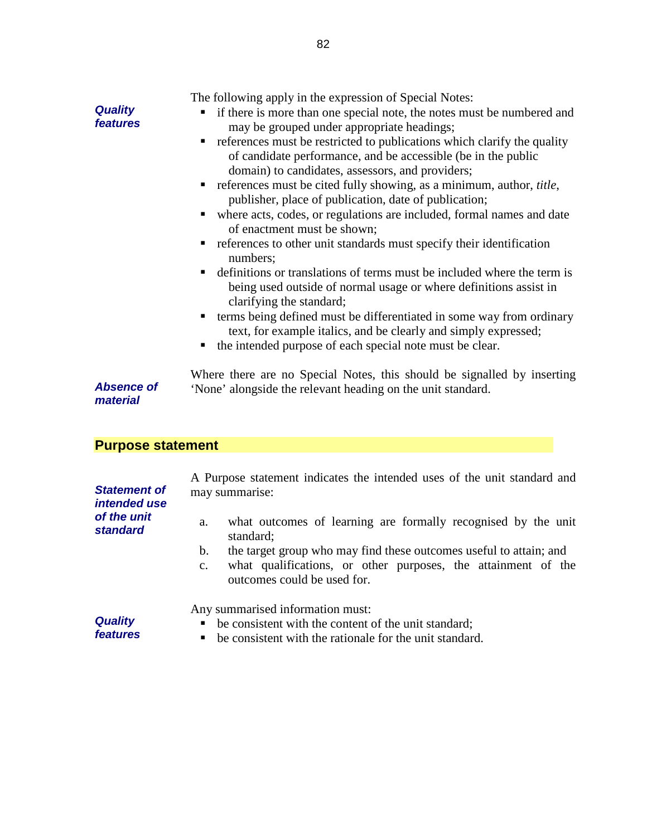|                            | The following apply in the expression of Special Notes:                                                                                                                                                                                                                                                      |
|----------------------------|--------------------------------------------------------------------------------------------------------------------------------------------------------------------------------------------------------------------------------------------------------------------------------------------------------------|
| <b>Quality</b><br>features | • if there is more than one special note, the notes must be numbered and<br>may be grouped under appropriate headings;                                                                                                                                                                                       |
|                            | • references must be restricted to publications which clarify the quality<br>of candidate performance, and be accessible (be in the public<br>domain) to candidates, assessors, and providers;                                                                                                               |
|                            | • references must be cited fully showing, as a minimum, author, <i>title</i> ,<br>publisher, place of publication, date of publication;                                                                                                                                                                      |
|                            | • where acts, codes, or regulations are included, formal names and date<br>of enactment must be shown;                                                                                                                                                                                                       |
|                            | • references to other unit standards must specify their identification<br>numbers;                                                                                                                                                                                                                           |
|                            | • definitions or translations of terms must be included where the term is<br>being used outside of normal usage or where definitions assist in<br>clarifying the standard;                                                                                                                                   |
|                            | • terms being defined must be differentiated in some way from ordinary<br>text, for example italics, and be clearly and simply expressed;                                                                                                                                                                    |
|                            | the intended purpose of each special note must be clear.                                                                                                                                                                                                                                                     |
| Aheanaa of                 | Where there are no Special Notes, this should be signalled by inserting<br>$\mathbf{r}$ , and a set of the set of the set of the set of the set of the set of the set of the set of the set of the set of the set of the set of the set of the set of the set of the set of the set of the set of the set of |

**Absence of material** 

'None' alongside the relevant heading on the unit standard.

## **Purpose statement**

| <b>Statement of</b><br><i>intended use</i> | A Purpose statement indicates the intended uses of the unit standard and<br>may summarise:                                                                                                 |  |  |  |
|--------------------------------------------|--------------------------------------------------------------------------------------------------------------------------------------------------------------------------------------------|--|--|--|
| of the unit<br><b>standard</b>             | what outcomes of learning are formally recognised by the unit<br>a.<br>standard;                                                                                                           |  |  |  |
|                                            | the target group who may find these outcomes useful to attain; and<br>b.<br>what qualifications, or other purposes, the attainment of the<br>$\mathbf{c}$ .<br>outcomes could be used for. |  |  |  |
| <b>Quality</b><br>features                 | Any summarised information must:<br>be consistent with the content of the unit standard;<br>٠<br>be consistent with the rationale for the unit standard.<br>٠                              |  |  |  |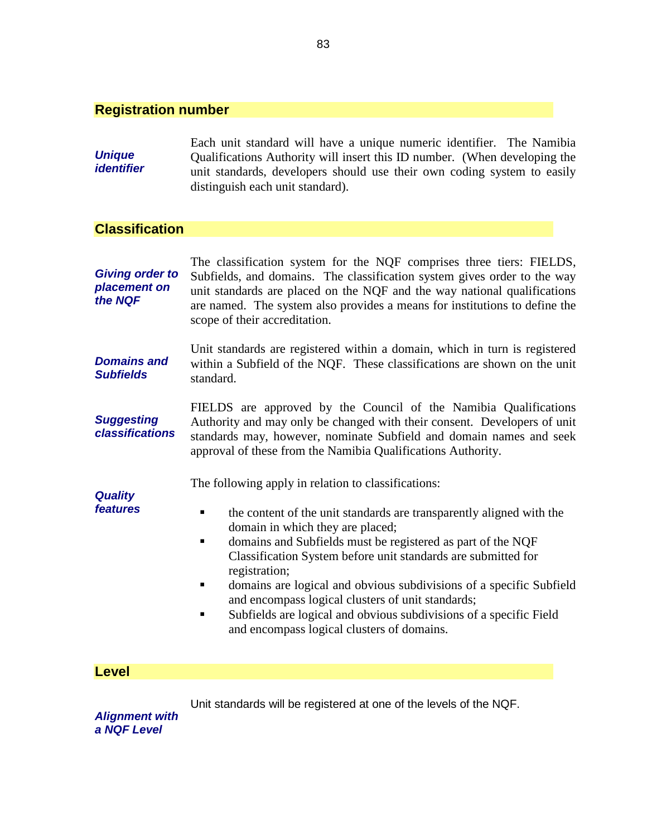#### **Registration number**

**Unique identifier**  Each unit standard will have a unique numeric identifier. The Namibia Qualifications Authority will insert this ID number. (When developing the unit standards, developers should use their own coding system to easily distinguish each unit standard).

### **Classification**

**Giving order to placement on the NQF**  The classification system for the NQF comprises three tiers: FIELDS, Subfields, and domains. The classification system gives order to the way unit standards are placed on the NQF and the way national qualifications are named. The system also provides a means for institutions to define the scope of their accreditation.

**Domains and Subfields**  Unit standards are registered within a domain, which in turn is registered within a Subfield of the NQF. These classifications are shown on the unit standard.

**Suggesting classifications**  FIELDS are approved by the Council of the Namibia Qualifications Authority and may only be changed with their consent. Developers of unit standards may, however, nominate Subfield and domain names and seek approval of these from the Namibia Qualifications Authority.

The following apply in relation to classifications:

**Quality features** 

- **the content of the unit standards are transparently aligned with the** domain in which they are placed;
- domains and Subfields must be registered as part of the NQF Classification System before unit standards are submitted for registration;
- domains are logical and obvious subdivisions of a specific Subfield and encompass logical clusters of unit standards;
- Subfields are logical and obvious subdivisions of a specific Field and encompass logical clusters of domains.

**Level** 

Unit standards will be registered at one of the levels of the NQF.

**Alignment with a NQF Level**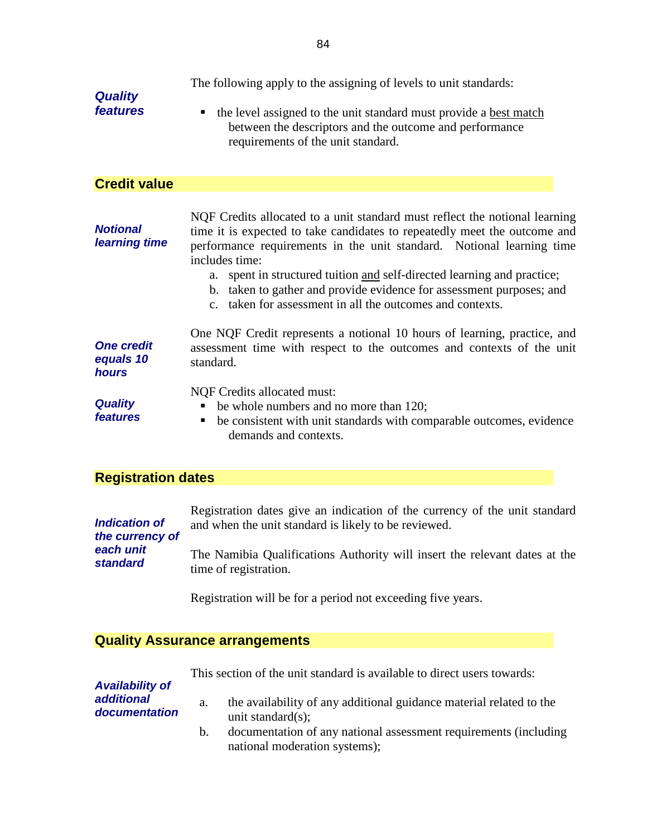| <b>Quality</b><br>features                     | The following apply to the assigning of levels to unit standards:<br>the level assigned to the unit standard must provide a best match<br>$\blacksquare$<br>between the descriptors and the outcome and performance<br>requirements of the unit standard.                                                                                                                                                                                                              |
|------------------------------------------------|------------------------------------------------------------------------------------------------------------------------------------------------------------------------------------------------------------------------------------------------------------------------------------------------------------------------------------------------------------------------------------------------------------------------------------------------------------------------|
| <b>Credit value</b>                            |                                                                                                                                                                                                                                                                                                                                                                                                                                                                        |
| <b>Notional</b><br>learning time               | NQF Credits allocated to a unit standard must reflect the notional learning<br>time it is expected to take candidates to repeatedly meet the outcome and<br>performance requirements in the unit standard. Notional learning time<br>includes time:<br>spent in structured tuition and self-directed learning and practice;<br>а.<br>b. taken to gather and provide evidence for assessment purposes; and<br>c. taken for assessment in all the outcomes and contexts. |
| <b>One credit</b><br>equals 10<br><b>hours</b> | One NQF Credit represents a notional 10 hours of learning, practice, and<br>assessment time with respect to the outcomes and contexts of the unit<br>standard.                                                                                                                                                                                                                                                                                                         |
| <b>Quality</b><br>features                     | <b>NQF Credits allocated must:</b><br>be whole numbers and no more than 120;<br>be consistent with unit standards with comparable outcomes, evidence<br>demands and contexts.                                                                                                                                                                                                                                                                                          |
| <b>Registration dates</b>                      |                                                                                                                                                                                                                                                                                                                                                                                                                                                                        |
|                                                | Registration dates give an indication of the currency of the unit standard                                                                                                                                                                                                                                                                                                                                                                                             |

| <b>Indication of</b> | Registration dates give an indication of the currency of the unit standard |
|----------------------|----------------------------------------------------------------------------|
| the currency of      | and when the unit standard is likely to be reviewed.                       |
| each unit            | The Namibia Qualifications Authority will insert the relevant dates at the |
| <b>standard</b>      | time of registration.                                                      |

Registration will be for a period not exceeding five years.

## **Quality Assurance arrangements**

|  |  | This section of the unit standard is available to direct users towards: |  |
|--|--|-------------------------------------------------------------------------|--|
|  |  |                                                                         |  |

| <b>Availability of</b>      |    |                                                                                                   |
|-----------------------------|----|---------------------------------------------------------------------------------------------------|
| additional<br>documentation | a. | the availability of any additional guidance material related to the<br>unit standard $(s)$ ;      |
|                             | b. | documentation of any national assessment requirements (including<br>national moderation systems); |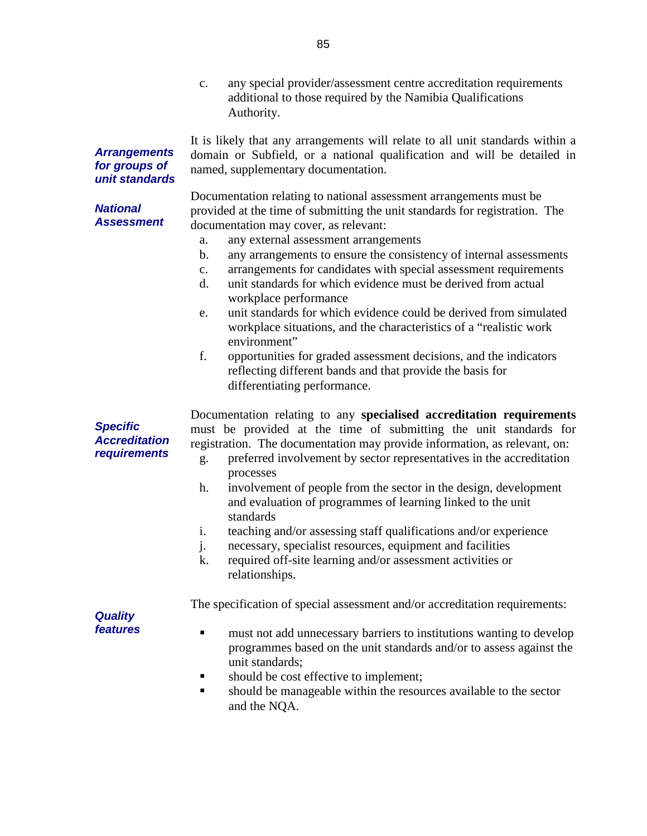c. any special provider/assessment centre accreditation requirements additional to those required by the Namibia Qualifications Authority.

It is likely that any arrangements will relate to all unit standards within a domain or Subfield, or a national qualification and will be detailed in named, supplementary documentation.

**for groups of unit standards** 

**Arrangements** 

**National Assessment**  Documentation relating to national assessment arrangements must be provided at the time of submitting the unit standards for registration. The documentation may cover, as relevant:

- a. any external assessment arrangements
- b. any arrangements to ensure the consistency of internal assessments
- c. arrangements for candidates with special assessment requirements
- d. unit standards for which evidence must be derived from actual workplace performance
- e. unit standards for which evidence could be derived from simulated workplace situations, and the characteristics of a "realistic work environment"
- f. opportunities for graded assessment decisions, and the indicators reflecting different bands and that provide the basis for differentiating performance.

Documentation relating to any **specialised accreditation requirements** must be provided at the time of submitting the unit standards for registration. The documentation may provide information, as relevant, on:

- g. preferred involvement by sector representatives in the accreditation processes
- h. involvement of people from the sector in the design, development and evaluation of programmes of learning linked to the unit standards
- i. teaching and/or assessing staff qualifications and/or experience
- j. necessary, specialist resources, equipment and facilities
- k. required off-site learning and/or assessment activities or relationships.

The specification of special assessment and/or accreditation requirements:

**Quality features** 

**Specific Accreditation requirements** 

- **must not add unnecessary barriers to institutions wanting to develop** programmes based on the unit standards and/or to assess against the unit standards;
- **should be cost effective to implement;**
- should be manageable within the resources available to the sector and the NQA.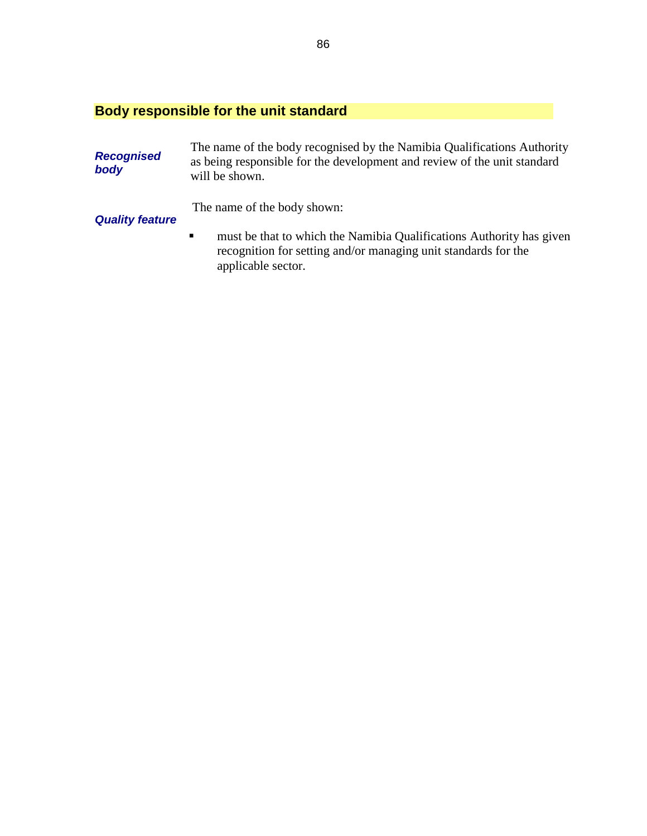## **Body responsible for the unit standard**

| <b>Recognised</b><br>body | The name of the body recognised by the Namibia Qualifications Authority<br>as being responsible for the development and review of the unit standard<br>will be shown.          |  |
|---------------------------|--------------------------------------------------------------------------------------------------------------------------------------------------------------------------------|--|
| <b>Quality feature</b>    | The name of the body shown:                                                                                                                                                    |  |
|                           | must be that to which the Namibia Qualifications Authority has given<br>$\blacksquare$<br>recognition for setting and/or managing unit standards for the<br>applicable sector. |  |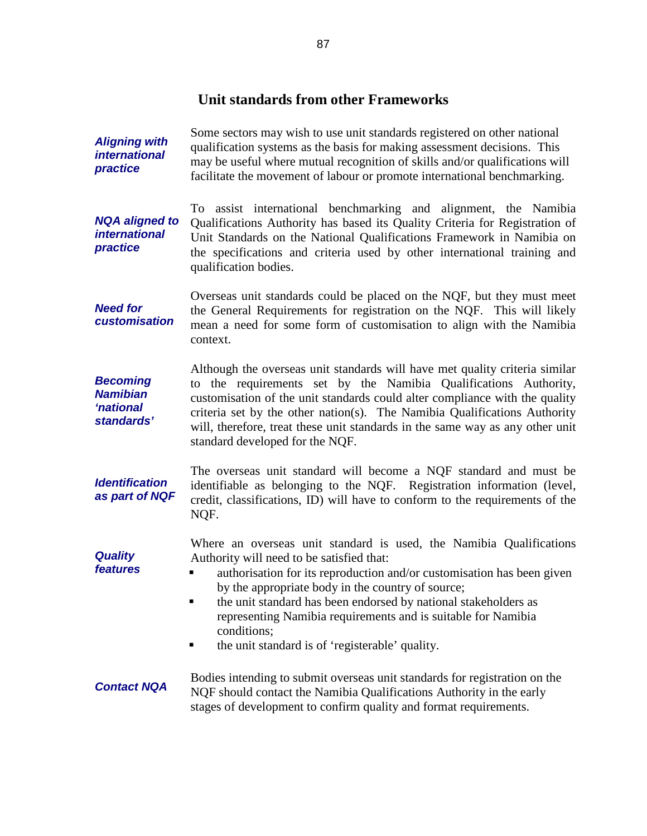## **Unit standards from other Frameworks**

**Aligning with international practice**  Some sectors may wish to use unit standards registered on other national qualification systems as the basis for making assessment decisions. This may be useful where mutual recognition of skills and/or qualifications will facilitate the movement of labour or promote international benchmarking.

**NQA aligned to international practice**  To assist international benchmarking and alignment, the Namibia Qualifications Authority has based its Quality Criteria for Registration of Unit Standards on the National Qualifications Framework in Namibia on the specifications and criteria used by other international training and qualification bodies.

**Need for customisation**  Overseas unit standards could be placed on the NQF, but they must meet the General Requirements for registration on the NQF. This will likely mean a need for some form of customisation to align with the Namibia context.

**Becoming Namibian 'national standards'**  Although the overseas unit standards will have met quality criteria similar to the requirements set by the Namibia Qualifications Authority, customisation of the unit standards could alter compliance with the quality criteria set by the other nation(s). The Namibia Qualifications Authority will, therefore, treat these unit standards in the same way as any other unit standard developed for the NQF.

**Identification as part of NQF**  The overseas unit standard will become a NQF standard and must be identifiable as belonging to the NQF. Registration information (level, credit, classifications, ID) will have to conform to the requirements of the NQF.

> Where an overseas unit standard is used, the Namibia Qualifications Authority will need to be satisfied that:

- **u** authorisation for its reproduction and/or customisation has been given by the appropriate body in the country of source;
- the unit standard has been endorsed by national stakeholders as representing Namibia requirements and is suitable for Namibia conditions;
- the unit standard is of 'registerable' quality.

**Quality features** 

#### **Contact NQA**  Bodies intending to submit overseas unit standards for registration on the NQF should contact the Namibia Qualifications Authority in the early stages of development to confirm quality and format requirements.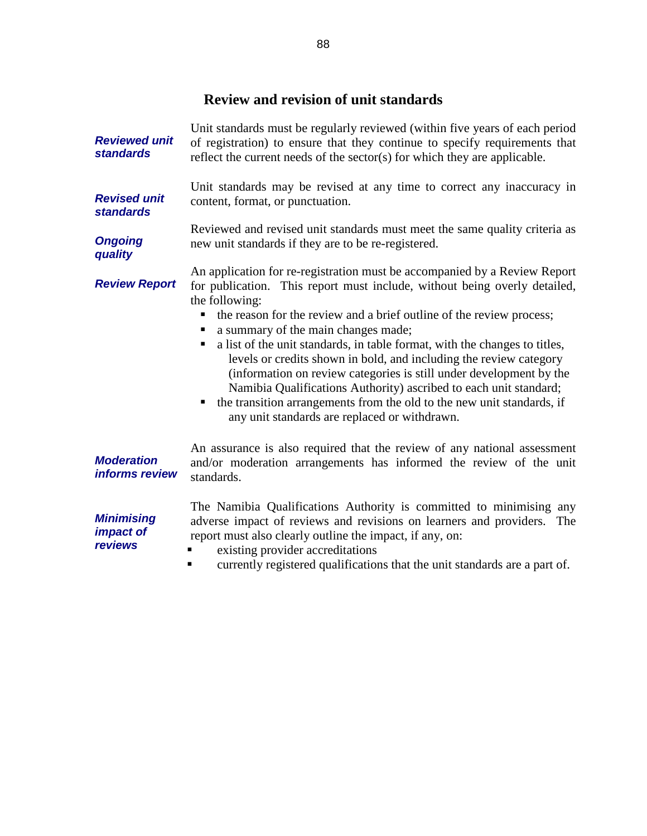## **Review and revision of unit standards**

| <b>Reviewed unit</b><br><b>standards</b>                | Unit standards must be regularly reviewed (within five years of each period<br>of registration) to ensure that they continue to specify requirements that<br>reflect the current needs of the sector(s) for which they are applicable.                                                                                                                                                                                                                                                                                                                                                                                                                                                                                    |  |
|---------------------------------------------------------|---------------------------------------------------------------------------------------------------------------------------------------------------------------------------------------------------------------------------------------------------------------------------------------------------------------------------------------------------------------------------------------------------------------------------------------------------------------------------------------------------------------------------------------------------------------------------------------------------------------------------------------------------------------------------------------------------------------------------|--|
| <b>Revised unit</b><br><b>standards</b>                 | Unit standards may be revised at any time to correct any inaccuracy in<br>content, format, or punctuation.                                                                                                                                                                                                                                                                                                                                                                                                                                                                                                                                                                                                                |  |
| <b>Ongoing</b><br>quality                               | Reviewed and revised unit standards must meet the same quality criteria as<br>new unit standards if they are to be re-registered.                                                                                                                                                                                                                                                                                                                                                                                                                                                                                                                                                                                         |  |
| <b>Review Report</b>                                    | An application for re-registration must be accompanied by a Review Report<br>for publication. This report must include, without being overly detailed,<br>the following:<br>the reason for the review and a brief outline of the review process;<br>a summary of the main changes made;<br>a list of the unit standards, in table format, with the changes to titles,<br>п<br>levels or credits shown in bold, and including the review category<br>(information on review categories is still under development by the<br>Namibia Qualifications Authority) ascribed to each unit standard;<br>• the transition arrangements from the old to the new unit standards, if<br>any unit standards are replaced or withdrawn. |  |
| <b>Moderation</b><br>informs review                     | An assurance is also required that the review of any national assessment<br>and/or moderation arrangements has informed the review of the unit<br>standards.                                                                                                                                                                                                                                                                                                                                                                                                                                                                                                                                                              |  |
| <b>Minimising</b><br><i>impact of</i><br><b>reviews</b> | The Namibia Qualifications Authority is committed to minimising any<br>adverse impact of reviews and revisions on learners and providers. The<br>report must also clearly outline the impact, if any, on:<br>existing provider accreditations<br>any properties as objected and the option of the title with stars day of a new other                                                                                                                                                                                                                                                                                                                                                                                     |  |

currently registered qualifications that the unit standards are a part of.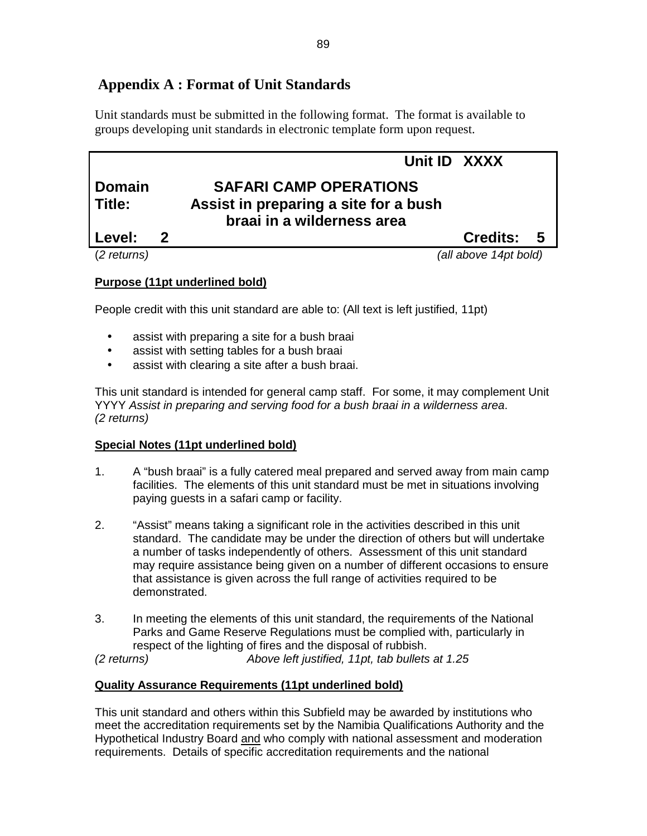## **Appendix A : Format of Unit Standards**

Unit standards must be submitted in the following format. The format is available to groups developing unit standards in electronic template form upon request.

## **Unit ID XXXX Domain SAFARI CAMP OPERATIONS Title: Assist in preparing a site for a bush braai in a wilderness area Level: 2 Credits: 5**

(2 returns) (all above 14pt bold)

## **Purpose (11pt underlined bold)**

People credit with this unit standard are able to: (All text is left justified, 11pt)

- assist with preparing a site for a bush braai
- assist with setting tables for a bush braai
- assist with clearing a site after a bush braai.

This unit standard is intended for general camp staff. For some, it may complement Unit YYYY Assist in preparing and serving food for a bush braai in a wilderness area. (2 returns)

## **Special Notes (11pt underlined bold)**

- 1. A "bush braai" is a fully catered meal prepared and served away from main camp facilities. The elements of this unit standard must be met in situations involving paying guests in a safari camp or facility.
- 2. "Assist" means taking a significant role in the activities described in this unit standard. The candidate may be under the direction of others but will undertake a number of tasks independently of others. Assessment of this unit standard may require assistance being given on a number of different occasions to ensure that assistance is given across the full range of activities required to be demonstrated.
- 3. In meeting the elements of this unit standard, the requirements of the National Parks and Game Reserve Regulations must be complied with, particularly in respect of the lighting of fires and the disposal of rubbish.

(2 returns) Above left justified, 11pt, tab bullets at 1.25

## **Quality Assurance Requirements (11pt underlined bold)**

This unit standard and others within this Subfield may be awarded by institutions who meet the accreditation requirements set by the Namibia Qualifications Authority and the Hypothetical Industry Board and who comply with national assessment and moderation requirements. Details of specific accreditation requirements and the national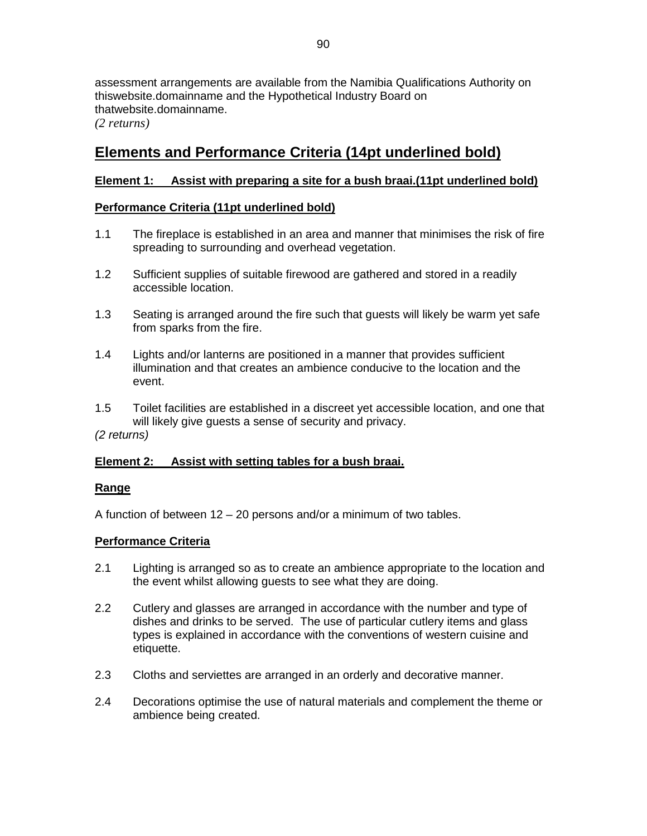assessment arrangements are available from the Namibia Qualifications Authority on thiswebsite.domainname and the Hypothetical Industry Board on thatwebsite.domainname.

*(2 returns)* 

## **Elements and Performance Criteria (14pt underlined bold)**

## **Element 1: Assist with preparing a site for a bush braai.(11pt underlined bold)**

### **Performance Criteria (11pt underlined bold)**

- 1.1 The fireplace is established in an area and manner that minimises the risk of fire spreading to surrounding and overhead vegetation.
- 1.2 Sufficient supplies of suitable firewood are gathered and stored in a readily accessible location.
- 1.3 Seating is arranged around the fire such that guests will likely be warm yet safe from sparks from the fire.
- 1.4 Lights and/or lanterns are positioned in a manner that provides sufficient illumination and that creates an ambience conducive to the location and the event.
- 1.5 Toilet facilities are established in a discreet yet accessible location, and one that will likely give guests a sense of security and privacy.

(2 returns)

### **Element 2: Assist with setting tables for a bush braai.**

#### **Range**

A function of between 12 – 20 persons and/or a minimum of two tables.

#### **Performance Criteria**

- 2.1 Lighting is arranged so as to create an ambience appropriate to the location and the event whilst allowing guests to see what they are doing.
- 2.2 Cutlery and glasses are arranged in accordance with the number and type of dishes and drinks to be served. The use of particular cutlery items and glass types is explained in accordance with the conventions of western cuisine and etiquette.
- 2.3 Cloths and serviettes are arranged in an orderly and decorative manner.
- 2.4 Decorations optimise the use of natural materials and complement the theme or ambience being created.